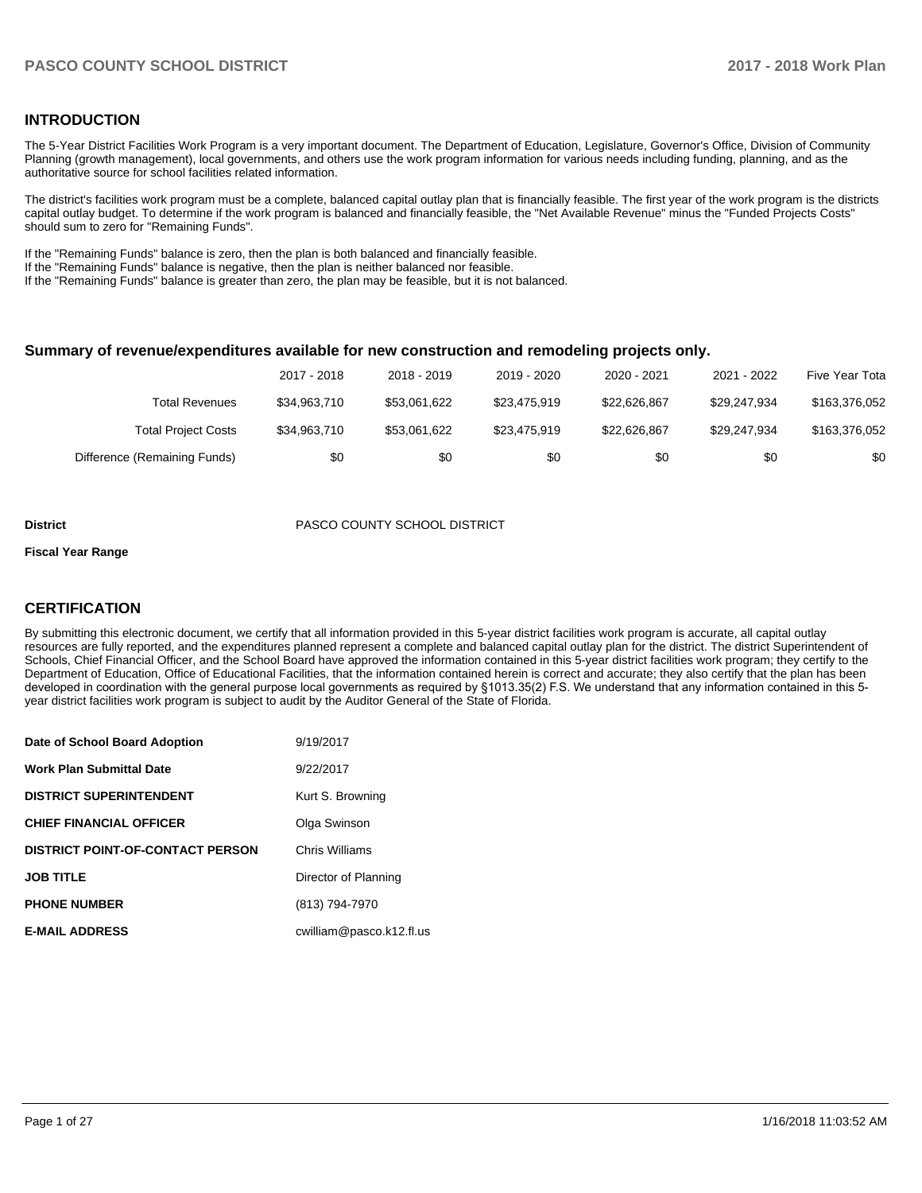#### **INTRODUCTION**

The 5-Year District Facilities Work Program is a very important document. The Department of Education, Legislature, Governor's Office, Division of Community Planning (growth management), local governments, and others use the work program information for various needs including funding, planning, and as the authoritative source for school facilities related information.

The district's facilities work program must be a complete, balanced capital outlay plan that is financially feasible. The first year of the work program is the districts capital outlay budget. To determine if the work program is balanced and financially feasible, the "Net Available Revenue" minus the "Funded Projects Costs" should sum to zero for "Remaining Funds".

If the "Remaining Funds" balance is zero, then the plan is both balanced and financially feasible.

If the "Remaining Funds" balance is negative, then the plan is neither balanced nor feasible.

If the "Remaining Funds" balance is greater than zero, the plan may be feasible, but it is not balanced.

#### **Summary of revenue/expenditures available for new construction and remodeling projects only.**

|                              | 2017 - 2018  | 2018 - 2019  | 2019 - 2020  | 2020 - 2021  | 2021 - 2022  | Five Year Tota |
|------------------------------|--------------|--------------|--------------|--------------|--------------|----------------|
| Total Revenues               | \$34,963,710 | \$53,061,622 | \$23,475,919 | \$22.626.867 | \$29.247.934 | \$163,376,052  |
| <b>Total Project Costs</b>   | \$34,963,710 | \$53.061.622 | \$23,475,919 | \$22.626.867 | \$29.247.934 | \$163,376,052  |
| Difference (Remaining Funds) | \$0          | \$0          | \$0          | \$0          | \$0          | \$0            |

#### **District** PASCO COUNTY SCHOOL DISTRICT

#### **Fiscal Year Range**

### **CERTIFICATION**

By submitting this electronic document, we certify that all information provided in this 5-year district facilities work program is accurate, all capital outlay resources are fully reported, and the expenditures planned represent a complete and balanced capital outlay plan for the district. The district Superintendent of Schools, Chief Financial Officer, and the School Board have approved the information contained in this 5-year district facilities work program; they certify to the Department of Education, Office of Educational Facilities, that the information contained herein is correct and accurate; they also certify that the plan has been developed in coordination with the general purpose local governments as required by §1013.35(2) F.S. We understand that any information contained in this 5year district facilities work program is subject to audit by the Auditor General of the State of Florida.

| Date of School Board Adoption           | 9/19/2017                |
|-----------------------------------------|--------------------------|
| <b>Work Plan Submittal Date</b>         | 9/22/2017                |
| <b>DISTRICT SUPERINTENDENT</b>          | Kurt S. Browning         |
| <b>CHIEF FINANCIAL OFFICER</b>          | Olga Swinson             |
| <b>DISTRICT POINT-OF-CONTACT PERSON</b> | Chris Williams           |
| <b>JOB TITLE</b>                        | Director of Planning     |
| <b>PHONE NUMBER</b>                     | (813) 794-7970           |
| <b>E-MAIL ADDRESS</b>                   | cwilliam@pasco.k12.fl.us |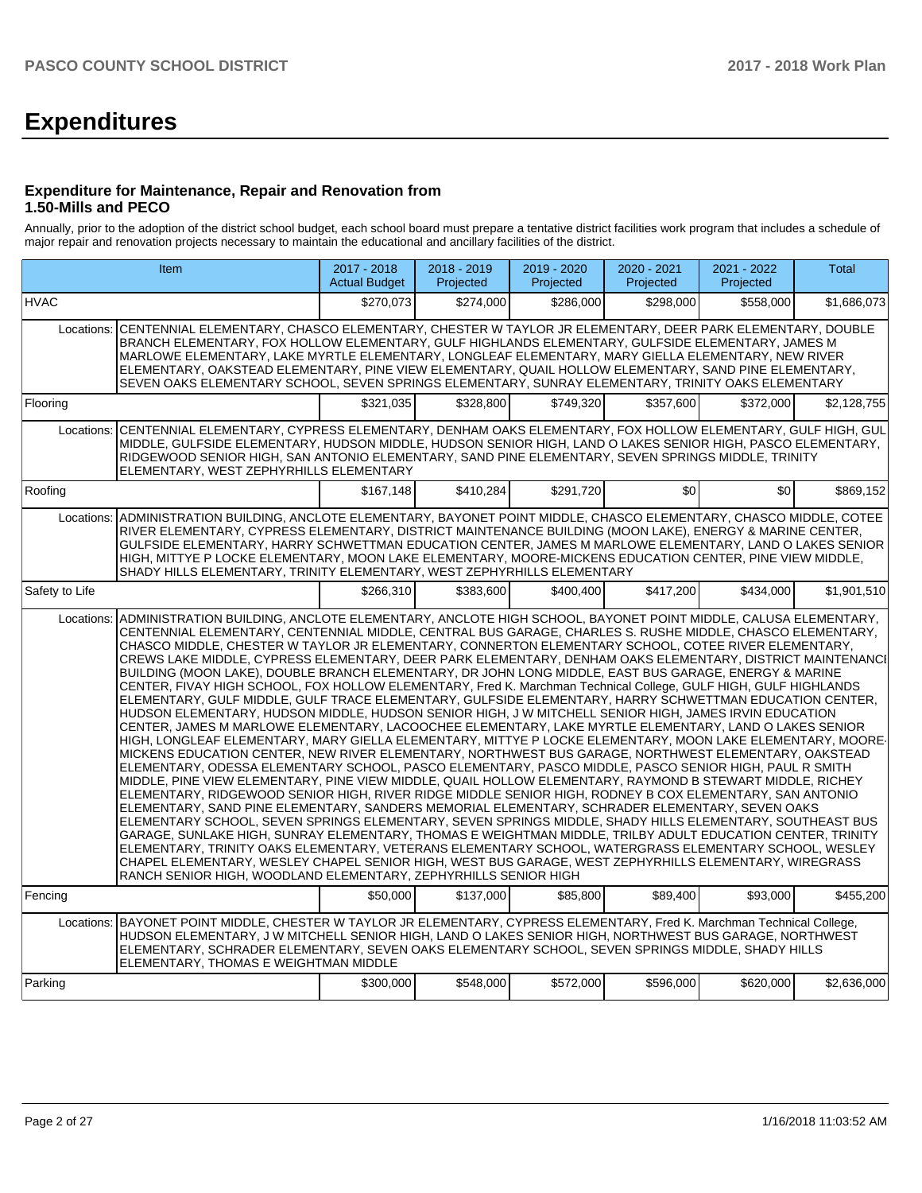# **Expenditures**

#### **Expenditure for Maintenance, Repair and Renovation from 1.50-Mills and PECO**

Annually, prior to the adoption of the district school budget, each school board must prepare a tentative district facilities work program that includes a schedule of major repair and renovation projects necessary to maintain the educational and ancillary facilities of the district.

| Item           |                                                                                                                                                                                                                                                                                                                                                                                                                                                                                                                                                                                                                                                                                                                                                                                                                                                                                                                                                                                                                                                                                                                                                                                                                                                                                                                                                                                                                                                                                                                                                                                                                                                                                                                                                                                                                                                                                                                                                                                                                                                                                                                                                                              | 2017 - 2018<br><b>Actual Budget</b> | 2018 - 2019<br>Projected | 2019 - 2020<br>Projected | 2020 - 2021<br>Projected | 2021 - 2022<br>Projected | <b>Total</b> |
|----------------|------------------------------------------------------------------------------------------------------------------------------------------------------------------------------------------------------------------------------------------------------------------------------------------------------------------------------------------------------------------------------------------------------------------------------------------------------------------------------------------------------------------------------------------------------------------------------------------------------------------------------------------------------------------------------------------------------------------------------------------------------------------------------------------------------------------------------------------------------------------------------------------------------------------------------------------------------------------------------------------------------------------------------------------------------------------------------------------------------------------------------------------------------------------------------------------------------------------------------------------------------------------------------------------------------------------------------------------------------------------------------------------------------------------------------------------------------------------------------------------------------------------------------------------------------------------------------------------------------------------------------------------------------------------------------------------------------------------------------------------------------------------------------------------------------------------------------------------------------------------------------------------------------------------------------------------------------------------------------------------------------------------------------------------------------------------------------------------------------------------------------------------------------------------------------|-------------------------------------|--------------------------|--------------------------|--------------------------|--------------------------|--------------|
| <b>HVAC</b>    |                                                                                                                                                                                                                                                                                                                                                                                                                                                                                                                                                                                                                                                                                                                                                                                                                                                                                                                                                                                                                                                                                                                                                                                                                                                                                                                                                                                                                                                                                                                                                                                                                                                                                                                                                                                                                                                                                                                                                                                                                                                                                                                                                                              | \$270.073                           | \$274.000                | \$286.000                | \$298.000                | \$558.000                | \$1,686,073  |
| Locations:     | CENTENNIAL ELEMENTARY, CHASCO ELEMENTARY, CHESTER W TAYLOR JR ELEMENTARY, DEER PARK ELEMENTARY, DOUBLE<br>BRANCH ELEMENTARY, FOX HOLLOW ELEMENTARY, GULF HIGHLANDS ELEMENTARY, GULFSIDE ELEMENTARY, JAMES M<br>MARLOWE ELEMENTARY, LAKE MYRTLE ELEMENTARY, LONGLEAF ELEMENTARY, MARY GIELLA ELEMENTARY, NEW RIVER<br>ELEMENTARY, OAKSTEAD ELEMENTARY, PINE VIEW ELEMENTARY, QUAIL HOLLOW ELEMENTARY, SAND PINE ELEMENTARY,<br>SEVEN OAKS ELEMENTARY SCHOOL, SEVEN SPRINGS ELEMENTARY, SUNRAY ELEMENTARY, TRINITY OAKS ELEMENTARY                                                                                                                                                                                                                                                                                                                                                                                                                                                                                                                                                                                                                                                                                                                                                                                                                                                                                                                                                                                                                                                                                                                                                                                                                                                                                                                                                                                                                                                                                                                                                                                                                                             |                                     |                          |                          |                          |                          |              |
| Flooring       |                                                                                                                                                                                                                                                                                                                                                                                                                                                                                                                                                                                                                                                                                                                                                                                                                                                                                                                                                                                                                                                                                                                                                                                                                                                                                                                                                                                                                                                                                                                                                                                                                                                                                                                                                                                                                                                                                                                                                                                                                                                                                                                                                                              | \$321.035                           | \$328.800                | \$749.320                | \$357.600                | \$372.000                | \$2,128,755  |
| Locations:     | CENTENNIAL ELEMENTARY, CYPRESS ELEMENTARY, DENHAM OAKS ELEMENTARY, FOX HOLLOW ELEMENTARY, GULF HIGH, GUL<br>MIDDLE, GULFSIDE ELEMENTARY, HUDSON MIDDLE, HUDSON SENIOR HIGH, LAND O LAKES SENIOR HIGH, PASCO ELEMENTARY,<br>RIDGEWOOD SENIOR HIGH, SAN ANTONIO ELEMENTARY, SAND PINE ELEMENTARY, SEVEN SPRINGS MIDDLE, TRINITY<br>ELEMENTARY, WEST ZEPHYRHILLS ELEMENTARY                                                                                                                                                                                                                                                                                                                                                                                                                                                                                                                                                                                                                                                                                                                                                                                                                                                                                                                                                                                                                                                                                                                                                                                                                                                                                                                                                                                                                                                                                                                                                                                                                                                                                                                                                                                                     |                                     |                          |                          |                          |                          |              |
| Roofing        |                                                                                                                                                                                                                                                                                                                                                                                                                                                                                                                                                                                                                                                                                                                                                                                                                                                                                                                                                                                                                                                                                                                                                                                                                                                                                                                                                                                                                                                                                                                                                                                                                                                                                                                                                                                                                                                                                                                                                                                                                                                                                                                                                                              | \$167.148                           | \$410,284                | \$291,720                | \$0                      | \$0                      | \$869,152    |
| Locations:     | ADMINISTRATION BUILDING. ANCLOTE ELEMENTARY. BAYONET POINT MIDDLE. CHASCO ELEMENTARY. CHASCO MIDDLE. COTEE<br>RIVER ELEMENTARY, CYPRESS ELEMENTARY, DISTRICT MAINTENANCE BUILDING (MOON LAKE), ENERGY & MARINE CENTER,<br>GULFSIDE ELEMENTARY, HARRY SCHWETTMAN EDUCATION CENTER, JAMES M MARLOWE ELEMENTARY, LAND O LAKES SENIOR<br>HIGH, MITTYE P LOCKE ELEMENTARY, MOON LAKE ELEMENTARY, MOORE-MICKENS EDUCATION CENTER, PINE VIEW MIDDLE,<br>SHADY HILLS ELEMENTARY, TRINITY ELEMENTARY, WEST ZEPHYRHILLS ELEMENTARY                                                                                                                                                                                                                                                                                                                                                                                                                                                                                                                                                                                                                                                                                                                                                                                                                                                                                                                                                                                                                                                                                                                                                                                                                                                                                                                                                                                                                                                                                                                                                                                                                                                     |                                     |                          |                          |                          |                          |              |
| Safety to Life |                                                                                                                                                                                                                                                                                                                                                                                                                                                                                                                                                                                                                                                                                                                                                                                                                                                                                                                                                                                                                                                                                                                                                                                                                                                                                                                                                                                                                                                                                                                                                                                                                                                                                                                                                                                                                                                                                                                                                                                                                                                                                                                                                                              | \$266,310                           | \$383,600                | \$400.400                | \$417.200                | \$434.000                | \$1,901,510  |
| Locations:     | ADMINISTRATION BUILDING. ANCLOTE ELEMENTARY. ANCLOTE HIGH SCHOOL. BAYONET POINT MIDDLE. CALUSA ELEMENTARY.<br>CENTENNIAL ELEMENTARY. CENTENNIAL MIDDLE. CENTRAL BUS GARAGE. CHARLES S. RUSHE MIDDLE. CHASCO ELEMENTARY.<br>CHASCO MIDDLE, CHESTER W TAYLOR JR ELEMENTARY, CONNERTON ELEMENTARY SCHOOL, COTEE RIVER ELEMENTARY,<br>CREWS LAKE MIDDLE, CYPRESS ELEMENTARY, DEER PARK ELEMENTARY, DENHAM OAKS ELEMENTARY, DISTRICT MAINTENANCI<br>BUILDING (MOON LAKE), DOUBLE BRANCH ELEMENTARY, DR JOHN LONG MIDDLE, EAST BUS GARAGE, ENERGY & MARINE<br>CENTER, FIVAY HIGH SCHOOL, FOX HOLLOW ELEMENTARY, Fred K. Marchman Technical College, GULF HIGH, GULF HIGHLANDS<br>ELEMENTARY, GULF MIDDLE, GULF TRACE ELEMENTARY, GULFSIDE ELEMENTARY, HARRY SCHWETTMAN EDUCATION CENTER,<br>HUDSON ELEMENTARY, HUDSON MIDDLE, HUDSON SENIOR HIGH, J W MITCHELL SENIOR HIGH, JAMES IRVIN EDUCATION<br>CENTER, JAMES M MARLOWE ELEMENTARY, LACOOCHEE ELEMENTARY, LAKE MYRTLE ELEMENTARY, LAND O LAKES SENIOR<br>HIGH, LONGLEAF ELEMENTARY, MARY GIELLA ELEMENTARY, MITTYE P LOCKE ELEMENTARY, MOON LAKE ELEMENTARY, MOORE-<br>MICKENS EDUCATION CENTER, NEW RIVER ELEMENTARY, NORTHWEST BUS GARAGE, NORTHWEST ELEMENTARY, OAKSTEAD<br>ELEMENTARY, ODESSA ELEMENTARY SCHOOL, PASCO ELEMENTARY, PASCO MIDDLE, PASCO SENIOR HIGH, PAUL R SMITH<br>MIDDLE, PINE VIEW ELEMENTARY, PINE VIEW MIDDLE, QUAIL HOLLOW ELEMENTARY, RAYMOND B STEWART MIDDLE, RICHEY<br>ELEMENTARY, RIDGEWOOD SENIOR HIGH, RIVER RIDGE MIDDLE SENIOR HIGH, RODNEY B COX ELEMENTARY, SAN ANTONIO<br>ELEMENTARY, SAND PINE ELEMENTARY, SANDERS MEMORIAL ELEMENTARY, SCHRADER ELEMENTARY, SEVEN OAKS<br>ELEMENTARY SCHOOL, SEVEN SPRINGS ELEMENTARY, SEVEN SPRINGS MIDDLE, SHADY HILLS ELEMENTARY, SOUTHEAST BUS<br>GARAGE, SUNLAKE HIGH, SUNRAY ELEMENTARY, THOMAS E WEIGHTMAN MIDDLE, TRILBY ADULT EDUCATION CENTER, TRINITY<br>ELEMENTARY, TRINITY OAKS ELEMENTARY, VETERANS ELEMENTARY SCHOOL, WATERGRASS ELEMENTARY SCHOOL, WESLEY<br>CHAPEL ELEMENTARY, WESLEY CHAPEL SENIOR HIGH, WEST BUS GARAGE, WEST ZEPHYRHILLS ELEMENTARY, WIREGRASS<br>RANCH SENIOR HIGH, WOODLAND ELEMENTARY, ZEPHYRHILLS SENIOR HIGH |                                     |                          |                          |                          |                          |              |
| Fencing        |                                                                                                                                                                                                                                                                                                                                                                                                                                                                                                                                                                                                                                                                                                                                                                                                                                                                                                                                                                                                                                                                                                                                                                                                                                                                                                                                                                                                                                                                                                                                                                                                                                                                                                                                                                                                                                                                                                                                                                                                                                                                                                                                                                              | \$50,000                            | \$137,000                | \$85,800                 | \$89,400                 | \$93,000                 | \$455.200    |
| Locations:     | BAYONET POINT MIDDLE, CHESTER W TAYLOR JR ELEMENTARY, CYPRESS ELEMENTARY, Fred K. Marchman Technical College,<br>HUDSON ELEMENTARY, J W MITCHELL SENIOR HIGH, LAND O LAKES SENIOR HIGH, NORTHWEST BUS GARAGE, NORTHWEST<br>ELEMENTARY, SCHRADER ELEMENTARY, SEVEN OAKS ELEMENTARY SCHOOL, SEVEN SPRINGS MIDDLE, SHADY HILLS<br>ELEMENTARY, THOMAS E WEIGHTMAN MIDDLE                                                                                                                                                                                                                                                                                                                                                                                                                                                                                                                                                                                                                                                                                                                                                                                                                                                                                                                                                                                                                                                                                                                                                                                                                                                                                                                                                                                                                                                                                                                                                                                                                                                                                                                                                                                                         |                                     |                          |                          |                          |                          |              |
| Parking        |                                                                                                                                                                                                                                                                                                                                                                                                                                                                                                                                                                                                                                                                                                                                                                                                                                                                                                                                                                                                                                                                                                                                                                                                                                                                                                                                                                                                                                                                                                                                                                                                                                                                                                                                                                                                                                                                                                                                                                                                                                                                                                                                                                              | \$300,000                           | \$548,000                | \$572,000                | \$596,000                | \$620,000                | \$2,636,000  |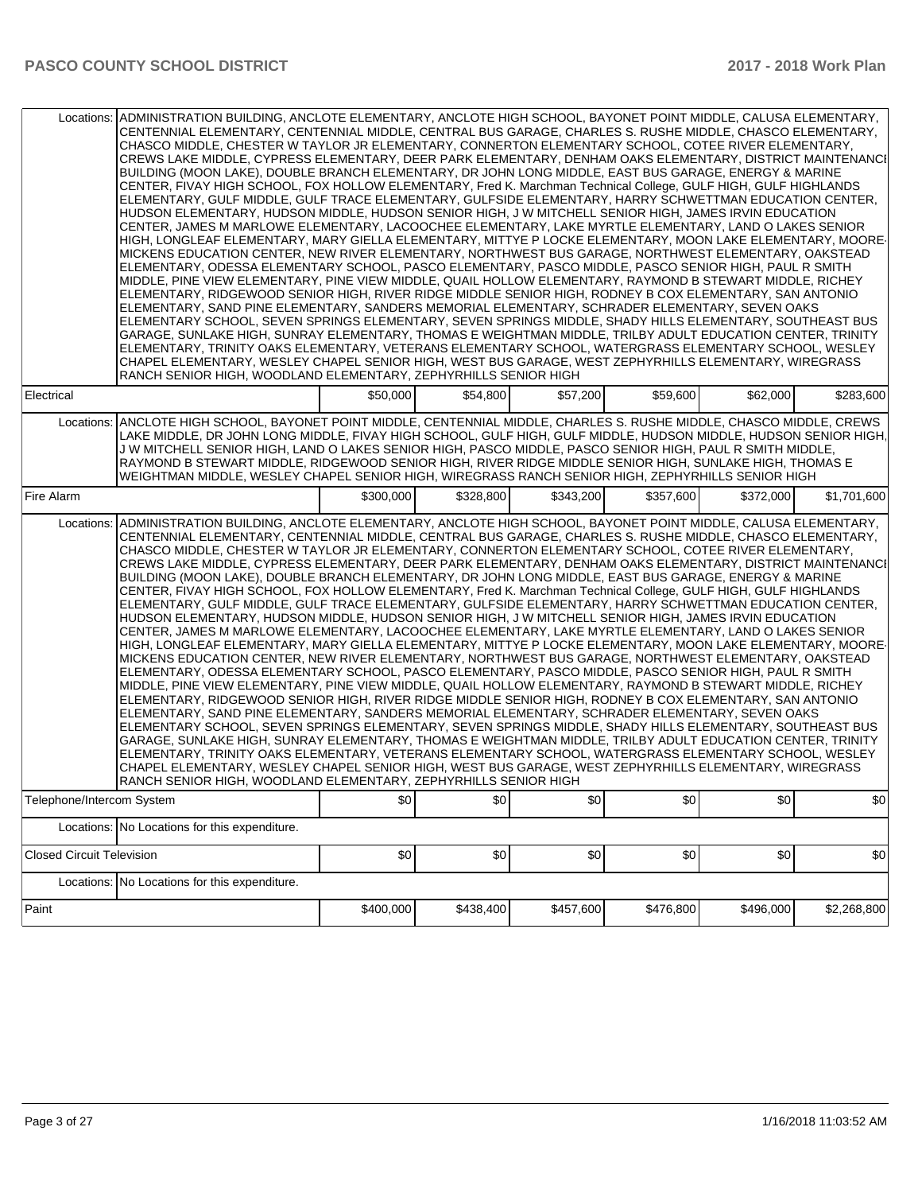|                                                                                                                                                                                                                                                                                                                                                                                                                                                                                                                                                                                                                                                                                                                                                                                                                                                                                                                                                                                                                                                                                                                                                                                                                                                                                                                                                                                                                                                                                                                                                                                                                                                                                                                                                                                                                                                                                                                                                                                                                                                                                                                                                                                             | Locations: ADMINISTRATION BUILDING, ANCLOTE ELEMENTARY, ANCLOTE HIGH SCHOOL, BAYONET POINT MIDDLE, CALUSA ELEMENTARY,<br>CENTENNIAL ELEMENTARY, CENTENNIAL MIDDLE, CENTRAL BUS GARAGE, CHARLES S. RUSHE MIDDLE, CHASCO ELEMENTARY,<br>CHASCO MIDDLE, CHESTER W TAYLOR JR ELEMENTARY, CONNERTON ELEMENTARY SCHOOL, COTEE RIVER ELEMENTARY,<br>CREWS LAKE MIDDLE, CYPRESS ELEMENTARY, DEER PARK ELEMENTARY, DENHAM OAKS ELEMENTARY, DISTRICT MAINTENANCI<br>BUILDING (MOON LAKE), DOUBLE BRANCH ELEMENTARY, DR JOHN LONG MIDDLE, EAST BUS GARAGE, ENERGY & MARINE<br>CENTER, FIVAY HIGH SCHOOL, FOX HOLLOW ELEMENTARY, Fred K. Marchman Technical College, GULF HIGH, GULF HIGHLANDS<br>ELEMENTARY, GULF MIDDLE, GULF TRACE ELEMENTARY, GULFSIDE ELEMENTARY, HARRY SCHWETTMAN EDUCATION CENTER,<br>HUDSON ELEMENTARY, HUDSON MIDDLE, HUDSON SENIOR HIGH, J W MITCHELL SENIOR HIGH, JAMES IRVIN EDUCATION<br>CENTER, JAMES M MARLOWE ELEMENTARY, LACOOCHEE ELEMENTARY, LAKE MYRTLE ELEMENTARY, LAND O LAKES SENIOR<br>HIGH, LONGLEAF ELEMENTARY, MARY GIELLA ELEMENTARY, MITTYE P LOCKE ELEMENTARY, MOON LAKE ELEMENTARY, MOORE-<br>MICKENS EDUCATION CENTER, NEW RIVER ELEMENTARY, NORTHWEST BUS GARAGE, NORTHWEST ELEMENTARY, OAKSTEAD<br>ELEMENTARY, ODESSA ELEMENTARY SCHOOL, PASCO ELEMENTARY, PASCO MIDDLE, PASCO SENIOR HIGH, PAUL R SMITH<br>MIDDLE, PINE VIEW ELEMENTARY, PINE VIEW MIDDLE, QUAIL HOLLOW ELEMENTARY, RAYMOND B STEWART MIDDLE, RICHEY<br>ELEMENTARY, RIDGEWOOD SENIOR HIGH, RIVER RIDGE MIDDLE SENIOR HIGH, RODNEY B COX ELEMENTARY, SAN ANTONIO<br>ELEMENTARY, SAND PINE ELEMENTARY, SANDERS MEMORIAL ELEMENTARY, SCHRADER ELEMENTARY, SEVEN OAKS<br>ELEMENTARY SCHOOL, SEVEN SPRINGS ELEMENTARY, SEVEN SPRINGS MIDDLE, SHADY HILLS ELEMENTARY, SOUTHEAST BUS<br>GARAGE, SUNLAKE HIGH, SUNRAY ELEMENTARY, THOMAS E WEIGHTMAN MIDDLE, TRILBY ADULT EDUCATION CENTER, TRINITY<br>ELEMENTARY, TRINITY OAKS ELEMENTARY, VETERANS ELEMENTARY SCHOOL, WATERGRASS ELEMENTARY SCHOOL, WESLEY<br>CHAPEL ELEMENTARY, WESLEY CHAPEL SENIOR HIGH, WEST BUS GARAGE, WEST ZEPHYRHILLS ELEMENTARY, WIREGRASS<br>RANCH SENIOR HIGH, WOODLAND ELEMENTARY, ZEPHYRHILLS SENIOR HIGH |           |           |           |           |           |             |  |
|---------------------------------------------------------------------------------------------------------------------------------------------------------------------------------------------------------------------------------------------------------------------------------------------------------------------------------------------------------------------------------------------------------------------------------------------------------------------------------------------------------------------------------------------------------------------------------------------------------------------------------------------------------------------------------------------------------------------------------------------------------------------------------------------------------------------------------------------------------------------------------------------------------------------------------------------------------------------------------------------------------------------------------------------------------------------------------------------------------------------------------------------------------------------------------------------------------------------------------------------------------------------------------------------------------------------------------------------------------------------------------------------------------------------------------------------------------------------------------------------------------------------------------------------------------------------------------------------------------------------------------------------------------------------------------------------------------------------------------------------------------------------------------------------------------------------------------------------------------------------------------------------------------------------------------------------------------------------------------------------------------------------------------------------------------------------------------------------------------------------------------------------------------------------------------------------|-----------------------------------------------------------------------------------------------------------------------------------------------------------------------------------------------------------------------------------------------------------------------------------------------------------------------------------------------------------------------------------------------------------------------------------------------------------------------------------------------------------------------------------------------------------------------------------------------------------------------------------------------------------------------------------------------------------------------------------------------------------------------------------------------------------------------------------------------------------------------------------------------------------------------------------------------------------------------------------------------------------------------------------------------------------------------------------------------------------------------------------------------------------------------------------------------------------------------------------------------------------------------------------------------------------------------------------------------------------------------------------------------------------------------------------------------------------------------------------------------------------------------------------------------------------------------------------------------------------------------------------------------------------------------------------------------------------------------------------------------------------------------------------------------------------------------------------------------------------------------------------------------------------------------------------------------------------------------------------------------------------------------------------------------------------------------------------------------------------------------------------------------------------------------------------------|-----------|-----------|-----------|-----------|-----------|-------------|--|
| Electrical                                                                                                                                                                                                                                                                                                                                                                                                                                                                                                                                                                                                                                                                                                                                                                                                                                                                                                                                                                                                                                                                                                                                                                                                                                                                                                                                                                                                                                                                                                                                                                                                                                                                                                                                                                                                                                                                                                                                                                                                                                                                                                                                                                                  |                                                                                                                                                                                                                                                                                                                                                                                                                                                                                                                                                                                                                                                                                                                                                                                                                                                                                                                                                                                                                                                                                                                                                                                                                                                                                                                                                                                                                                                                                                                                                                                                                                                                                                                                                                                                                                                                                                                                                                                                                                                                                                                                                                                         | \$50,000  | \$54,800  | \$57,200  | \$59,600  | \$62,000  | \$283,600   |  |
|                                                                                                                                                                                                                                                                                                                                                                                                                                                                                                                                                                                                                                                                                                                                                                                                                                                                                                                                                                                                                                                                                                                                                                                                                                                                                                                                                                                                                                                                                                                                                                                                                                                                                                                                                                                                                                                                                                                                                                                                                                                                                                                                                                                             | Locations: ANCLOTE HIGH SCHOOL, BAYONET POINT MIDDLE, CENTENNIAL MIDDLE, CHARLES S. RUSHE MIDDLE, CHASCO MIDDLE, CREWS<br>LAKE MIDDLE. DR JOHN LONG MIDDLE. FIVAY HIGH SCHOOL. GULF HIGH. GULF MIDDLE. HUDSON MIDDLE. HUDSON SENIOR HIGH.<br>J W MITCHELL SENIOR HIGH, LAND O LAKES SENIOR HIGH, PASCO MIDDLE, PASCO SENIOR HIGH, PAUL R SMITH MIDDLE,<br>RAYMOND B STEWART MIDDLE, RIDGEWOOD SENIOR HIGH, RIVER RIDGE MIDDLE SENIOR HIGH, SUNLAKE HIGH, THOMAS E<br>WEIGHTMAN MIDDLE, WESLEY CHAPEL SENIOR HIGH, WIREGRASS RANCH SENIOR HIGH, ZEPHYRHILLS SENIOR HIGH                                                                                                                                                                                                                                                                                                                                                                                                                                                                                                                                                                                                                                                                                                                                                                                                                                                                                                                                                                                                                                                                                                                                                                                                                                                                                                                                                                                                                                                                                                                                                                                                                  |           |           |           |           |           |             |  |
| <b>Fire Alarm</b>                                                                                                                                                                                                                                                                                                                                                                                                                                                                                                                                                                                                                                                                                                                                                                                                                                                                                                                                                                                                                                                                                                                                                                                                                                                                                                                                                                                                                                                                                                                                                                                                                                                                                                                                                                                                                                                                                                                                                                                                                                                                                                                                                                           |                                                                                                                                                                                                                                                                                                                                                                                                                                                                                                                                                                                                                                                                                                                                                                                                                                                                                                                                                                                                                                                                                                                                                                                                                                                                                                                                                                                                                                                                                                                                                                                                                                                                                                                                                                                                                                                                                                                                                                                                                                                                                                                                                                                         | \$300,000 | \$328,800 | \$343,200 | \$357,600 | \$372,000 | \$1,701,600 |  |
| ADMINISTRATION BUILDING, ANCLOTE ELEMENTARY, ANCLOTE HIGH SCHOOL, BAYONET POINT MIDDLE, CALUSA ELEMENTARY,<br>Locations:<br>CENTENNIAL ELEMENTARY, CENTENNIAL MIDDLE, CENTRAL BUS GARAGE, CHARLES S. RUSHE MIDDLE, CHASCO ELEMENTARY,<br>CHASCO MIDDLE, CHESTER W TAYLOR JR ELEMENTARY, CONNERTON ELEMENTARY SCHOOL, COTEE RIVER ELEMENTARY,<br>CREWS LAKE MIDDLE, CYPRESS ELEMENTARY, DEER PARK ELEMENTARY, DENHAM OAKS ELEMENTARY, DISTRICT MAINTENANCI<br>BUILDING (MOON LAKE), DOUBLE BRANCH ELEMENTARY, DR JOHN LONG MIDDLE, EAST BUS GARAGE, ENERGY & MARINE<br>CENTER, FIVAY HIGH SCHOOL, FOX HOLLOW ELEMENTARY, Fred K. Marchman Technical College, GULF HIGH, GULF HIGHLANDS<br>ELEMENTARY, GULF MIDDLE, GULF TRACE ELEMENTARY, GULFSIDE ELEMENTARY, HARRY SCHWETTMAN EDUCATION CENTER,<br>HUDSON ELEMENTARY, HUDSON MIDDLE, HUDSON SENIOR HIGH, J W MITCHELL SENIOR HIGH, JAMES IRVIN EDUCATION<br>CENTER, JAMES M MARLOWE ELEMENTARY, LACOOCHEE ELEMENTARY, LAKE MYRTLE ELEMENTARY, LAND O LAKES SENIOR<br>HIGH, LONGLEAF ELEMENTARY, MARY GIELLA ELEMENTARY, MITTYE P LOCKE ELEMENTARY, MOON LAKE ELEMENTARY, MOORE-<br>MICKENS EDUCATION CENTER, NEW RIVER ELEMENTARY, NORTHWEST BUS GARAGE, NORTHWEST ELEMENTARY, OAKSTEAD<br>ELEMENTARY, ODESSA ELEMENTARY SCHOOL, PASCO ELEMENTARY, PASCO MIDDLE, PASCO SENIOR HIGH, PAUL R SMITH<br>MIDDLE, PINE VIEW ELEMENTARY, PINE VIEW MIDDLE, QUAIL HOLLOW ELEMENTARY, RAYMOND B STEWART MIDDLE, RICHEY<br>ELEMENTARY, RIDGEWOOD SENIOR HIGH, RIVER RIDGE MIDDLE SENIOR HIGH, RODNEY B COX ELEMENTARY, SAN ANTONIO<br>ELEMENTARY, SAND PINE ELEMENTARY, SANDERS MEMORIAL ELEMENTARY, SCHRADER ELEMENTARY, SEVEN OAKS<br>ELEMENTARY SCHOOL, SEVEN SPRINGS ELEMENTARY, SEVEN SPRINGS MIDDLE, SHADY HILLS ELEMENTARY, SOUTHEAST BUS<br>GARAGE, SUNLAKE HIGH, SUNRAY ELEMENTARY, THOMAS E WEIGHTMAN MIDDLE, TRILBY ADULT EDUCATION CENTER, TRINITY<br>ELEMENTARY, TRINITY OAKS ELEMENTARY, VETERANS ELEMENTARY SCHOOL, WATERGRASS ELEMENTARY SCHOOL, WESLEY <br>CHAPEL ELEMENTARY, WESLEY CHAPEL SENIOR HIGH, WEST BUS GARAGE, WEST ZEPHYRHILLS ELEMENTARY, WIREGRASS<br>RANCH SENIOR HIGH, WOODLAND ELEMENTARY, ZEPHYRHILLS SENIOR HIGH |                                                                                                                                                                                                                                                                                                                                                                                                                                                                                                                                                                                                                                                                                                                                                                                                                                                                                                                                                                                                                                                                                                                                                                                                                                                                                                                                                                                                                                                                                                                                                                                                                                                                                                                                                                                                                                                                                                                                                                                                                                                                                                                                                                                         |           |           |           |           |           |             |  |
| Telephone/Intercom System                                                                                                                                                                                                                                                                                                                                                                                                                                                                                                                                                                                                                                                                                                                                                                                                                                                                                                                                                                                                                                                                                                                                                                                                                                                                                                                                                                                                                                                                                                                                                                                                                                                                                                                                                                                                                                                                                                                                                                                                                                                                                                                                                                   |                                                                                                                                                                                                                                                                                                                                                                                                                                                                                                                                                                                                                                                                                                                                                                                                                                                                                                                                                                                                                                                                                                                                                                                                                                                                                                                                                                                                                                                                                                                                                                                                                                                                                                                                                                                                                                                                                                                                                                                                                                                                                                                                                                                         | \$0       | \$0       | \$0       | \$0       | \$0       | \$0         |  |
|                                                                                                                                                                                                                                                                                                                                                                                                                                                                                                                                                                                                                                                                                                                                                                                                                                                                                                                                                                                                                                                                                                                                                                                                                                                                                                                                                                                                                                                                                                                                                                                                                                                                                                                                                                                                                                                                                                                                                                                                                                                                                                                                                                                             | Locations: No Locations for this expenditure.                                                                                                                                                                                                                                                                                                                                                                                                                                                                                                                                                                                                                                                                                                                                                                                                                                                                                                                                                                                                                                                                                                                                                                                                                                                                                                                                                                                                                                                                                                                                                                                                                                                                                                                                                                                                                                                                                                                                                                                                                                                                                                                                           |           |           |           |           |           |             |  |
| <b>Closed Circuit Television</b>                                                                                                                                                                                                                                                                                                                                                                                                                                                                                                                                                                                                                                                                                                                                                                                                                                                                                                                                                                                                                                                                                                                                                                                                                                                                                                                                                                                                                                                                                                                                                                                                                                                                                                                                                                                                                                                                                                                                                                                                                                                                                                                                                            |                                                                                                                                                                                                                                                                                                                                                                                                                                                                                                                                                                                                                                                                                                                                                                                                                                                                                                                                                                                                                                                                                                                                                                                                                                                                                                                                                                                                                                                                                                                                                                                                                                                                                                                                                                                                                                                                                                                                                                                                                                                                                                                                                                                         | \$0       | \$0       | \$0       | \$0       | \$0       | \$0         |  |
|                                                                                                                                                                                                                                                                                                                                                                                                                                                                                                                                                                                                                                                                                                                                                                                                                                                                                                                                                                                                                                                                                                                                                                                                                                                                                                                                                                                                                                                                                                                                                                                                                                                                                                                                                                                                                                                                                                                                                                                                                                                                                                                                                                                             | Locations: No Locations for this expenditure.                                                                                                                                                                                                                                                                                                                                                                                                                                                                                                                                                                                                                                                                                                                                                                                                                                                                                                                                                                                                                                                                                                                                                                                                                                                                                                                                                                                                                                                                                                                                                                                                                                                                                                                                                                                                                                                                                                                                                                                                                                                                                                                                           |           |           |           |           |           |             |  |
| Paint                                                                                                                                                                                                                                                                                                                                                                                                                                                                                                                                                                                                                                                                                                                                                                                                                                                                                                                                                                                                                                                                                                                                                                                                                                                                                                                                                                                                                                                                                                                                                                                                                                                                                                                                                                                                                                                                                                                                                                                                                                                                                                                                                                                       |                                                                                                                                                                                                                                                                                                                                                                                                                                                                                                                                                                                                                                                                                                                                                                                                                                                                                                                                                                                                                                                                                                                                                                                                                                                                                                                                                                                                                                                                                                                                                                                                                                                                                                                                                                                                                                                                                                                                                                                                                                                                                                                                                                                         | \$400,000 | \$438,400 | \$457,600 | \$476,800 | \$496,000 | \$2,268,800 |  |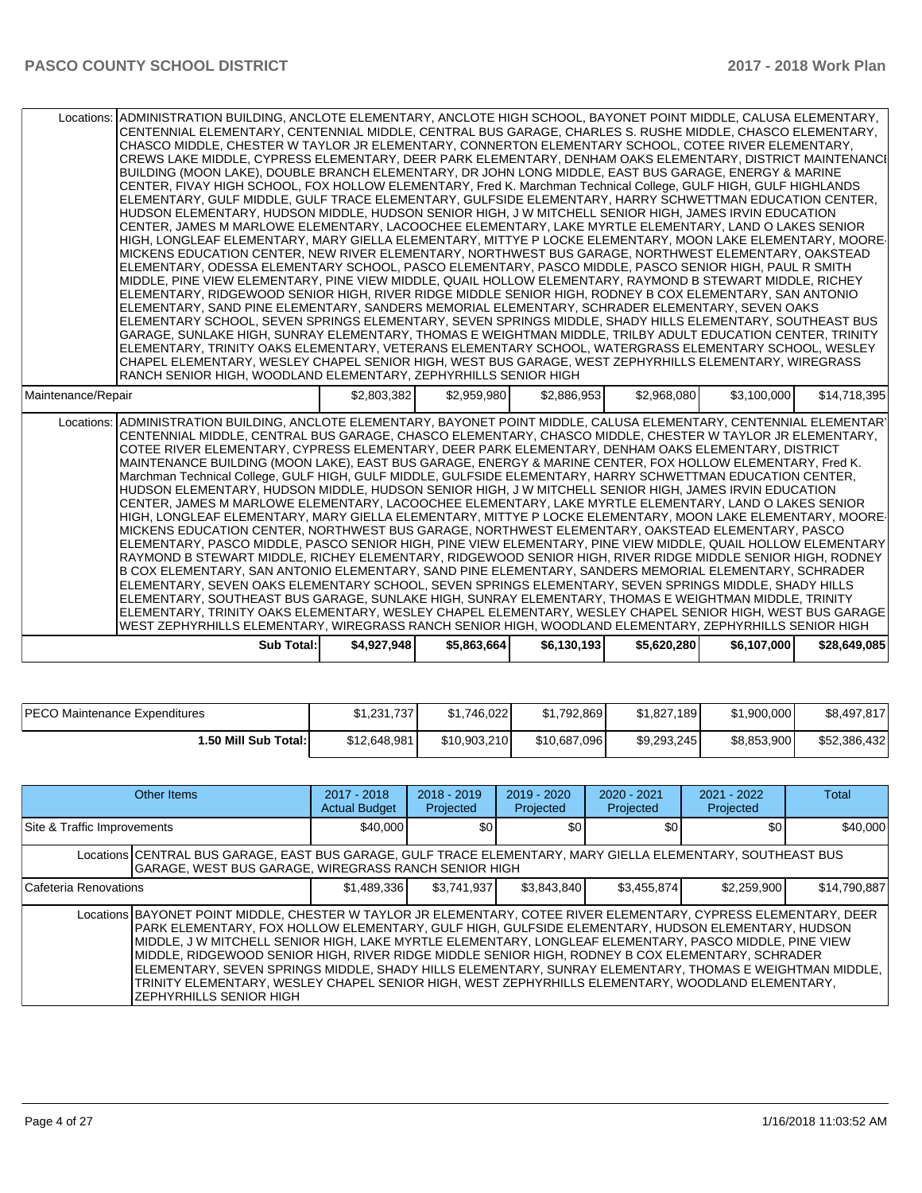| Locations: ADMINISTRATION BUILDING, ANCLOTE ELEMENTARY, ANCLOTE HIGH SCHOOL, BAYONET POINT MIDDLE, CALUSA ELEMENTARY,<br>CENTENNIAL ELEMENTARY, CENTENNIAL MIDDLE, CENTRAL BUS GARAGE, CHARLES S. RUSHE MIDDLE, CHASCO ELEMENTARY,<br>CHASCO MIDDLE, CHESTER W TAYLOR JR ELEMENTARY, CONNERTON ELEMENTARY SCHOOL, COTEE RIVER ELEMENTARY,<br>CREWS LAKE MIDDLE. CYPRESS ELEMENTARY. DEER PARK ELEMENTARY. DENHAM OAKS ELEMENTARY. DISTRICT MAINTENANCI<br>BUILDING (MOON LAKE), DOUBLE BRANCH ELEMENTARY, DR JOHN LONG MIDDLE, EAST BUS GARAGE, ENERGY & MARINE<br>CENTER, FIVAY HIGH SCHOOL, FOX HOLLOW ELEMENTARY, Fred K. Marchman Technical College, GULF HIGH, GULF HIGHLANDS<br>ELEMENTARY, GULF MIDDLE, GULF TRACE ELEMENTARY, GULFSIDE ELEMENTARY, HARRY SCHWETTMAN EDUCATION CENTER,<br>HUDSON ELEMENTARY, HUDSON MIDDLE, HUDSON SENIOR HIGH, J W MITCHELL SENIOR HIGH, JAMES IRVIN EDUCATION<br>CENTER, JAMES M MARLOWE ELEMENTARY, LACOOCHEE ELEMENTARY, LAKE MYRTLE ELEMENTARY, LAND O LAKES SENIOR<br>HIGH, LONGLEAF ELEMENTARY, MARY GIELLA ELEMENTARY, MITTYE P LOCKE ELEMENTARY, MOON LAKE ELEMENTARY, MOORE-<br>MICKENS EDUCATION CENTER, NEW RIVER ELEMENTARY, NORTHWEST BUS GARAGE, NORTHWEST ELEMENTARY, OAKSTEAD<br>ELEMENTARY, ODESSA ELEMENTARY SCHOOL, PASCO ELEMENTARY, PASCO MIDDLE, PASCO SENIOR HIGH, PAUL R SMITH<br>MIDDLE, PINE VIEW ELEMENTARY, PINE VIEW MIDDLE, QUAIL HOLLOW ELEMENTARY, RAYMOND B STEWART MIDDLE, RICHEY<br>ELEMENTARY, RIDGEWOOD SENIOR HIGH, RIVER RIDGE MIDDLE SENIOR HIGH, RODNEY B COX ELEMENTARY, SAN ANTONIO<br>ELEMENTARY, SAND PINE ELEMENTARY, SANDERS MEMORIAL ELEMENTARY, SCHRADER ELEMENTARY, SEVEN OAKS<br>ELEMENTARY SCHOOL, SEVEN SPRINGS ELEMENTARY, SEVEN SPRINGS MIDDLE, SHADY HILLS ELEMENTARY, SOUTHEAST BUS<br>GARAGE, SUNLAKE HIGH, SUNRAY ELEMENTARY, THOMAS E WEIGHTMAN MIDDLE, TRILBY ADULT EDUCATION CENTER, TRINITY<br>ELEMENTARY, TRINITY OAKS ELEMENTARY, VETERANS ELEMENTARY SCHOOL, WATERGRASS ELEMENTARY SCHOOL, WESLEY<br>CHAPEL ELEMENTARY, WESLEY CHAPEL SENIOR HIGH, WEST BUS GARAGE, WEST ZEPHYRHILLS ELEMENTARY, WIREGRASS<br>RANCH SENIOR HIGH. WOODLAND ELEMENTARY, ZEPHYRHILLS SENIOR HIGH |             |             |             |             |             |              |
|-----------------------------------------------------------------------------------------------------------------------------------------------------------------------------------------------------------------------------------------------------------------------------------------------------------------------------------------------------------------------------------------------------------------------------------------------------------------------------------------------------------------------------------------------------------------------------------------------------------------------------------------------------------------------------------------------------------------------------------------------------------------------------------------------------------------------------------------------------------------------------------------------------------------------------------------------------------------------------------------------------------------------------------------------------------------------------------------------------------------------------------------------------------------------------------------------------------------------------------------------------------------------------------------------------------------------------------------------------------------------------------------------------------------------------------------------------------------------------------------------------------------------------------------------------------------------------------------------------------------------------------------------------------------------------------------------------------------------------------------------------------------------------------------------------------------------------------------------------------------------------------------------------------------------------------------------------------------------------------------------------------------------------------------------------------------------------------------------------------------------------------------------------------------------------------------|-------------|-------------|-------------|-------------|-------------|--------------|
| Maintenance/Repair                                                                                                                                                                                                                                                                                                                                                                                                                                                                                                                                                                                                                                                                                                                                                                                                                                                                                                                                                                                                                                                                                                                                                                                                                                                                                                                                                                                                                                                                                                                                                                                                                                                                                                                                                                                                                                                                                                                                                                                                                                                                                                                                                                      | \$2,803,382 | \$2,959,980 | \$2,886,953 | \$2,968,080 | \$3,100,000 | \$14,718,395 |
| Locations: ADMINISTRATION BUILDING, ANCLOTE ELEMENTARY, BAYONET POINT MIDDLE, CALUSA ELEMENTARY, CENTENNIAL ELEMENTARY<br>CENTENNIAL MIDDLE, CENTRAL BUS GARAGE, CHASCO ELEMENTARY, CHASCO MIDDLE, CHESTER W TAYLOR JR ELEMENTARY,<br>COTEE RIVER ELEMENTARY, CYPRESS ELEMENTARY, DEER PARK ELEMENTARY, DENHAM OAKS ELEMENTARY, DISTRICT<br>MAINTENANCE BUILDING (MOON LAKE), EAST BUS GARAGE, ENERGY & MARINE CENTER, FOX HOLLOW ELEMENTARY, Fred K.<br>Marchman Technical College, GULF HIGH, GULF MIDDLE, GULFSIDE ELEMENTARY, HARRY SCHWETTMAN EDUCATION CENTER,<br>HUDSON ELEMENTARY, HUDSON MIDDLE, HUDSON SENIOR HIGH, J W MITCHELL SENIOR HIGH, JAMES IRVIN EDUCATION<br>CENTER, JAMES M MARLOWE ELEMENTARY, LACOOCHEE ELEMENTARY, LAKE MYRTLE ELEMENTARY, LAND O LAKES SENIOR<br>HIGH, LONGLEAF ELEMENTARY, MARY GIELLA ELEMENTARY, MITTYE P LOCKE ELEMENTARY, MOON LAKE ELEMENTARY, MOORE-<br>MICKENS EDUCATION CENTER, NORTHWEST BUS GARAGE, NORTHWEST ELEMENTARY, OAKSTEAD ELEMENTARY, PASCO<br>ELEMENTARY, PASCO MIDDLE, PASCO SENIOR HIGH, PINE VIEW ELEMENTARY, PINE VIEW MIDDLE, QUAIL HOLLOW ELEMENTARY<br>RAYMOND B STEWART MIDDLE, RICHEY ELEMENTARY, RIDGEWOOD SENIOR HIGH, RIVER RIDGE MIDDLE SENIOR HIGH, RODNEY                                                                                                                                                                                                                                                                                                                                                                                                                                                                                                                                                                                                                                                                                                                                                                                                                                                                                                                                                  |             |             |             |             |             |              |
| B COX ELEMENTARY, SAN ANTONIO ELEMENTARY, SAND PINE ELEMENTARY, SANDERS MEMORIAL ELEMENTARY, SCHRADER<br>ELEMENTARY, SEVEN OAKS ELEMENTARY SCHOOL, SEVEN SPRINGS ELEMENTARY, SEVEN SPRINGS MIDDLE, SHADY HILLS<br>ELEMENTARY, SOUTHEAST BUS GARAGE, SUNLAKE HIGH, SUNRAY ELEMENTARY, THOMAS E WEIGHTMAN MIDDLE, TRINITY<br>ELEMENTARY, TRINITY OAKS ELEMENTARY, WESLEY CHAPEL ELEMENTARY, WESLEY CHAPEL SENIOR HIGH, WEST BUS GARAGE<br>WEST ZEPHYRHILLS ELEMENTARY, WIREGRASS RANCH SENIOR HIGH, WOODLAND ELEMENTARY, ZEPHYRHILLS SENIOR HIGH<br>Sub Total:                                                                                                                                                                                                                                                                                                                                                                                                                                                                                                                                                                                                                                                                                                                                                                                                                                                                                                                                                                                                                                                                                                                                                                                                                                                                                                                                                                                                                                                                                                                                                                                                                            | \$4,927,948 | \$5,863,664 | \$6,130,193 | \$5,620,280 | \$6,107,000 | \$28,649,085 |

| <b>IPECO Maintenance Expenditures</b> | \$1,231,737  | \$1.746.022  | \$1.792.869  | \$1,827,189 | \$1,900,000 | \$8,497,817  |
|---------------------------------------|--------------|--------------|--------------|-------------|-------------|--------------|
| 1.50 Mill Sub Total:                  | \$12,648,981 | \$10,903,210 | \$10,687,096 | \$9,293,245 | \$8,853,900 | \$52,386,432 |

| Other Items                 |                                                                                                                                                                                                                                                                                                                                                                                                                                                                                                                                                                                                                                                                                | $2017 - 2018$<br><b>Actual Budget</b> | $2018 - 2019$<br>Projected | $2019 - 2020$<br>Projected | $2020 - 2021$<br>Projected | $2021 - 2022$<br>Projected | Total        |  |
|-----------------------------|--------------------------------------------------------------------------------------------------------------------------------------------------------------------------------------------------------------------------------------------------------------------------------------------------------------------------------------------------------------------------------------------------------------------------------------------------------------------------------------------------------------------------------------------------------------------------------------------------------------------------------------------------------------------------------|---------------------------------------|----------------------------|----------------------------|----------------------------|----------------------------|--------------|--|
| Site & Traffic Improvements |                                                                                                                                                                                                                                                                                                                                                                                                                                                                                                                                                                                                                                                                                | \$40,000                              | \$0                        | \$0                        | \$0                        | \$0                        | \$40,000     |  |
|                             | Locations CENTRAL BUS GARAGE, EAST BUS GARAGE, GULF TRACE ELEMENTARY, MARY GIELLA ELEMENTARY, SOUTHEAST BUS<br>GARAGE, WEST BUS GARAGE, WIREGRASS RANCH SENIOR HIGH                                                                                                                                                                                                                                                                                                                                                                                                                                                                                                            |                                       |                            |                            |                            |                            |              |  |
| Cafeteria Renovations       |                                                                                                                                                                                                                                                                                                                                                                                                                                                                                                                                                                                                                                                                                | \$1,489,336                           | \$3,741,937                | \$3,843,840                | \$3,455,874                | \$2,259,900                | \$14,790,887 |  |
|                             | Locations BAYONET POINT MIDDLE, CHESTER W TAYLOR JR ELEMENTARY, COTEE RIVER ELEMENTARY, CYPRESS ELEMENTARY, DEER<br>PARK ELEMENTARY, FOX HOLLOW ELEMENTARY, GULF HIGH, GULFSIDE ELEMENTARY, HUDSON ELEMENTARY, HUDSON<br>MIDDLE, J W MITCHELL SENIOR HIGH, LAKE MYRTLE ELEMENTARY, LONGLEAF ELEMENTARY, PASCO MIDDLE, PINE VIEW<br>MIDDLE, RIDGEWOOD SENIOR HIGH, RIVER RIDGE MIDDLE SENIOR HIGH, RODNEY B COX ELEMENTARY, SCHRADER<br>ELEMENTARY, SEVEN SPRINGS MIDDLE, SHADY HILLS ELEMENTARY, SUNRAY ELEMENTARY, THOMAS E WEIGHTMAN MIDDLE,<br>TRINITY ELEMENTARY, WESLEY CHAPEL SENIOR HIGH, WEST ZEPHYRHILLS ELEMENTARY, WOODLAND ELEMENTARY,<br>IZEPHYRHILLS SENIOR HIGH |                                       |                            |                            |                            |                            |              |  |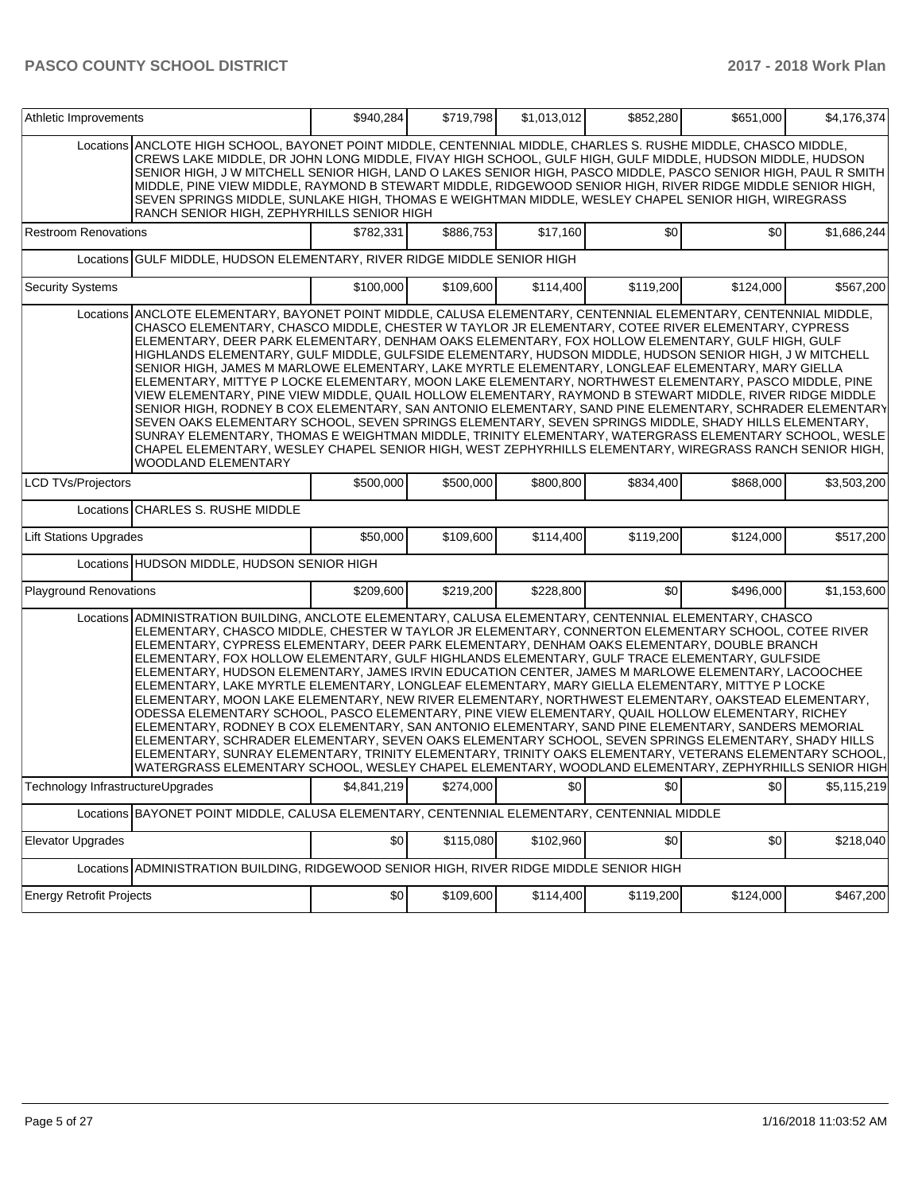| Athletic Improvements             |                                                                                                                                                                                                                                                                                                                                                                                                                                                                                                                                                                                                                                                                                                                                                                                                                                                                                                                                                                                                                                                                                                                                                                                                                                                                      | \$940,284   | \$719,798 | \$1,013,012 | \$852,280 | \$651,000 | \$4,176,374 |  |
|-----------------------------------|----------------------------------------------------------------------------------------------------------------------------------------------------------------------------------------------------------------------------------------------------------------------------------------------------------------------------------------------------------------------------------------------------------------------------------------------------------------------------------------------------------------------------------------------------------------------------------------------------------------------------------------------------------------------------------------------------------------------------------------------------------------------------------------------------------------------------------------------------------------------------------------------------------------------------------------------------------------------------------------------------------------------------------------------------------------------------------------------------------------------------------------------------------------------------------------------------------------------------------------------------------------------|-------------|-----------|-------------|-----------|-----------|-------------|--|
|                                   | Locations ANCLOTE HIGH SCHOOL, BAYONET POINT MIDDLE, CENTENNIAL MIDDLE, CHARLES S. RUSHE MIDDLE, CHASCO MIDDLE,<br>CREWS LAKE MIDDLE, DR JOHN LONG MIDDLE, FIVAY HIGH SCHOOL, GULF HIGH, GULF MIDDLE, HUDSON MIDDLE, HUDSON<br>SENIOR HIGH, J W MITCHELL SENIOR HIGH, LAND O LAKES SENIOR HIGH, PASCO MIDDLE, PASCO SENIOR HIGH, PAUL R SMITH<br>MIDDLE, PINE VIEW MIDDLE, RAYMOND B STEWART MIDDLE, RIDGEWOOD SENIOR HIGH, RIVER RIDGE MIDDLE SENIOR HIGH,<br>SEVEN SPRINGS MIDDLE, SUNLAKE HIGH, THOMAS E WEIGHTMAN MIDDLE, WESLEY CHAPEL SENIOR HIGH, WIREGRASS<br>RANCH SENIOR HIGH, ZEPHYRHILLS SENIOR HIGH                                                                                                                                                                                                                                                                                                                                                                                                                                                                                                                                                                                                                                                     |             |           |             |           |           |             |  |
| <b>Restroom Renovations</b>       |                                                                                                                                                                                                                                                                                                                                                                                                                                                                                                                                                                                                                                                                                                                                                                                                                                                                                                                                                                                                                                                                                                                                                                                                                                                                      | \$782,331   | \$886,753 | \$17,160    | \$0       | \$0       | \$1,686,244 |  |
|                                   | Locations GULF MIDDLE, HUDSON ELEMENTARY, RIVER RIDGE MIDDLE SENIOR HIGH                                                                                                                                                                                                                                                                                                                                                                                                                                                                                                                                                                                                                                                                                                                                                                                                                                                                                                                                                                                                                                                                                                                                                                                             |             |           |             |           |           |             |  |
| <b>Security Systems</b>           |                                                                                                                                                                                                                                                                                                                                                                                                                                                                                                                                                                                                                                                                                                                                                                                                                                                                                                                                                                                                                                                                                                                                                                                                                                                                      | \$100,000   | \$109,600 | \$114,400   | \$119,200 | \$124,000 | \$567,200   |  |
|                                   | Locations ANCLOTE ELEMENTARY, BAYONET POINT MIDDLE, CALUSA ELEMENTARY, CENTENNIAL ELEMENTARY, CENTENNIAL MIDDLE,<br>CHASCO ELEMENTARY, CHASCO MIDDLE, CHESTER W TAYLOR JR ELEMENTARY, COTEE RIVER ELEMENTARY, CYPRESS<br>ELEMENTARY, DEER PARK ELEMENTARY, DENHAM OAKS ELEMENTARY, FOX HOLLOW ELEMENTARY, GULF HIGH, GULF<br>HIGHLANDS ELEMENTARY, GULF MIDDLE, GULFSIDE ELEMENTARY, HUDSON MIDDLE, HUDSON SENIOR HIGH, J W MITCHELL<br>SENIOR HIGH, JAMES M MARLOWE ELEMENTARY, LAKE MYRTLE ELEMENTARY, LONGLEAF ELEMENTARY, MARY GIELLA<br>ELEMENTARY, MITTYE P LOCKE ELEMENTARY, MOON LAKE ELEMENTARY, NORTHWEST ELEMENTARY, PASCO MIDDLE, PINE<br>VIEW ELEMENTARY, PINE VIEW MIDDLE, QUAIL HOLLOW ELEMENTARY, RAYMOND B STEWART MIDDLE, RIVER RIDGE MIDDLE<br>SENIOR HIGH, RODNEY B COX ELEMENTARY, SAN ANTONIO ELEMENTARY, SAND PINE ELEMENTARY, SCHRADER ELEMENTARY<br>SEVEN OAKS ELEMENTARY SCHOOL, SEVEN SPRINGS ELEMENTARY, SEVEN SPRINGS MIDDLE, SHADY HILLS ELEMENTARY,<br>SUNRAY ELEMENTARY, THOMAS E WEIGHTMAN MIDDLE, TRINITY ELEMENTARY, WATERGRASS ELEMENTARY SCHOOL, WESLE<br>CHAPEL ELEMENTARY, WESLEY CHAPEL SENIOR HIGH, WEST ZEPHYRHILLS ELEMENTARY, WIREGRASS RANCH SENIOR HIGH,<br><b>WOODLAND ELEMENTARY</b>                                 |             |           |             |           |           |             |  |
| LCD TVs/Projectors                |                                                                                                                                                                                                                                                                                                                                                                                                                                                                                                                                                                                                                                                                                                                                                                                                                                                                                                                                                                                                                                                                                                                                                                                                                                                                      | \$500,000   | \$500,000 | \$800,800   | \$834,400 | \$868,000 | \$3,503,200 |  |
|                                   | Locations CHARLES S. RUSHE MIDDLE                                                                                                                                                                                                                                                                                                                                                                                                                                                                                                                                                                                                                                                                                                                                                                                                                                                                                                                                                                                                                                                                                                                                                                                                                                    |             |           |             |           |           |             |  |
| <b>Lift Stations Upgrades</b>     |                                                                                                                                                                                                                                                                                                                                                                                                                                                                                                                                                                                                                                                                                                                                                                                                                                                                                                                                                                                                                                                                                                                                                                                                                                                                      | \$50,000    | \$109,600 | \$114,400   | \$119,200 | \$124,000 | \$517,200   |  |
|                                   | Locations HUDSON MIDDLE, HUDSON SENIOR HIGH                                                                                                                                                                                                                                                                                                                                                                                                                                                                                                                                                                                                                                                                                                                                                                                                                                                                                                                                                                                                                                                                                                                                                                                                                          |             |           |             |           |           |             |  |
| Playground Renovations            |                                                                                                                                                                                                                                                                                                                                                                                                                                                                                                                                                                                                                                                                                                                                                                                                                                                                                                                                                                                                                                                                                                                                                                                                                                                                      | \$209,600   | \$219,200 | \$228,800   | \$0       | \$496,000 | \$1,153,600 |  |
|                                   | Locations ADMINISTRATION BUILDING, ANCLOTE ELEMENTARY, CALUSA ELEMENTARY, CENTENNIAL ELEMENTARY, CHASCO<br>ELEMENTARY, CHASCO MIDDLE, CHESTER W TAYLOR JR ELEMENTARY, CONNERTON ELEMENTARY SCHOOL, COTEE RIVER<br>ELEMENTARY, CYPRESS ELEMENTARY, DEER PARK ELEMENTARY, DENHAM OAKS ELEMENTARY, DOUBLE BRANCH<br>ELEMENTARY, FOX HOLLOW ELEMENTARY, GULF HIGHLANDS ELEMENTARY, GULF TRACE ELEMENTARY, GULFSIDE<br>ELEMENTARY, HUDSON ELEMENTARY, JAMES IRVIN EDUCATION CENTER, JAMES M MARLOWE ELEMENTARY, LACOOCHEE<br>ELEMENTARY, LAKE MYRTLE ELEMENTARY, LONGLEAF ELEMENTARY, MARY GIELLA ELEMENTARY, MITTYE P LOCKE<br>ELEMENTARY, MOON LAKE ELEMENTARY, NEW RIVER ELEMENTARY, NORTHWEST ELEMENTARY, OAKSTEAD ELEMENTARY,<br>ODESSA ELEMENTARY SCHOOL, PASCO ELEMENTARY, PINE VIEW ELEMENTARY, QUAIL HOLLOW ELEMENTARY, RICHEY<br>ELEMENTARY, RODNEY B COX ELEMENTARY, SAN ANTONIO ELEMENTARY, SAND PINE ELEMENTARY, SANDERS MEMORIAL<br>ELEMENTARY, SCHRADER ELEMENTARY, SEVEN OAKS ELEMENTARY SCHOOL, SEVEN SPRINGS ELEMENTARY, SHADY HILLS<br>ELEMENTARY, SUNRAY ELEMENTARY, TRINITY ELEMENTARY, TRINITY OAKS ELEMENTARY, VETERANS ELEMENTARY SCHOOL,<br>WATERGRASS ELEMENTARY SCHOOL, WESLEY CHAPEL ELEMENTARY, WOODLAND ELEMENTARY, ZEPHYRHILLS SENIOR HIGH |             |           |             |           |           |             |  |
| Technology InfrastructureUpgrades |                                                                                                                                                                                                                                                                                                                                                                                                                                                                                                                                                                                                                                                                                                                                                                                                                                                                                                                                                                                                                                                                                                                                                                                                                                                                      | \$4,841,219 | \$274,000 | \$0         | \$0       | \$0       | \$5,115,219 |  |
|                                   | Locations BAYONET POINT MIDDLE, CALUSA ELEMENTARY, CENTENNIAL ELEMENTARY, CENTENNIAL MIDDLE                                                                                                                                                                                                                                                                                                                                                                                                                                                                                                                                                                                                                                                                                                                                                                                                                                                                                                                                                                                                                                                                                                                                                                          |             |           |             |           |           |             |  |
| Elevator Upgrades                 |                                                                                                                                                                                                                                                                                                                                                                                                                                                                                                                                                                                                                                                                                                                                                                                                                                                                                                                                                                                                                                                                                                                                                                                                                                                                      | \$0         | \$115,080 | \$102,960   | \$0       | \$0       | \$218,040   |  |
|                                   | Locations ADMINISTRATION BUILDING, RIDGEWOOD SENIOR HIGH, RIVER RIDGE MIDDLE SENIOR HIGH                                                                                                                                                                                                                                                                                                                                                                                                                                                                                                                                                                                                                                                                                                                                                                                                                                                                                                                                                                                                                                                                                                                                                                             |             |           |             |           |           |             |  |
| Energy Retrofit Projects          |                                                                                                                                                                                                                                                                                                                                                                                                                                                                                                                                                                                                                                                                                                                                                                                                                                                                                                                                                                                                                                                                                                                                                                                                                                                                      | \$0         | \$109,600 | \$114,400   | \$119,200 | \$124,000 | \$467,200   |  |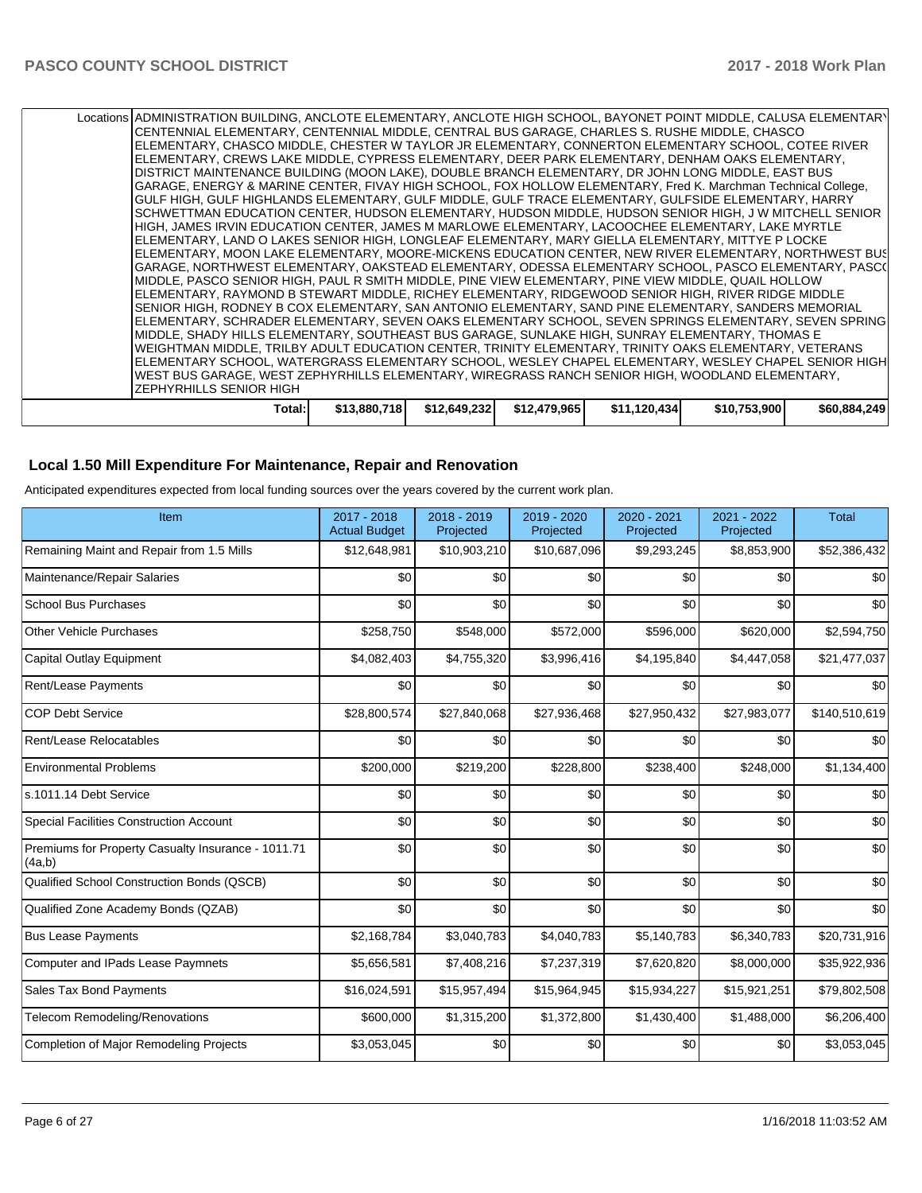| <b>ZEPHYRHILLS SENIOR HIGH</b><br>Total:l                                                                                                                                                                      | \$13,880,718 | \$12,649,232 | \$12,479,965 | \$11,120,434 | \$10,753,900 | \$60,884,249 |
|----------------------------------------------------------------------------------------------------------------------------------------------------------------------------------------------------------------|--------------|--------------|--------------|--------------|--------------|--------------|
| WEST BUS GARAGE, WEST ZEPHYRHILLS ELEMENTARY, WIREGRASS RANCH SENIOR HIGH, WOODLAND ELEMENTARY,                                                                                                                |              |              |              |              |              |              |
| ELEMENTARY SCHOOL, WATERGRASS ELEMENTARY SCHOOL, WESLEY CHAPEL ELEMENTARY, WESLEY CHAPEL SENIOR HIGH                                                                                                           |              |              |              |              |              |              |
| WEIGHTMAN MIDDLE, TRILBY ADULT EDUCATION CENTER, TRINITY ELEMENTARY, TRINITY OAKS ELEMENTARY, VETERANS                                                                                                         |              |              |              |              |              |              |
| MIDDLE, SHADY HILLS ELEMENTARY, SOUTHEAST BUS GARAGE, SUNLAKE HIGH, SUNRAY ELEMENTARY, THOMAS E                                                                                                                |              |              |              |              |              |              |
| SENIOR HIGH, RODNEY B COX ELEMENTARY, SAN ANTONIO ELEMENTARY, SAND PINE ELEMENTARY, SANDERS MEMORIAL<br>IELEMENTARY, SCHRADER ELEMENTARY, SEVEN OAKS ELEMENTARY SCHOOL, SEVEN SPRINGS ELEMENTARY, SEVEN SPRING |              |              |              |              |              |              |
| ELEMENTARY, RAYMOND B STEWART MIDDLE, RICHEY ELEMENTARY, RIDGEWOOD SENIOR HIGH, RIVER RIDGE MIDDLE                                                                                                             |              |              |              |              |              |              |
| MIDDLE, PASCO SENIOR HIGH, PAUL R SMITH MIDDLE, PINE VIEW ELEMENTARY, PINE VIEW MIDDLE, QUAIL HOLLOW                                                                                                           |              |              |              |              |              |              |
| GARAGE, NORTHWEST ELEMENTARY, OAKSTEAD ELEMENTARY, ODESSA ELEMENTARY SCHOOL, PASCO ELEMENTARY, PASC(                                                                                                           |              |              |              |              |              |              |
| IELEMENTARY. MOON LAKE ELEMENTARY. MOORE-MICKENS EDUCATION CENTER. NEW RIVER ELEMENTARY. NORTHWEST BUS                                                                                                         |              |              |              |              |              |              |
| ELEMENTARY, LAND O LAKES SENIOR HIGH, LONGLEAF ELEMENTARY, MARY GIELLA ELEMENTARY, MITTYE P LOCKE                                                                                                              |              |              |              |              |              |              |
| HIGH, JAMES IRVIN EDUCATION CENTER, JAMES M MARLOWE ELEMENTARY, LACOOCHEE ELEMENTARY, LAKE MYRTLE                                                                                                              |              |              |              |              |              |              |
| SCHWETTMAN EDUCATION CENTER, HUDSON ELEMENTARY, HUDSON MIDDLE, HUDSON SENIOR HIGH, J W MITCHELL SENIOR                                                                                                         |              |              |              |              |              |              |
| GULF HIGH, GULF HIGHLANDS ELEMENTARY, GULF MIDDLE, GULF TRACE ELEMENTARY, GULFSIDE ELEMENTARY, HARRY                                                                                                           |              |              |              |              |              |              |
| GARAGE, ENERGY & MARINE CENTER, FIVAY HIGH SCHOOL, FOX HOLLOW ELEMENTARY, Fred K. Marchman Technical College,                                                                                                  |              |              |              |              |              |              |
| DISTRICT MAINTENANCE BUILDING (MOON LAKE), DOUBLE BRANCH ELEMENTARY, DR JOHN LONG MIDDLE, EAST BUS                                                                                                             |              |              |              |              |              |              |
| ELEMENTARY, CHASCO MIDDLE, CHESTER W TAYLOR JR ELEMENTARY, CONNERTON ELEMENTARY SCHOOL, COTEE RIVER<br>ELEMENTARY, CREWS LAKE MIDDLE, CYPRESS ELEMENTARY, DEER PARK ELEMENTARY, DENHAM OAKS ELEMENTARY,        |              |              |              |              |              |              |
| CENTENNIAL ELEMENTARY, CENTENNIAL MIDDLE, CENTRAL BUS GARAGE, CHARLES S. RUSHE MIDDLE, CHASCO                                                                                                                  |              |              |              |              |              |              |
| Locations ADMINISTRATION BUILDING, ANCLOTE ELEMENTARY, ANCLOTE HIGH SCHOOL, BAYONET POINT MIDDLE, CALUSA ELEMENTARY                                                                                            |              |              |              |              |              |              |
|                                                                                                                                                                                                                |              |              |              |              |              |              |

## **Local 1.50 Mill Expenditure For Maintenance, Repair and Renovation**

Anticipated expenditures expected from local funding sources over the years covered by the current work plan.

| Item                                                         | 2017 - 2018<br><b>Actual Budget</b> | 2018 - 2019<br>Projected | $2019 - 2020$<br>Projected | $2020 - 2021$<br>Projected | 2021 - 2022<br>Projected | <b>Total</b>  |
|--------------------------------------------------------------|-------------------------------------|--------------------------|----------------------------|----------------------------|--------------------------|---------------|
| Remaining Maint and Repair from 1.5 Mills                    | \$12,648,981                        | \$10,903,210             | \$10,687,096               | \$9,293,245                | \$8,853,900              | \$52,386,432  |
| Maintenance/Repair Salaries                                  | \$0                                 | \$0                      | \$0                        | \$0                        | \$0                      | \$0           |
| <b>School Bus Purchases</b>                                  | \$0                                 | \$0                      | \$0                        | \$0                        | \$0                      | \$0           |
| <b>Other Vehicle Purchases</b>                               | \$258,750                           | \$548,000                | \$572,000                  | \$596,000                  | \$620,000                | \$2,594,750   |
| <b>Capital Outlay Equipment</b>                              | \$4,082,403                         | \$4,755,320              | \$3,996,416                | \$4,195,840                | \$4,447,058              | \$21,477,037  |
| Rent/Lease Payments                                          | \$0                                 | \$0                      | \$0                        | \$0                        | \$0                      | \$0           |
| <b>COP Debt Service</b>                                      | \$28,800,574                        | \$27,840,068             | \$27,936,468               | \$27,950,432               | \$27,983,077             | \$140,510,619 |
| Rent/Lease Relocatables                                      | \$0                                 | \$0                      | \$0                        | \$0                        | \$0                      | \$0           |
| <b>Environmental Problems</b>                                | \$200,000                           | \$219,200                | \$228,800                  | \$238,400                  | \$248,000                | \$1,134,400   |
| s.1011.14 Debt Service                                       | \$0                                 | \$0                      | \$0                        | \$0                        | \$0                      | \$0           |
| <b>Special Facilities Construction Account</b>               | \$0                                 | \$0                      | \$0                        | \$0                        | \$0                      | \$0           |
| Premiums for Property Casualty Insurance - 1011.71<br>(4a,b) | \$0                                 | \$0                      | \$0                        | \$0                        | \$0                      | \$0           |
| Qualified School Construction Bonds (QSCB)                   | \$0                                 | \$0                      | \$0                        | \$0                        | \$0                      | \$0           |
| Qualified Zone Academy Bonds (QZAB)                          | \$0                                 | \$0                      | \$0                        | \$0                        | \$0                      | \$0           |
| <b>Bus Lease Payments</b>                                    | \$2,168,784                         | \$3,040,783              | \$4,040,783                | \$5,140,783                | \$6,340,783              | \$20,731,916  |
| <b>Computer and IPads Lease Paymnets</b>                     | \$5,656,581                         | \$7,408,216              | \$7,237,319                | \$7,620,820                | \$8,000,000              | \$35,922,936  |
| Sales Tax Bond Payments                                      | \$16,024,591                        | \$15,957,494             | \$15,964,945               | \$15,934,227               | \$15,921,251             | \$79,802,508  |
| Telecom Remodeling/Renovations                               | \$600,000                           | \$1,315,200              | \$1,372,800                | \$1,430,400                | \$1,488,000              | \$6,206,400   |
| Completion of Major Remodeling Projects                      | \$3,053,045                         | \$0                      | \$0                        | \$0                        | \$0                      | \$3,053,045   |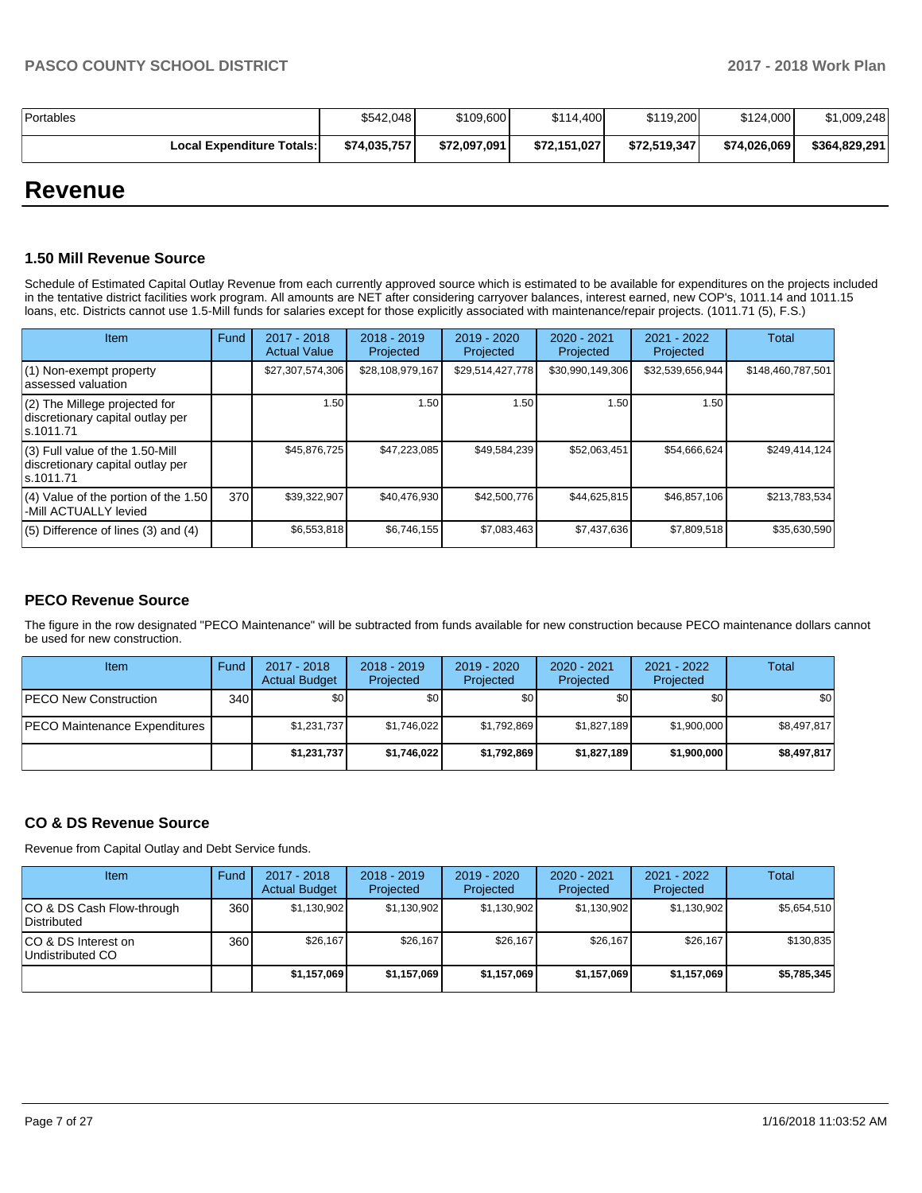| Portables                   | \$542.048    | \$109,600    | \$114,400    | \$119,200    | \$124,000    | \$1,009,248   |
|-----------------------------|--------------|--------------|--------------|--------------|--------------|---------------|
| Local Expenditure Totals: I | \$74,035,757 | \$72,097,091 | \$72.151.027 | \$72,519,347 | \$74,026,069 | \$364.829.291 |

## **Revenue**

#### **1.50 Mill Revenue Source**

Schedule of Estimated Capital Outlay Revenue from each currently approved source which is estimated to be available for expenditures on the projects included in the tentative district facilities work program. All amounts are NET after considering carryover balances, interest earned, new COP's, 1011.14 and 1011.15 loans, etc. Districts cannot use 1.5-Mill funds for salaries except for those explicitly associated with maintenance/repair projects. (1011.71 (5), F.S.)

| Item                                                                                | Fund | 2017 - 2018<br><b>Actual Value</b> | $2018 - 2019$<br>Projected | $2019 - 2020$<br>Projected | $2020 - 2021$<br>Projected | 2021 - 2022<br>Projected | <b>Total</b>      |
|-------------------------------------------------------------------------------------|------|------------------------------------|----------------------------|----------------------------|----------------------------|--------------------------|-------------------|
| (1) Non-exempt property<br>lassessed valuation                                      |      | \$27,307,574,306                   | \$28,108,979,167           | \$29,514,427,778           | \$30,990,149,306           | \$32,539,656,944         | \$148,460,787,501 |
| $(2)$ The Millege projected for<br>discretionary capital outlay per<br>ls.1011.71   |      | 1.50                               | 1.50                       | .50                        | 1.50                       | 1.50                     |                   |
| $(3)$ Full value of the 1.50-Mill<br>discretionary capital outlay per<br>ls.1011.71 |      | \$45,876,725                       | \$47,223,085               | \$49,584,239               | \$52,063,451               | \$54,666,624             | \$249,414,124     |
| (4) Value of the portion of the 1.50<br>-Mill ACTUALLY levied                       | 370  | \$39,322,907                       | \$40,476,930               | \$42,500,776               | \$44,625,815               | \$46,857,106             | \$213,783,534     |
| $(5)$ Difference of lines $(3)$ and $(4)$                                           |      | \$6,553,818                        | \$6,746,155                | \$7,083,463                | \$7,437,636                | \$7,809,518              | \$35,630,590      |

#### **PECO Revenue Source**

The figure in the row designated "PECO Maintenance" will be subtracted from funds available for new construction because PECO maintenance dollars cannot be used for new construction.

| <b>Item</b>                          | Fund         | 2017 - 2018<br><b>Actual Budget</b> | $2018 - 2019$<br>Projected | 2019 - 2020<br>Projected | $2020 - 2021$<br>Projected | 2021 - 2022<br>Projected | <b>Total</b> |
|--------------------------------------|--------------|-------------------------------------|----------------------------|--------------------------|----------------------------|--------------------------|--------------|
| <b>IPECO New Construction</b>        | 340 <b>I</b> | \$0 <sub>1</sub>                    | \$0 <sub>1</sub>           | \$0                      | \$0 <sub>1</sub>           | \$0                      | \$0          |
| <b>PECO Maintenance Expenditures</b> |              | \$1,231,737                         | \$1,746,022                | \$1,792,869              | \$1,827,189                | \$1,900,000              | \$8,497,817  |
|                                      |              | \$1,231,737                         | \$1,746,022                | \$1.792.869              | \$1,827,189                | \$1,900,000              | \$8,497,817  |

#### **CO & DS Revenue Source**

Revenue from Capital Outlay and Debt Service funds.

| Item                                      | Fund | $2017 - 2018$<br><b>Actual Budget</b> | $2018 - 2019$<br>Projected | 2019 - 2020<br>Projected | $2020 - 2021$<br>Projected | $2021 - 2022$<br>Projected | <b>Total</b> |
|-------------------------------------------|------|---------------------------------------|----------------------------|--------------------------|----------------------------|----------------------------|--------------|
| ICO & DS Cash Flow-through<br>Distributed | 360  | \$1.130.902                           | \$1,130,902                | \$1.130.902              | \$1.130.902                | \$1,130,902                | \$5.654.510  |
| ICO & DS Interest on<br>Undistributed CO  | 360  | \$26.167                              | \$26.167                   | \$26.167                 | \$26,167                   | \$26.167                   | \$130.835    |
|                                           |      | \$1,157,069                           | \$1,157,069                | \$1,157,069              | \$1,157,069                | \$1,157,069                | \$5,785,345  |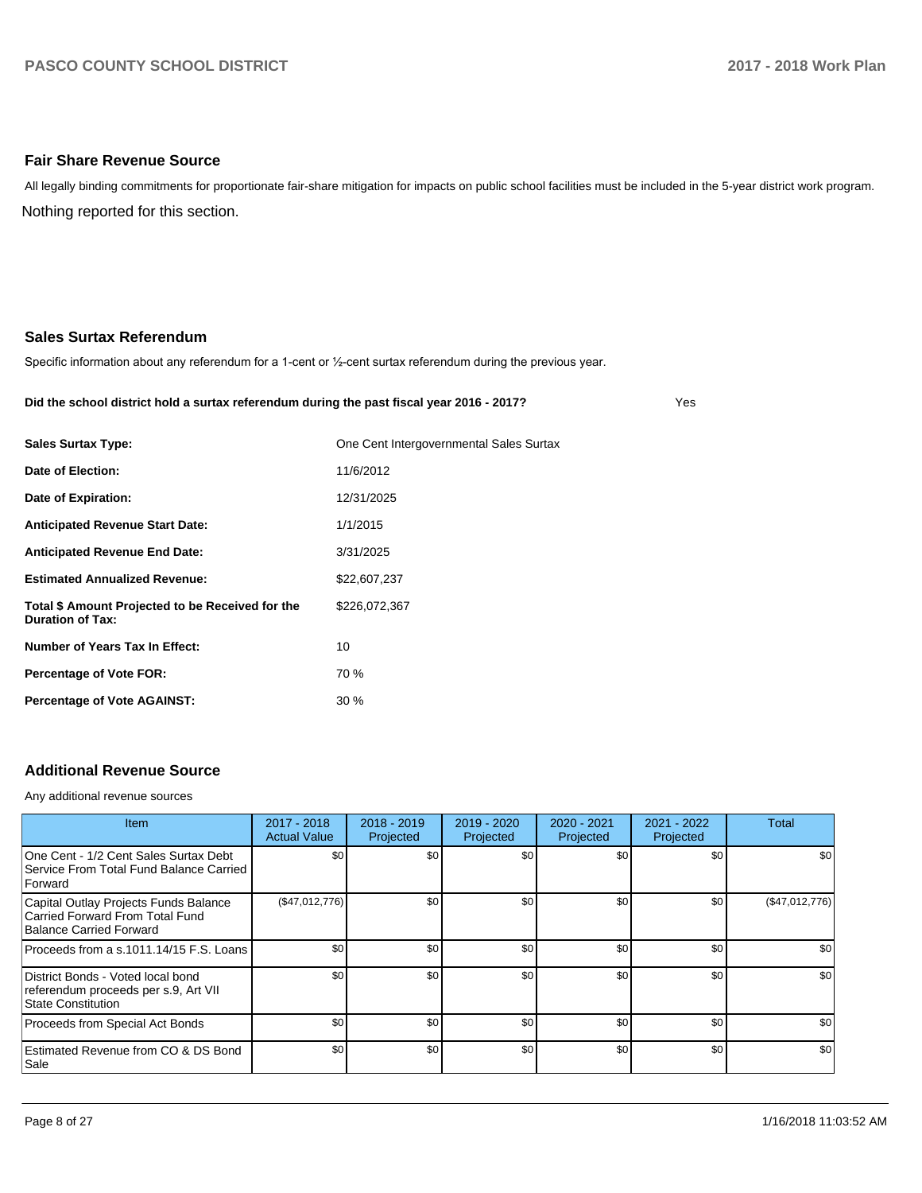#### **Fair Share Revenue Source**

Nothing reported for this section. All legally binding commitments for proportionate fair-share mitigation for impacts on public school facilities must be included in the 5-year district work program.

#### **Sales Surtax Referendum**

Specific information about any referendum for a 1-cent or 1/2-cent surtax referendum during the previous year.

#### **Did the school district hold a surtax referendum during the past fiscal year 2016 - 2017?**

Yes

| <b>Sales Surtax Type:</b>                                                   | One Cent Intergovernmental Sales Surtax |
|-----------------------------------------------------------------------------|-----------------------------------------|
| Date of Election:                                                           | 11/6/2012                               |
| Date of Expiration:                                                         | 12/31/2025                              |
| <b>Anticipated Revenue Start Date:</b>                                      | 1/1/2015                                |
| <b>Anticipated Revenue End Date:</b>                                        | 3/31/2025                               |
| <b>Estimated Annualized Revenue:</b>                                        | \$22,607,237                            |
| Total \$ Amount Projected to be Received for the<br><b>Duration of Tax:</b> | \$226,072,367                           |
| Number of Years Tax In Effect:                                              | 10                                      |
| Percentage of Vote FOR:                                                     | 70 %                                    |
| <b>Percentage of Vote AGAINST:</b>                                          | $30\%$                                  |
|                                                                             |                                         |

## **Additional Revenue Source**

Any additional revenue sources

| <b>Item</b>                                                                                         | 2017 - 2018<br><b>Actual Value</b> | $2018 - 2019$<br>Projected | 2019 - 2020<br>Projected | 2020 - 2021<br>Projected | 2021 - 2022<br>Projected | Total            |
|-----------------------------------------------------------------------------------------------------|------------------------------------|----------------------------|--------------------------|--------------------------|--------------------------|------------------|
| One Cent - 1/2 Cent Sales Surtax Debt<br>Service From Total Fund Balance Carried<br>Forward         | \$0                                | \$0 <sub>1</sub>           | \$0                      | \$0                      | \$0                      | \$0 <sub>1</sub> |
| Capital Outlay Projects Funds Balance<br>Carried Forward From Total Fund<br>Balance Carried Forward | (\$47,012,776)                     | \$0 <sub>1</sub>           | \$0                      | \$0                      | \$0                      | (\$47,012,776)   |
| Proceeds from a s.1011.14/15 F.S. Loans                                                             | \$0                                | \$0 <sub>1</sub>           | \$0                      | \$0                      | \$0                      | \$0              |
| District Bonds - Voted local bond<br>referendum proceeds per s.9, Art VII<br>State Constitution     | \$0                                | \$0                        | \$0                      | \$0                      | \$0                      | \$0              |
| Proceeds from Special Act Bonds                                                                     | \$0                                | \$0 <sub>1</sub>           | \$0                      | \$0                      | \$0                      | \$0              |
| Estimated Revenue from CO & DS Bond<br> Sale                                                        | \$0                                | \$0 <sub>1</sub>           | \$0                      | \$0                      | \$0                      | \$0              |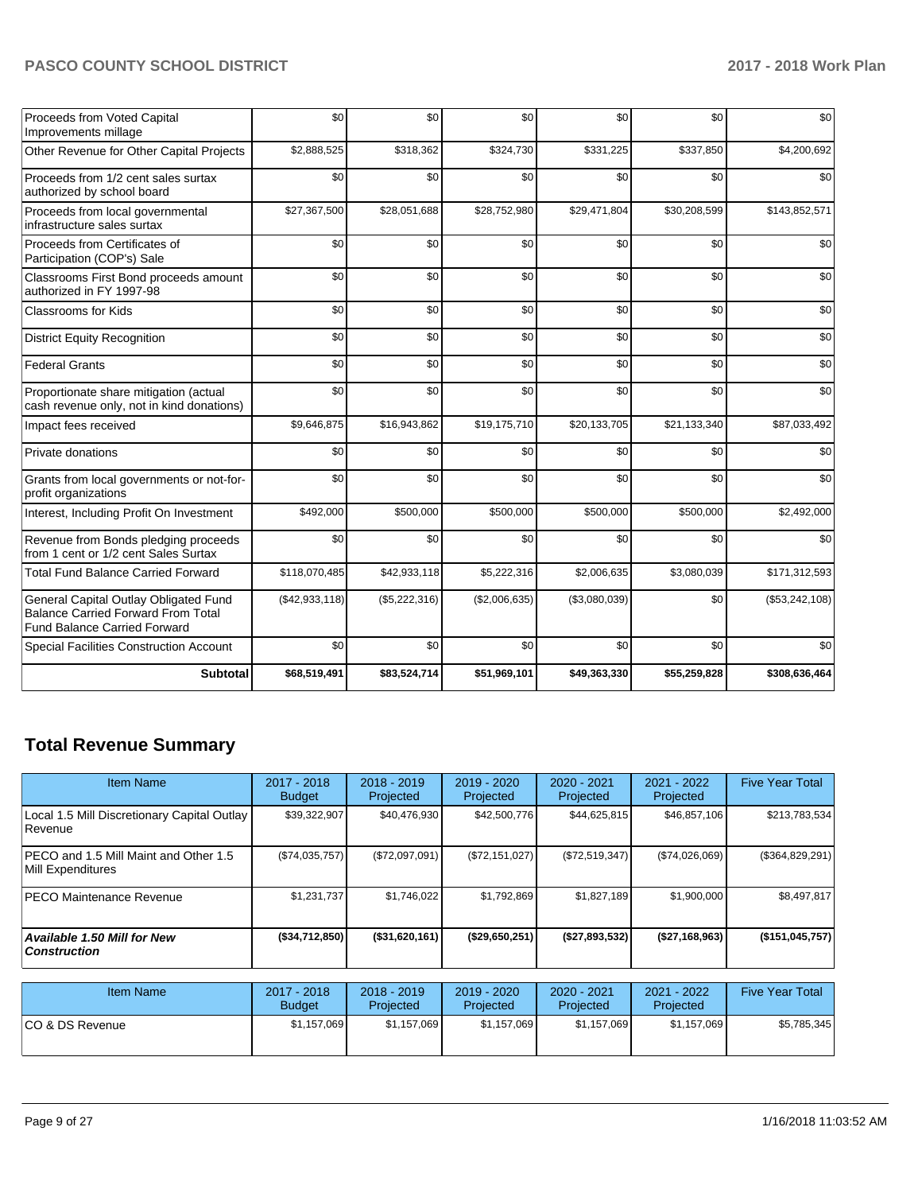| Proceeds from Voted Capital<br>Improvements millage                                                                       | \$0            | \$0           | \$0           | \$0           | \$0          | \$0            |
|---------------------------------------------------------------------------------------------------------------------------|----------------|---------------|---------------|---------------|--------------|----------------|
| Other Revenue for Other Capital Projects                                                                                  | \$2,888,525    | \$318,362     | \$324,730     | \$331,225     | \$337,850    | \$4,200,692    |
| Proceeds from 1/2 cent sales surtax<br>authorized by school board                                                         | \$0            | \$0           | \$0           | \$0           | \$0          | \$0            |
| Proceeds from local governmental<br>infrastructure sales surtax                                                           | \$27,367,500   | \$28,051,688  | \$28,752,980  | \$29,471,804  | \$30,208,599 | \$143,852,571  |
| Proceeds from Certificates of<br>Participation (COP's) Sale                                                               | \$0            | \$0           | \$0           | \$0           | \$0          | \$0            |
| Classrooms First Bond proceeds amount<br>authorized in FY 1997-98                                                         | \$0            | \$0           | \$0           | \$0           | \$0          | \$0            |
| Classrooms for Kids                                                                                                       | \$0            | \$0           | \$0           | \$0           | \$0          | \$0            |
| <b>District Equity Recognition</b>                                                                                        | \$0            | \$0           | \$0           | \$0           | \$0          | \$0            |
| <b>Federal Grants</b>                                                                                                     | \$0            | \$0           | \$0           | \$0           | \$0          | \$0            |
| Proportionate share mitigation (actual<br>cash revenue only, not in kind donations)                                       | \$0            | \$0           | \$0           | \$0           | \$0          | \$0            |
| Impact fees received                                                                                                      | \$9,646,875    | \$16,943,862  | \$19,175,710  | \$20,133,705  | \$21,133,340 | \$87,033,492   |
| Private donations                                                                                                         | \$0            | \$0           | \$0           | \$0           | \$0          | \$0            |
| Grants from local governments or not-for-<br>profit organizations                                                         | \$0            | \$0           | \$0           | \$0           | \$0          | \$0            |
| Interest, Including Profit On Investment                                                                                  | \$492,000      | \$500,000     | \$500,000     | \$500,000     | \$500,000    | \$2,492,000    |
| Revenue from Bonds pledging proceeds<br>from 1 cent or 1/2 cent Sales Surtax                                              | \$0            | \$0           | \$0           | \$0           | \$0          | \$0            |
| <b>Total Fund Balance Carried Forward</b>                                                                                 | \$118,070,485  | \$42,933,118  | \$5,222,316   | \$2,006,635   | \$3,080,039  | \$171,312,593  |
| General Capital Outlay Obligated Fund<br><b>Balance Carried Forward From Total</b><br><b>Fund Balance Carried Forward</b> | (\$42,933,118) | (\$5,222,316) | (\$2,006,635) | (\$3,080,039) | \$0          | (\$53,242,108) |
| <b>Special Facilities Construction Account</b>                                                                            | \$0            | \$0           | \$0           | \$0           | \$0          | \$0            |
| <b>Subtotal</b>                                                                                                           | \$68,519,491   | \$83,524,714  | \$51,969,101  | \$49,363,330  | \$55,259,828 | \$308,636,464  |

## **Total Revenue Summary**

| Item Name                                                  | 2017 - 2018<br><b>Budget</b> | $2018 - 2019$<br>Projected | 2019 - 2020<br>Projected | 2020 - 2021<br>Projected | 2021 - 2022<br>Projected   | <b>Five Year Total</b> |
|------------------------------------------------------------|------------------------------|----------------------------|--------------------------|--------------------------|----------------------------|------------------------|
| Local 1.5 Mill Discretionary Capital Outlay<br>Revenue     | \$39,322,907                 | \$40,476,930               | \$42,500,776             | \$44,625,815             | \$46,857,106               | \$213,783,534          |
| PECO and 1.5 Mill Maint and Other 1.5<br>Mill Expenditures | (S74, 035, 757)              | (\$72,097,091)             | (\$72,151,027)           | (S72, 519, 347)          | (\$74,026,069)             | (\$364,829,291)        |
| IPECO Maintenance Revenue                                  | \$1,231,737                  | \$1,746,022                | \$1,792,869              | \$1,827,189              | \$1,900,000                | \$8,497,817            |
| <b>Available 1.50 Mill for New</b><br><b>Construction</b>  | $($ \$34,712,850)            | $($ \$31,620,161)          | (\$29,650,251)           | (\$27,893,532)           | (\$27,168,963)             | (\$151,045,757)        |
| <b>Item Name</b>                                           | 2017 - 2018<br><b>Budget</b> | $2018 - 2019$<br>Projected | 2019 - 2020<br>Projected | 2020 - 2021<br>Projected | $2021 - 2022$<br>Projected | <b>Five Year Total</b> |
| CO & DS Revenue                                            | \$1,157,069                  | \$1,157,069                | \$1,157,069              | \$1,157,069              | \$1,157,069                | \$5,785,345            |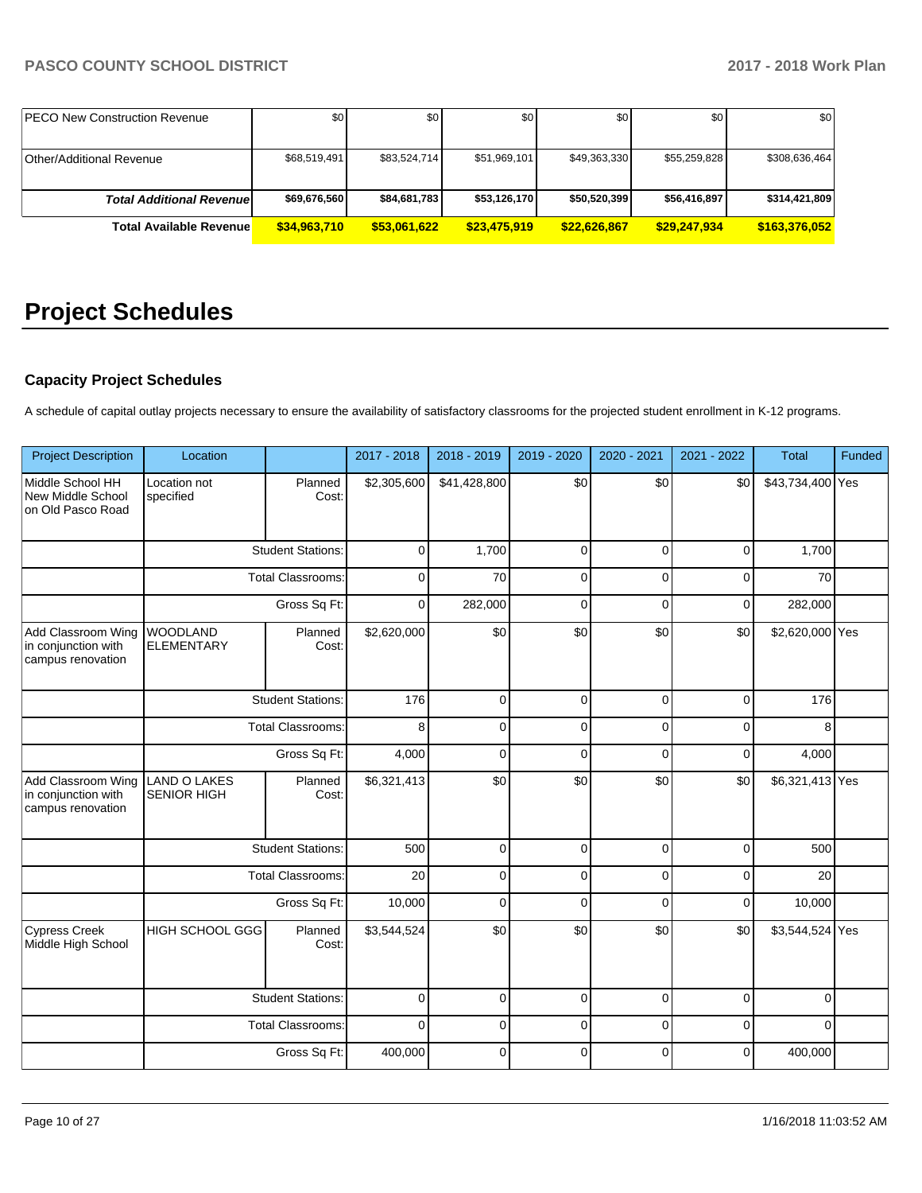| <b>IPECO New Construction Revenue</b> | \$0          | \$0          | \$0          | \$0 <sub>1</sub> | \$0 <sub>1</sub> | \$0           |
|---------------------------------------|--------------|--------------|--------------|------------------|------------------|---------------|
|                                       |              |              |              |                  |                  |               |
| <b>Other/Additional Revenue</b>       | \$68.519.491 | \$83,524,714 | \$51,969,101 | \$49,363,330     | \$55,259,828     | \$308,636,464 |
|                                       |              |              |              |                  |                  |               |
| <b>Total Additional Revenuel</b>      | \$69,676,560 | \$84,681,783 | \$53,126,170 | \$50,520,399     | \$56,416,897     | \$314,421,809 |
| <b>Total Available Revenue</b>        | \$34,963,710 | \$53,061,622 | \$23,475,919 | \$22,626,867     | \$29,247,934     | \$163,376,052 |

## **Project Schedules**

## **Capacity Project Schedules**

A schedule of capital outlay projects necessary to ensure the availability of satisfactory classrooms for the projected student enrollment in K-12 programs.

| <b>Project Description</b>                                     | Location                                  |                          | 2017 - 2018 | 2018 - 2019  | 2019 - 2020 | 2020 - 2021  | 2021 - 2022 | <b>Total</b>     | Funded |
|----------------------------------------------------------------|-------------------------------------------|--------------------------|-------------|--------------|-------------|--------------|-------------|------------------|--------|
| Middle School HH<br>New Middle School<br>on Old Pasco Road     | Location not<br>specified                 | Planned<br>Cost:         | \$2,305,600 | \$41,428,800 | \$0         | \$0          | \$0         | \$43,734,400 Yes |        |
|                                                                |                                           | <b>Student Stations:</b> | 0           | 1,700        | $\pmb{0}$   | $\mathbf 0$  | $\mathbf 0$ | 1,700            |        |
|                                                                |                                           | <b>Total Classrooms:</b> | 0           | 70           | $\mathbf 0$ | $\mathbf 0$  | $\mathbf 0$ | 70               |        |
|                                                                |                                           | Gross Sq Ft:             | $\mathbf 0$ | 282,000      | $\mathbf 0$ | $\mathbf 0$  | $\mathbf 0$ | 282,000          |        |
| Add Classroom Wing<br>in conjunction with<br>campus renovation | <b>WOODLAND</b><br><b>ELEMENTARY</b>      | Planned<br>Cost:         | \$2,620,000 | \$0          | \$0         | \$0          | \$0         | \$2,620,000 Yes  |        |
|                                                                |                                           | <b>Student Stations:</b> | 176         | $\mathbf 0$  | $\mathbf 0$ | $\mathbf 0$  | $\mathbf 0$ | 176              |        |
|                                                                | <b>Total Classrooms:</b><br>Gross Sq Ft:  |                          | 8           | 0            | $\mathbf 0$ | $\mathbf 0$  | $\mathbf 0$ | 8                |        |
|                                                                |                                           |                          | 4,000       | $\mathbf 0$  | $\mathbf 0$ | $\mathbf{0}$ | $\mathbf 0$ | 4,000            |        |
| Add Classroom Wing<br>in conjunction with<br>campus renovation | <b>LAND O LAKES</b><br><b>SENIOR HIGH</b> | Planned<br>Cost:         | \$6,321,413 | \$0          | \$0         | \$0          | \$0         | \$6,321,413 Yes  |        |
|                                                                |                                           | <b>Student Stations:</b> | 500         | $\mathbf 0$  | $\mathbf 0$ | $\mathbf 0$  | $\mathbf 0$ | 500              |        |
|                                                                |                                           | <b>Total Classrooms:</b> | 20          | $\mathbf 0$  | $\mathbf 0$ | $\mathbf 0$  | $\mathbf 0$ | 20               |        |
|                                                                |                                           | Gross Sq Ft:             | 10,000      | $\Omega$     | $\Omega$    | $\Omega$     | $\Omega$    | 10,000           |        |
| <b>Cypress Creek</b><br>Middle High School                     | <b>HIGH SCHOOL GGG</b>                    | Planned<br>Cost:         | \$3,544,524 | \$0          | \$0         | \$0          | \$0         | \$3,544,524 Yes  |        |
|                                                                |                                           | <b>Student Stations:</b> | $\mathbf 0$ | $\mathbf 0$  | $\mathbf 0$ | $\mathbf 0$  | $\mathbf 0$ | $\Omega$         |        |
|                                                                |                                           | <b>Total Classrooms:</b> | $\Omega$    | $\Omega$     | $\mathbf 0$ | $\Omega$     | $\Omega$    | $\Omega$         |        |
|                                                                |                                           | Gross Sq Ft:             | 400,000     | $\Omega$     | $\Omega$    | $\Omega$     | $\Omega$    | 400,000          |        |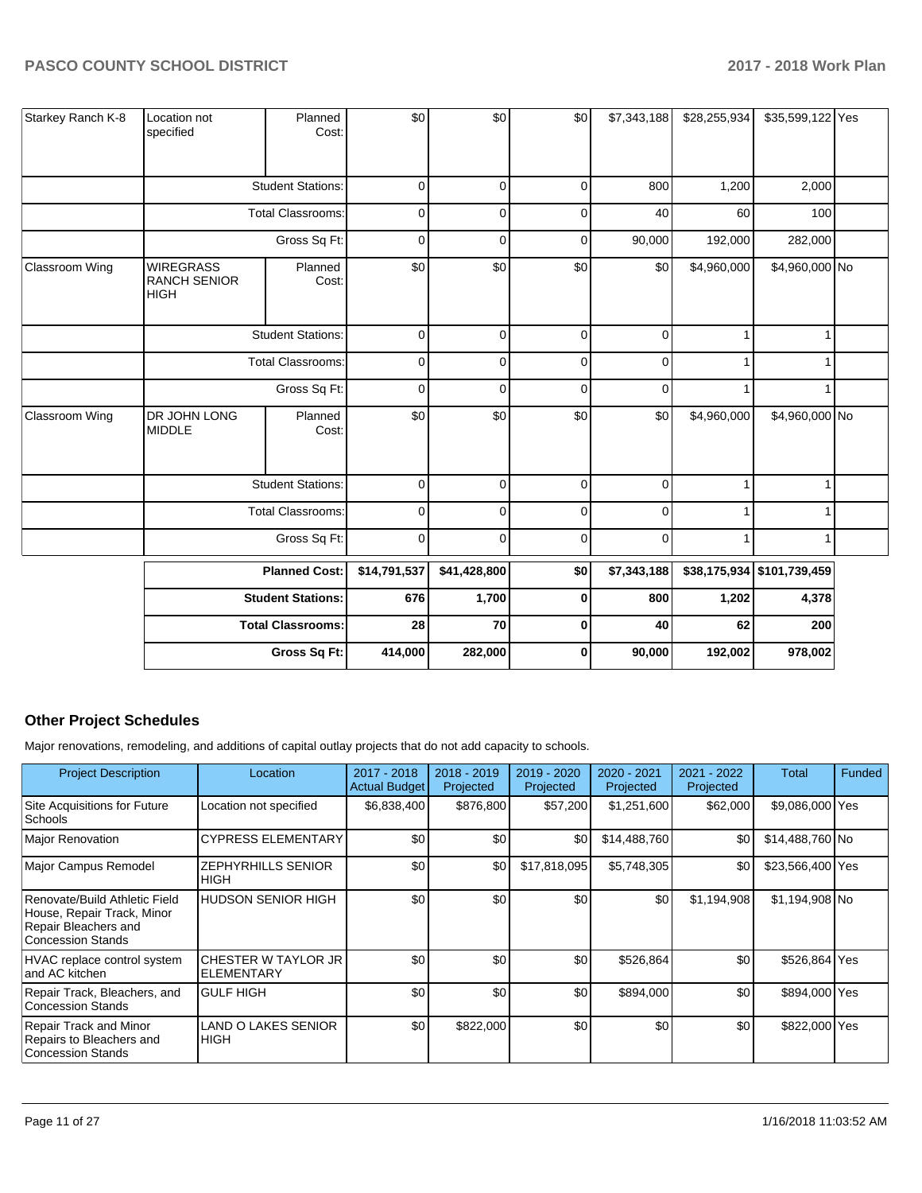| Starkey Ranch K-8 | Location not<br>specified                              | Planned<br>Cost:         | \$0          | \$0          | \$0         | \$7,343,188 | \$28,255,934 | \$35,599,122 Yes           |  |
|-------------------|--------------------------------------------------------|--------------------------|--------------|--------------|-------------|-------------|--------------|----------------------------|--|
|                   |                                                        | <b>Student Stations:</b> | $\mathbf 0$  | $\mathbf 0$  | $\mathbf 0$ | 800         | 1,200        | 2,000                      |  |
|                   |                                                        | <b>Total Classrooms:</b> | 0            | $\Omega$     | $\mathbf 0$ | 40          | 60           | 100                        |  |
|                   |                                                        | Gross Sq Ft:             | $\mathbf 0$  | $\Omega$     | $\mathbf 0$ | 90,000      | 192,000      | 282,000                    |  |
| Classroom Wing    | <b>WIREGRASS</b><br><b>RANCH SENIOR</b><br><b>HIGH</b> | Planned<br>Cost:         | \$0          | \$0          | \$0         | \$0         | \$4,960,000  | \$4,960,000 No             |  |
|                   |                                                        | <b>Student Stations:</b> | 0            | $\mathbf 0$  | 0           | 0           | 1            | 1                          |  |
|                   |                                                        | <b>Total Classrooms:</b> | 0            | $\Omega$     | $\mathbf 0$ | 0           | 1            | 1                          |  |
|                   | Gross Sq Ft:                                           |                          | $\pmb{0}$    | $\mathbf 0$  | $\mathbf 0$ | $\mathbf 0$ | 1            | 1                          |  |
| Classroom Wing    | DR JOHN LONG<br><b>MIDDLE</b>                          | Planned<br>Cost:         | \$0          | \$0          | \$0         | \$0         | \$4,960,000  | \$4,960,000 No             |  |
|                   |                                                        | <b>Student Stations:</b> | $\pmb{0}$    | $\mathbf 0$  | $\pmb{0}$   | 0           | 1            | 1                          |  |
|                   |                                                        | <b>Total Classrooms:</b> | $\pmb{0}$    | $\Omega$     | 0           | 0           | 1            | 1                          |  |
|                   |                                                        | Gross Sq Ft:             | $\pmb{0}$    | 0            | $\mathbf 0$ | $\mathbf 0$ |              | 1                          |  |
|                   |                                                        | <b>Planned Cost:</b>     | \$14,791,537 | \$41,428,800 | \$0         | \$7,343,188 |              | \$38,175,934 \$101,739,459 |  |
|                   |                                                        | <b>Student Stations:</b> | 676          | 1,700        | 0           | 800         | 1,202        | 4,378                      |  |
|                   |                                                        | <b>Total Classrooms:</b> | 28           | 70           | $\pmb{0}$   | 40          | 62           | 200                        |  |
|                   |                                                        | Gross Sq Ft:             | 414,000      | 282,000      | $\bf{0}$    | 90,000      | 192,002      | 978,002                    |  |

## **Other Project Schedules**

Major renovations, remodeling, and additions of capital outlay projects that do not add capacity to schools.

| <b>Project Description</b>                                                                               | Location                                 | 2017 - 2018<br><b>Actual Budget</b> | 2018 - 2019<br>Projected | 2019 - 2020<br>Projected | 2020 - 2021<br>Projected | 2021 - 2022<br>Projected | Total            | Funded |
|----------------------------------------------------------------------------------------------------------|------------------------------------------|-------------------------------------|--------------------------|--------------------------|--------------------------|--------------------------|------------------|--------|
| Site Acquisitions for Future<br><b>Schools</b>                                                           | Location not specified                   | \$6,838,400                         | \$876,800                | \$57,200                 | \$1,251,600              | \$62,000                 | \$9,086,000 Yes  |        |
| Major Renovation                                                                                         | <b>CYPRESS ELEMENTARY</b>                | \$0                                 | \$0                      | \$0                      | \$14,488,760             | \$0                      | \$14,488,760 No  |        |
| Major Campus Remodel                                                                                     | <b>ZEPHYRHILLS SENIOR</b><br><b>HIGH</b> | \$0                                 | \$0                      | \$17,818,095             | \$5,748,305              | \$0                      | \$23,566,400 Yes |        |
| Renovate/Build Athletic Field<br>House, Repair Track, Minor<br>Repair Bleachers and<br>Concession Stands | HUDSON SENIOR HIGH                       | \$0                                 | \$0                      | \$0                      | \$0                      | \$1.194.908              | \$1,194,908 No   |        |
| HVAC replace control system<br>land AC kitchen                                                           | CHESTER W TAYLOR JR<br><b>ELEMENTARY</b> | \$0                                 | \$0                      | \$0                      | \$526,864                | \$0                      | \$526,864 Yes    |        |
| Repair Track, Bleachers, and<br>Concession Stands                                                        | <b>GULF HIGH</b>                         | \$0                                 | \$0                      | \$0                      | \$894,000                | \$0                      | \$894,000 Yes    |        |
| Repair Track and Minor<br>Repairs to Bleachers and<br><b>Concession Stands</b>                           | LAND O LAKES SENIOR<br><b>HIGH</b>       | \$0                                 | \$822,000                | \$0                      | \$0                      | \$0                      | \$822,000 Yes    |        |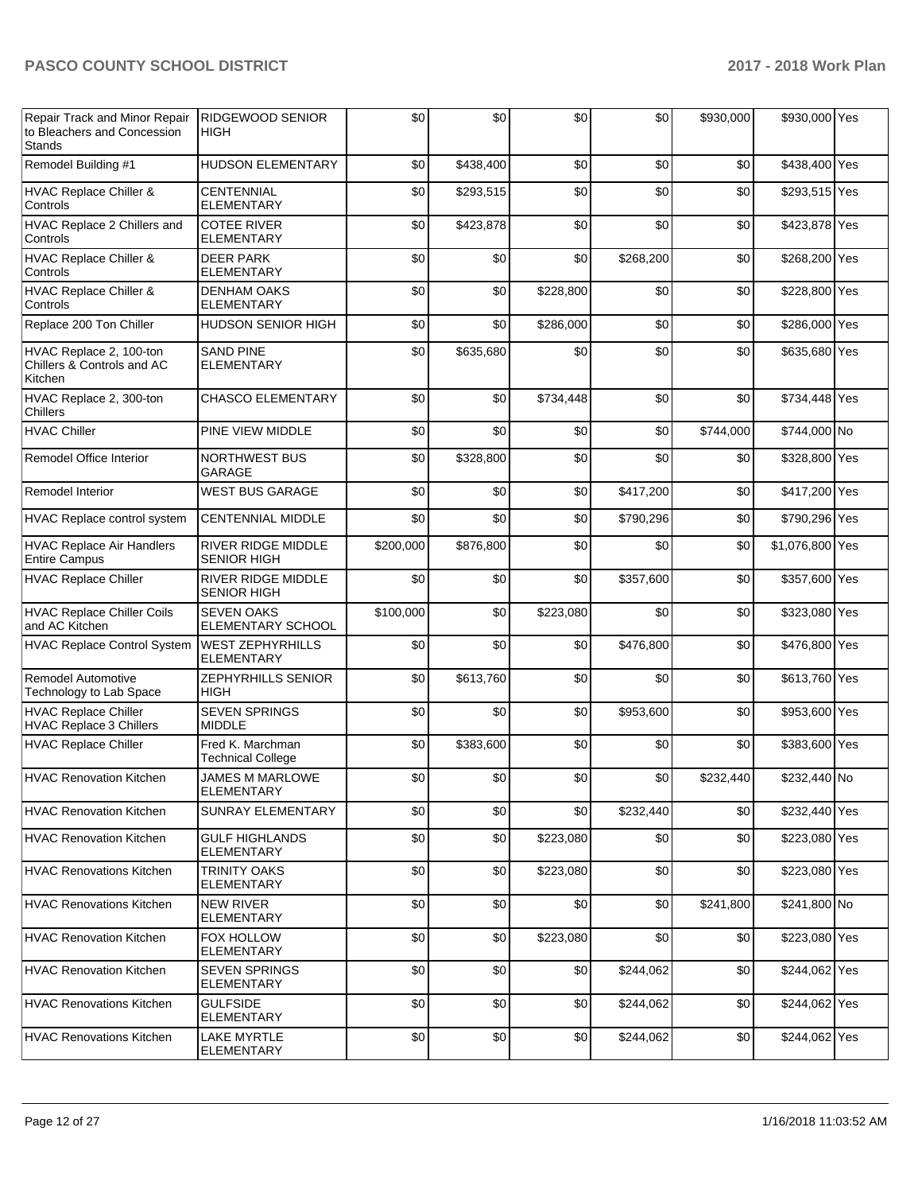| Repair Track and Minor Repair<br>to Bleachers and Concession<br><b>Stands</b> | <b>RIDGEWOOD SENIOR</b><br><b>HIGH</b>          | \$0       | \$0       | \$0       | \$0       | \$930,000 | \$930,000 Yes   |  |
|-------------------------------------------------------------------------------|-------------------------------------------------|-----------|-----------|-----------|-----------|-----------|-----------------|--|
| Remodel Building #1                                                           | <b>HUDSON ELEMENTARY</b>                        | \$0       | \$438,400 | \$0       | \$0       | \$0       | \$438,400 Yes   |  |
| HVAC Replace Chiller &<br>Controls                                            | <b>CENTENNIAL</b><br><b>ELEMENTARY</b>          | \$0       | \$293,515 | \$0       | \$0       | \$0       | \$293,515 Yes   |  |
| HVAC Replace 2 Chillers and<br>Controls                                       | <b>COTEE RIVER</b><br><b>ELEMENTARY</b>         | \$0       | \$423,878 | \$0       | \$0       | \$0       | \$423,878 Yes   |  |
| HVAC Replace Chiller &<br>Controls                                            | <b>DEER PARK</b><br>ELEMENTARY                  | \$0       | \$0       | \$0       | \$268,200 | \$0       | \$268,200 Yes   |  |
| HVAC Replace Chiller &<br>Controls                                            | <b>DENHAM OAKS</b><br>ELEMENTARY                | \$0       | \$0       | \$228,800 | \$0       | \$0       | \$228,800 Yes   |  |
| Replace 200 Ton Chiller                                                       | <b>HUDSON SENIOR HIGH</b>                       | \$0       | \$0       | \$286,000 | \$0       | \$0       | \$286,000 Yes   |  |
| HVAC Replace 2, 100-ton<br>Chillers & Controls and AC<br>Kitchen              | <b>SAND PINE</b><br><b>ELEMENTARY</b>           | \$0       | \$635,680 | \$0       | \$0       | \$0       | \$635,680 Yes   |  |
| HVAC Replace 2, 300-ton<br>Chillers                                           | <b>CHASCO ELEMENTARY</b>                        | \$0       | \$0       | \$734,448 | \$0       | \$0       | \$734,448 Yes   |  |
| <b>HVAC Chiller</b>                                                           | PINE VIEW MIDDLE                                | \$0       | \$0       | \$0       | \$0       | \$744,000 | \$744,000 No    |  |
| Remodel Office Interior                                                       | <b>NORTHWEST BUS</b><br><b>GARAGE</b>           | \$0       | \$328,800 | \$0       | \$0       | \$0       | \$328,800 Yes   |  |
| <b>Remodel Interior</b>                                                       | <b>WEST BUS GARAGE</b>                          | \$0       | \$0       | \$0       | \$417,200 | \$0       | \$417,200 Yes   |  |
| HVAC Replace control system                                                   | <b>CENTENNIAL MIDDLE</b>                        | \$0       | \$0       | \$0       | \$790,296 | \$0       | \$790,296 Yes   |  |
| <b>HVAC Replace Air Handlers</b><br><b>Entire Campus</b>                      | RIVER RIDGE MIDDLE<br><b>SENIOR HIGH</b>        | \$200,000 | \$876,800 | \$0       | \$0       | \$0       | \$1,076,800 Yes |  |
| <b>HVAC Replace Chiller</b>                                                   | <b>RIVER RIDGE MIDDLE</b><br><b>SENIOR HIGH</b> | \$0       | \$0       | \$0       | \$357,600 | \$0       | \$357,600 Yes   |  |
| <b>HVAC Replace Chiller Coils</b><br>and AC Kitchen                           | <b>SEVEN OAKS</b><br><b>ELEMENTARY SCHOOL</b>   | \$100,000 | \$0       | \$223,080 | \$0       | \$0       | \$323,080 Yes   |  |
| <b>HVAC Replace Control System</b>                                            | <b>WEST ZEPHYRHILLS</b><br><b>ELEMENTARY</b>    | \$0       | \$0       | \$0       | \$476,800 | \$0       | \$476,800 Yes   |  |
| Remodel Automotive<br>Technology to Lab Space                                 | ZEPHYRHILLS SENIOR<br>HIGH                      | \$0       | \$613,760 | \$0       | \$0       | \$0       | \$613,760 Yes   |  |
| <b>HVAC Replace Chiller</b><br><b>HVAC Replace 3 Chillers</b>                 | <b>SEVEN SPRINGS</b><br><b>MIDDLE</b>           | \$0       | \$0       | \$0       | \$953,600 | \$0       | \$953,600 Yes   |  |
| <b>HVAC Replace Chiller</b>                                                   | Fred K. Marchman<br><b>Technical College</b>    | \$0       | \$383,600 | \$0       | \$0       | \$0       | \$383,600 Yes   |  |
| HVAC Renovation Kitchen                                                       | <b>JAMES M MARLOWE</b><br><b>ELEMENTARY</b>     | \$0       | \$0       | \$0       | \$0       | \$232,440 | \$232,440 No    |  |
| <b>HVAC Renovation Kitchen</b>                                                | <b>SUNRAY ELEMENTARY</b>                        | \$0       | \$0       | \$0       | \$232,440 | \$0       | \$232,440 Yes   |  |
| <b>HVAC Renovation Kitchen</b>                                                | <b>GULF HIGHLANDS</b><br>ELEMENTARY             | \$0       | \$0       | \$223,080 | \$0       | \$0       | \$223,080 Yes   |  |
| <b>HVAC Renovations Kitchen</b>                                               | <b>TRINITY OAKS</b><br>ELEMENTARY               | \$0       | \$0       | \$223,080 | \$0       | \$0       | \$223,080 Yes   |  |
| <b>HVAC Renovations Kitchen</b>                                               | <b>NEW RIVER</b><br><b>ELEMENTARY</b>           | \$0       | \$0       | \$0       | \$0       | \$241.800 | \$241,800 No    |  |
| <b>HVAC Renovation Kitchen</b>                                                | FOX HOLLOW<br><b>ELEMENTARY</b>                 | \$0       | \$0       | \$223,080 | \$0       | \$0       | \$223,080 Yes   |  |
| <b>HVAC Renovation Kitchen</b>                                                | <b>SEVEN SPRINGS</b><br>ELEMENTARY              | \$0       | \$0       | \$0       | \$244,062 | \$0       | \$244,062 Yes   |  |
| <b>HVAC Renovations Kitchen</b>                                               | <b>GULFSIDE</b><br><b>ELEMENTARY</b>            | \$0       | \$0       | \$0       | \$244,062 | \$0       | \$244,062 Yes   |  |
| <b>HVAC Renovations Kitchen</b>                                               | <b>LAKE MYRTLE</b><br>ELEMENTARY                | \$0       | \$0       | \$0       | \$244,062 | \$0       | \$244,062 Yes   |  |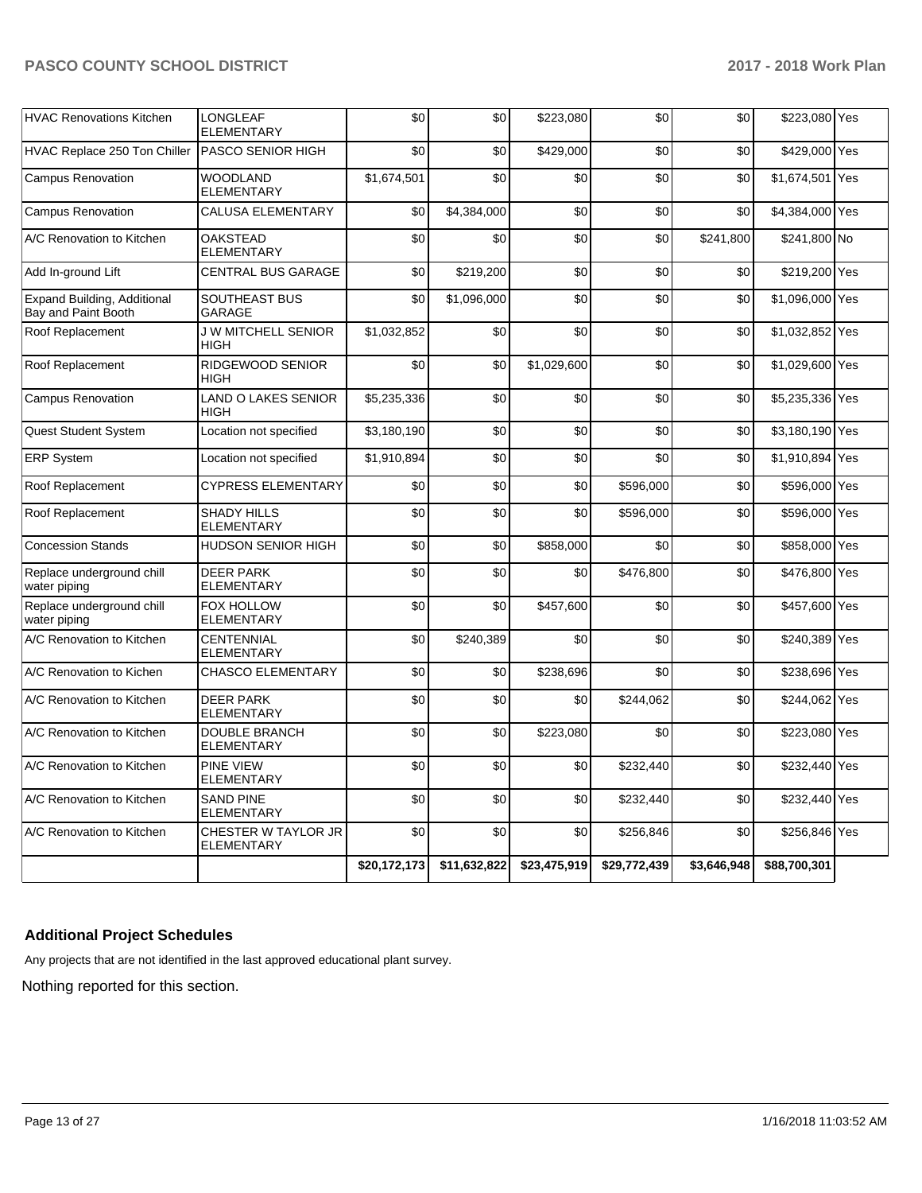| <b>HVAC Renovations Kitchen</b>                    | <b>LONGLEAF</b><br><b>ELEMENTARY</b>     | \$0          | \$0          | \$223,080    | \$0          | \$0         | \$223,080 Yes   |     |
|----------------------------------------------------|------------------------------------------|--------------|--------------|--------------|--------------|-------------|-----------------|-----|
| HVAC Replace 250 Ton Chiller                       | <b>PASCO SENIOR HIGH</b>                 | \$0          | \$0          | \$429.000    | \$0          | \$0         | \$429,000 Yes   |     |
| <b>Campus Renovation</b>                           | <b>WOODLAND</b><br><b>ELEMENTARY</b>     | \$1,674,501  | \$0          | \$0          | \$0          | \$0         | \$1,674,501     | Yes |
| <b>Campus Renovation</b>                           | CALUSA ELEMENTARY                        | \$0          | \$4,384,000  | \$0          | \$0          | \$0         | \$4,384,000 Yes |     |
| A/C Renovation to Kitchen                          | <b>OAKSTEAD</b><br><b>ELEMENTARY</b>     | \$0          | \$0          | \$0          | \$0          | \$241,800   | \$241,800 No    |     |
| Add In-ground Lift                                 | <b>CENTRAL BUS GARAGE</b>                | \$0          | \$219,200    | \$0          | \$0          | \$0         | \$219,200 Yes   |     |
| Expand Building, Additional<br>Bay and Paint Booth | SOUTHEAST BUS<br>GARAGE                  | \$0          | \$1,096,000  | \$0          | \$0          | \$0         | \$1,096,000 Yes |     |
| Roof Replacement                                   | <b>J W MITCHELL SENIOR</b><br>HIGH       | \$1,032,852  | \$0          | \$0          | \$0          | \$0         | \$1,032,852 Yes |     |
| Roof Replacement                                   | RIDGEWOOD SENIOR<br>HIGH                 | \$0          | \$0          | \$1,029,600  | \$0          | \$0         | \$1,029,600 Yes |     |
| <b>Campus Renovation</b>                           | LAND O LAKES SENIOR<br>HIGH              | \$5,235,336  | \$0          | \$0          | \$0          | \$0         | \$5,235,336 Yes |     |
| Quest Student System                               | Location not specified                   | \$3,180,190  | \$0          | \$0          | \$0          | \$0         | \$3,180,190 Yes |     |
| <b>ERP System</b>                                  | Location not specified                   | \$1.910.894  | \$0          | \$0          | \$0          | \$0         | \$1,910,894 Yes |     |
| Roof Replacement                                   | <b>CYPRESS ELEMENTARY</b>                | \$0          | \$0          | \$0          | \$596,000    | \$0         | \$596,000 Yes   |     |
| Roof Replacement                                   | <b>SHADY HILLS</b><br><b>ELEMENTARY</b>  | \$0          | \$0          | \$0          | \$596,000    | \$0         | \$596,000 Yes   |     |
| <b>Concession Stands</b>                           | HUDSON SENIOR HIGH                       | \$0          | \$0          | \$858,000    | \$0          | \$0         | \$858,000 Yes   |     |
| Replace underground chill<br>water piping          | <b>DEER PARK</b><br><b>ELEMENTARY</b>    | \$0          | \$0          | \$0          | \$476,800    | \$0         | \$476,800 Yes   |     |
| Replace underground chill<br>water piping          | FOX HOLLOW<br><b>ELEMENTARY</b>          | \$0          | \$0          | \$457,600    | \$0          | \$0         | \$457,600 Yes   |     |
| A/C Renovation to Kitchen                          | <b>CENTENNIAL</b><br>ELEMENTARY          | \$0          | \$240,389    | \$0          | \$0          | \$0         | \$240,389 Yes   |     |
| A/C Renovation to Kichen                           | <b>CHASCO ELEMENTARY</b>                 | \$0          | \$0          | \$238,696    | \$0          | \$0         | \$238,696 Yes   |     |
| A/C Renovation to Kitchen                          | <b>DEER PARK</b><br><b>ELEMENTARY</b>    | \$0          | \$0          | \$0          | \$244,062    | \$0         | \$244,062 Yes   |     |
| A/C Renovation to Kitchen                          | <b>DOUBLE BRANCH</b><br>ELEMENTARY       | \$0          | \$0          | \$223,080    | \$0          | \$0         | \$223,080 Yes   |     |
| A/C Renovation to Kitchen                          | <b>PINE VIEW</b><br><b>ELEMENTARY</b>    | \$0          | \$0          | \$0          | \$232,440    | \$0         | \$232,440 Yes   |     |
| A/C Renovation to Kitchen                          | <b>SAND PINE</b><br><b>ELEMENTARY</b>    | \$0          | \$0          | \$0          | \$232,440    | \$0         | \$232,440 Yes   |     |
| A/C Renovation to Kitchen                          | CHESTER W TAYLOR JR<br><b>ELEMENTARY</b> | \$0          | \$0          | \$0          | \$256,846    | \$0         | \$256,846 Yes   |     |
|                                                    |                                          | \$20,172,173 | \$11,632,822 | \$23,475,919 | \$29,772,439 | \$3,646,948 | \$88,700,301    |     |

## **Additional Project Schedules**

Any projects that are not identified in the last approved educational plant survey.

Nothing reported for this section.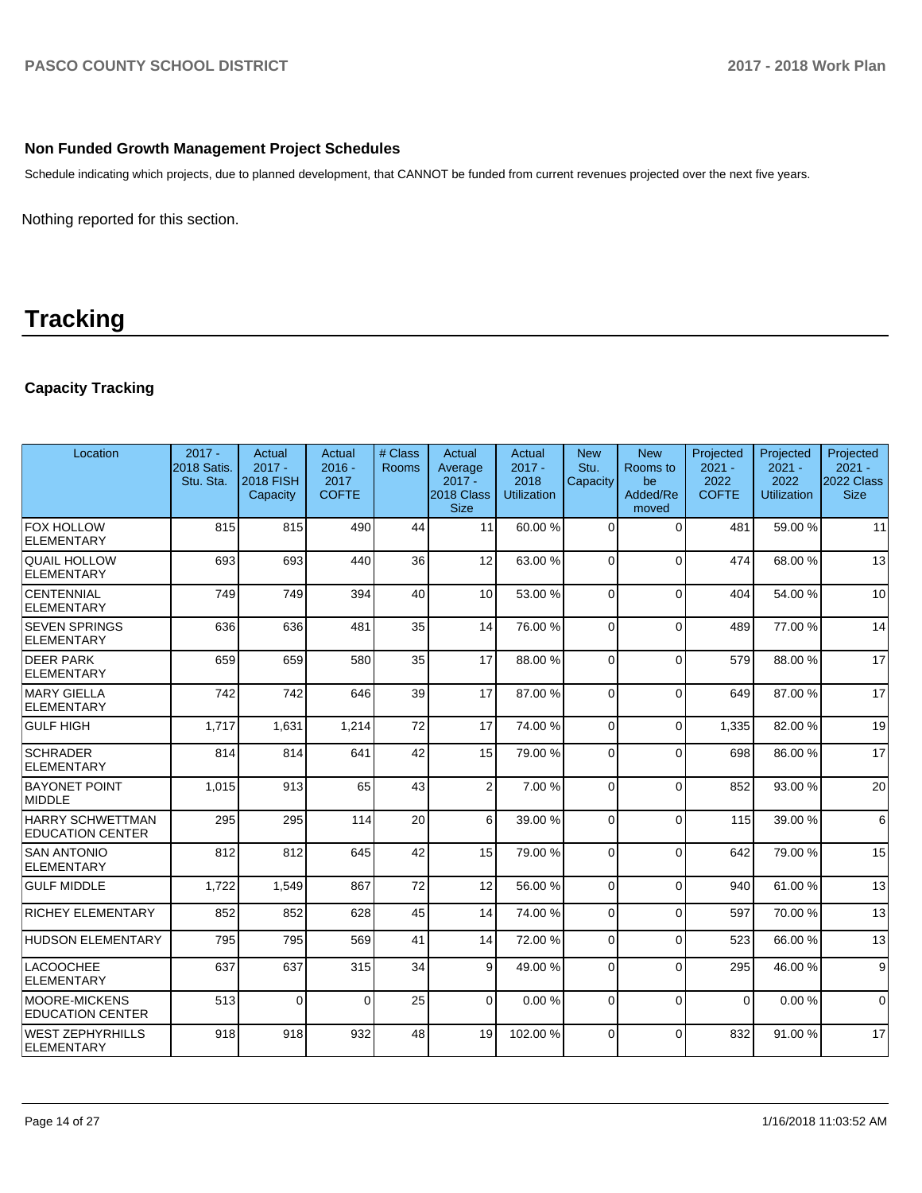### **Non Funded Growth Management Project Schedules**

Schedule indicating which projects, due to planned development, that CANNOT be funded from current revenues projected over the next five years.

Nothing reported for this section.

# **Tracking**

## **Capacity Tracking**

| Location                                        | $2017 -$<br>2018 Satis.<br>Stu. Sta. | Actual<br>$2017 -$<br><b>2018 FISH</b><br>Capacity | Actual<br>$2016 -$<br>2017<br><b>COFTE</b> | # Class<br><b>Rooms</b> | Actual<br>Average<br>$2017 -$<br>2018 Class<br><b>Size</b> | Actual<br>$2017 -$<br>2018<br><b>Utilization</b> | <b>New</b><br>Stu.<br>Capacity | <b>New</b><br>Rooms to<br>be<br>Added/Re<br>moved | Projected<br>$2021 -$<br>2022<br><b>COFTE</b> | Projected<br>$2021 -$<br>2022<br><b>Utilization</b> | Projected<br>$2021 -$<br>2022 Class  <br><b>Size</b> |
|-------------------------------------------------|--------------------------------------|----------------------------------------------------|--------------------------------------------|-------------------------|------------------------------------------------------------|--------------------------------------------------|--------------------------------|---------------------------------------------------|-----------------------------------------------|-----------------------------------------------------|------------------------------------------------------|
| FOX HOLLOW<br><b>ELEMENTARY</b>                 | 815                                  | 815                                                | 490                                        | 44                      | 11                                                         | 60.00 %                                          | $\Omega$                       | $\Omega$                                          | 481                                           | 59.00 %                                             | 11                                                   |
| QUAIL HOLLOW<br><b>ELEMENTARY</b>               | 693                                  | 693                                                | 440                                        | 36                      | 12                                                         | 63.00 %                                          | $\Omega$                       | $\Omega$                                          | 474                                           | 68.00%                                              | 13                                                   |
| <b>CENTENNIAL</b><br>ELEMENTARY                 | 749                                  | 749                                                | 394                                        | 40                      | 10 <sup>1</sup>                                            | 53.00 %                                          | 0                              | $\Omega$                                          | 404                                           | 54.00 %                                             | 10                                                   |
| <b>SEVEN SPRINGS</b><br>ELEMENTARY              | 636                                  | 636                                                | 481                                        | 35                      | 14                                                         | 76.00 %                                          | 0                              | $\Omega$                                          | 489                                           | 77.00 %                                             | 14                                                   |
| <b>DEER PARK</b><br><b>ELEMENTARY</b>           | 659                                  | 659                                                | 580                                        | 35                      | 17                                                         | 88.00 %                                          | 0                              | $\Omega$                                          | 579                                           | 88.00 %                                             | 17                                                   |
| MARY GIELLA<br><b>ELEMENTARY</b>                | 742                                  | 742                                                | 646                                        | 39                      | 17                                                         | 87.00 %                                          | $\Omega$                       | $\Omega$                                          | 649                                           | 87.00 %                                             | 17                                                   |
| GULF HIGH                                       | 1.717                                | 1,631                                              | 1,214                                      | 72                      | 17                                                         | 74.00 %                                          | $\mathbf 0$                    | 0                                                 | 1.335                                         | 82.00 %                                             | 19                                                   |
| <b>SCHRADER</b><br>ELEMENTARY                   | 814                                  | 814                                                | 641                                        | 42                      | 15                                                         | 79.00 %                                          | $\Omega$                       | $\mathbf{0}$                                      | 698                                           | 86.00%                                              | 17                                                   |
| <b>BAYONET POINT</b><br>MIDDLE                  | 1,015                                | 913                                                | 65                                         | 43                      | $\overline{2}$                                             | 7.00 %                                           | $\Omega$                       | $\Omega$                                          | 852                                           | 93.00 %                                             | 20                                                   |
| HARRY SCHWETTMAN<br><b>EDUCATION CENTER</b>     | 295                                  | 295                                                | 114                                        | 20                      | 6                                                          | 39.00 %                                          | $\Omega$                       | $\mathbf{0}$                                      | 115                                           | 39.00 %                                             | $6 \overline{6}$                                     |
| <b>SAN ANTONIO</b><br>ELEMENTARY                | 812                                  | 812                                                | 645                                        | 42                      | 15                                                         | 79.00 %                                          | $\Omega$                       | $\Omega$                                          | 642                                           | 79.00 %                                             | 15                                                   |
| <b>GULF MIDDLE</b>                              | 1,722                                | 1,549                                              | 867                                        | 72                      | 12                                                         | 56.00 %                                          | $\Omega$                       | $\Omega$                                          | 940                                           | 61.00%                                              | 13                                                   |
| <b>RICHEY ELEMENTARY</b>                        | 852                                  | 852                                                | 628                                        | 45                      | 14                                                         | 74.00 %                                          | $\Omega$                       | $\Omega$                                          | 597                                           | 70.00 %                                             | 13                                                   |
| <b>HUDSON ELEMENTARY</b>                        | 795                                  | 795                                                | 569                                        | 41                      | 14                                                         | 72.00 %                                          | $\mathbf 0$                    | $\mathbf 0$                                       | 523                                           | 66.00 %                                             | 13                                                   |
| <b>LACOOCHEE</b><br>ELEMENTARY                  | 637                                  | 637                                                | 315                                        | 34                      | 9                                                          | 49.00 %                                          | $\Omega$                       | $\Omega$                                          | 295                                           | 46.00%                                              | 9                                                    |
| <b>MOORE-MICKENS</b><br><b>EDUCATION CENTER</b> | 513                                  | $\Omega$                                           | $\Omega$                                   | 25                      | $\Omega$                                                   | 0.00%                                            | $\Omega$                       | $\Omega$                                          | $\Omega$                                      | 0.00%                                               | $\Omega$                                             |
| WEST ZEPHYRHILLS<br>ELEMENTARY                  | 918                                  | 918                                                | 932                                        | 48                      | 19                                                         | 102.00%                                          | $\Omega$                       | $\Omega$                                          | 832                                           | 91.00 %                                             | 17                                                   |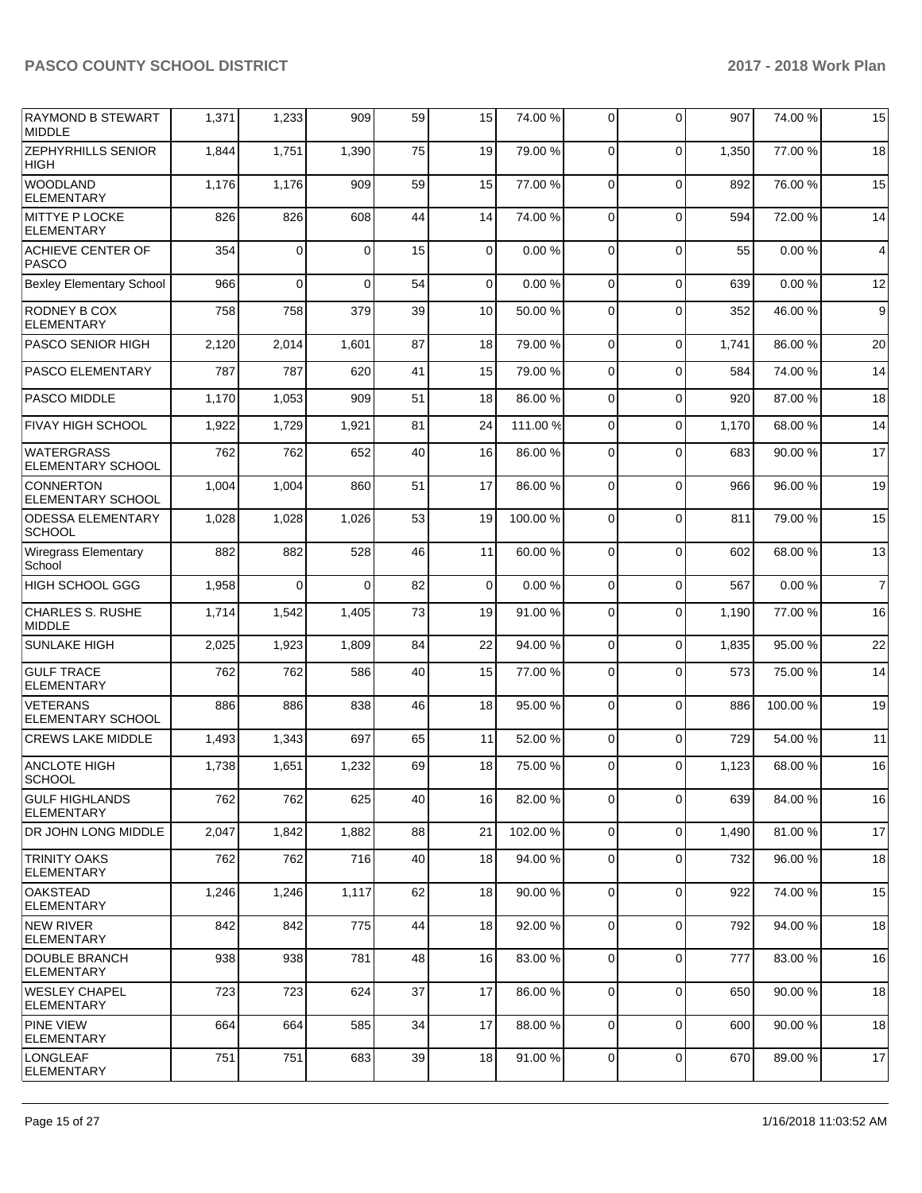| <b>RAYMOND B STEWART</b><br><b>MIDDLE</b>     | 1,371 | 1,233       | 909      | 59 | 15          | 74.00 %  | $\Omega$    | $\Omega$    | 907   | 74.00 % | 15               |
|-----------------------------------------------|-------|-------------|----------|----|-------------|----------|-------------|-------------|-------|---------|------------------|
| <b>ZEPHYRHILLS SENIOR</b><br>HIGH             | 1,844 | 1,751       | 1,390    | 75 | 19          | 79.00 %  | $\mathbf 0$ | $\Omega$    | 1,350 | 77.00 % | 18               |
| <b>WOODLAND</b><br><b>ELEMENTARY</b>          | 1,176 | 1,176       | 909      | 59 | 15          | 77.00 %  | $\Omega$    | $\Omega$    | 892   | 76.00 % | 15               |
| <b>MITTYE P LOCKE</b><br>ELEMENTARY           | 826   | 826         | 608      | 44 | 14          | 74.00 %  | $\Omega$    | $\Omega$    | 594   | 72.00 % | 14               |
| <b>ACHIEVE CENTER OF</b><br><b>PASCO</b>      | 354   | $\mathbf 0$ | $\Omega$ | 15 | 0           | 0.00%    | $\mathbf 0$ | $\Omega$    | 55    | 0.00%   | 4                |
| <b>Bexley Elementary School</b>               | 966   | 0           | $\Omega$ | 54 | $\mathbf 0$ | 0.00%    | $\Omega$    | $\Omega$    | 639   | 0.00%   | 12               |
| RODNEY B COX<br><b>ELEMENTARY</b>             | 758   | 758         | 379      | 39 | 10          | 50.00 %  | $\Omega$    | $\Omega$    | 352   | 46.00 % | $\boldsymbol{9}$ |
| <b>PASCO SENIOR HIGH</b>                      | 2,120 | 2,014       | 1,601    | 87 | 18          | 79.00 %  | $\Omega$    | $\mathbf 0$ | 1,741 | 86.00 % | 20               |
| <b>PASCO ELEMENTARY</b>                       | 787   | 787         | 620      | 41 | 15          | 79.00 %  | $\Omega$    | $\Omega$    | 584   | 74.00 % | 14               |
| <b>PASCO MIDDLE</b>                           | 1,170 | 1,053       | 909      | 51 | 18          | 86.00 %  | $\Omega$    | $\Omega$    | 920   | 87.00 % | 18               |
| <b>FIVAY HIGH SCHOOL</b>                      | 1,922 | 1,729       | 1,921    | 81 | 24          | 111.00 % | $\Omega$    | $\Omega$    | 1,170 | 68.00 % | 14               |
| <b>WATERGRASS</b><br><b>ELEMENTARY SCHOOL</b> | 762   | 762         | 652      | 40 | 16          | 86.00 %  | $\Omega$    | $\Omega$    | 683   | 90.00 % | 17               |
| <b>CONNERTON</b><br><b>ELEMENTARY SCHOOL</b>  | 1,004 | 1,004       | 860      | 51 | 17          | 86.00 %  | $\mathbf 0$ | $\Omega$    | 966   | 96.00 % | 19               |
| <b>ODESSA ELEMENTARY</b><br><b>SCHOOL</b>     | 1,028 | 1,028       | 1,026    | 53 | 19          | 100.00%  | $\Omega$    | $\Omega$    | 811   | 79.00 % | 15               |
| <b>Wiregrass Elementary</b><br>School         | 882   | 882         | 528      | 46 | 11          | 60.00 %  | $\Omega$    | $\Omega$    | 602   | 68.00 % | 13               |
| HIGH SCHOOL GGG                               | 1,958 | 0           | $\Omega$ | 82 | 0           | 0.00%    | $\mathbf 0$ | $\Omega$    | 567   | 0.00%   | $\overline{7}$   |
| CHARLES S. RUSHE<br><b>MIDDLE</b>             | 1,714 | 1,542       | 1,405    | 73 | 19          | 91.00%   | $\mathbf 0$ | $\Omega$    | 1,190 | 77.00 % | 16               |
| <b>SUNLAKE HIGH</b>                           | 2,025 | 1,923       | 1,809    | 84 | 22          | 94.00%   | 0           | $\Omega$    | 1,835 | 95.00 % | 22               |
| <b>GULF TRACE</b><br><b>ELEMENTARY</b>        | 762   | 762         | 586      | 40 | 15          | 77.00 %  | 0           | $\Omega$    | 573   | 75.00 % | 14               |
| <b>VETERANS</b><br><b>ELEMENTARY SCHOOL</b>   | 886   | 886         | 838      | 46 | 18          | 95.00 %  | $\Omega$    | $\mathbf 0$ | 886   | 100.00% | 19               |
| <b>CREWS LAKE MIDDLE</b>                      | 1,493 | 1,343       | 697      | 65 | 11          | 52.00 %  | $\mathbf 0$ | $\mathbf 0$ | 729   | 54.00 % | 11               |
| <b>ANCLOTE HIGH</b><br>SCHOOL                 | 1,738 | 1,651       | 1,232    | 69 | 18          | 75.00 %  | 0           | $\Omega$    | 1,123 | 68.00 % | 16               |
| <b>GULF HIGHLANDS</b><br><b>ELEMENTARY</b>    | 762   | 762         | 625      | 40 | 16          | 82.00 %  | $\mathbf 0$ | $\mathbf 0$ | 639   | 84.00%  | 16               |
| DR JOHN LONG MIDDLE                           | 2,047 | 1,842       | 1,882    | 88 | 21          | 102.00%  | 0           | $\mathbf 0$ | 1,490 | 81.00%  | 17               |
| <b>TRINITY OAKS</b><br><b>ELEMENTARY</b>      | 762   | 762         | 716      | 40 | 18          | 94.00 %  | $\Omega$    | $\mathbf 0$ | 732   | 96.00 % | 18               |
| <b>OAKSTEAD</b><br>ELEMENTARY                 | 1,246 | 1,246       | 1,117    | 62 | 18          | 90.00 %  | $\mathbf 0$ | $\mathbf 0$ | 922   | 74.00 % | 15               |
| <b>NEW RIVER</b><br><b>ELEMENTARY</b>         | 842   | 842         | 775      | 44 | 18          | 92.00 %  | 0           | $\mathbf 0$ | 792   | 94.00 % | 18               |
| <b>DOUBLE BRANCH</b><br><b>ELEMENTARY</b>     | 938   | 938         | 781      | 48 | 16          | 83.00 %  | $\mathbf 0$ | $\mathbf 0$ | 777   | 83.00 % | 16               |
| WESLEY CHAPEL<br><b>ELEMENTARY</b>            | 723   | 723         | 624      | 37 | 17          | 86.00 %  | 0           | $\mathbf 0$ | 650   | 90.00 % | 18               |
| <b>PINE VIEW</b><br>ELEMENTARY                | 664   | 664         | 585      | 34 | 17          | 88.00 %  | 0           | $\mathbf 0$ | 600   | 90.00 % | 18               |
| LONGLEAF<br><b>ELEMENTARY</b>                 | 751   | 751         | 683      | 39 | 18          | 91.00 %  | 0           | $\mathbf 0$ | 670   | 89.00 % | 17               |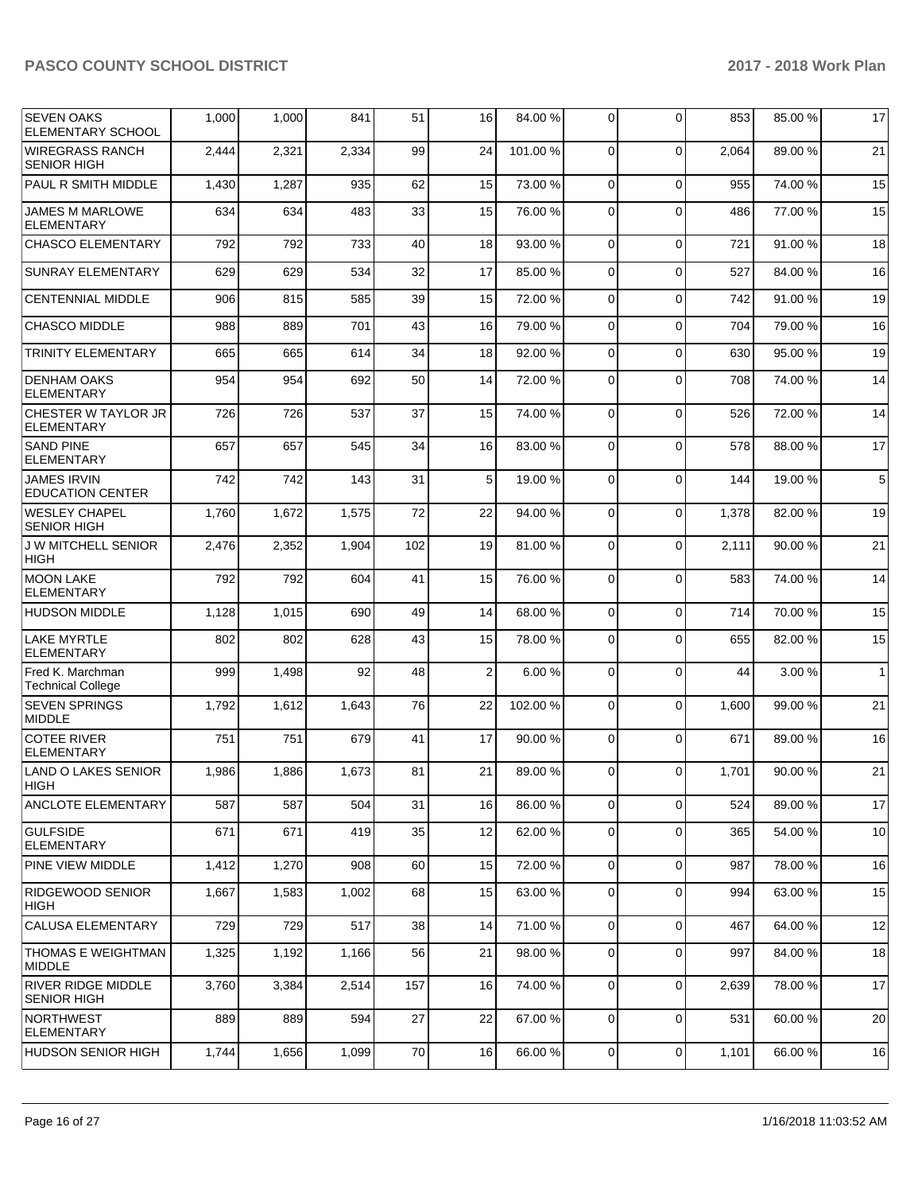| <b>SEVEN OAKS</b><br><b>ELEMENTARY SCHOOL</b>   | 1,000 | 1,000 | 841   | 51  | 16 | 84.00 % | $\Omega$       | $\Omega$    | 853   | 85.00 % | 17           |
|-------------------------------------------------|-------|-------|-------|-----|----|---------|----------------|-------------|-------|---------|--------------|
| <b>WIREGRASS RANCH</b><br><b>SENIOR HIGH</b>    | 2,444 | 2,321 | 2,334 | 99  | 24 | 101.00% | 0              | $\Omega$    | 2,064 | 89.00 % | 21           |
| PAUL R SMITH MIDDLE                             | 1,430 | 1,287 | 935   | 62  | 15 | 73.00 % | $\Omega$       | $\Omega$    | 955   | 74.00 % | 15           |
| <b>JAMES M MARLOWE</b><br><b>ELEMENTARY</b>     | 634   | 634   | 483   | 33  | 15 | 76.00 % | 0              | $\Omega$    | 486   | 77.00 % | 15           |
| <b>CHASCO ELEMENTARY</b>                        | 792   | 792   | 733   | 40  | 18 | 93.00 % | $\overline{0}$ | $\Omega$    | 721   | 91.00%  | 18           |
| <b>SUNRAY ELEMENTARY</b>                        | 629   | 629   | 534   | 32  | 17 | 85.00 % | $\overline{0}$ | $\Omega$    | 527   | 84.00 % | 16           |
| <b>CENTENNIAL MIDDLE</b>                        | 906   | 815   | 585   | 39  | 15 | 72.00 % | $\overline{0}$ | $\Omega$    | 742   | 91.00 % | 19           |
| <b>CHASCO MIDDLE</b>                            | 988   | 889   | 701   | 43  | 16 | 79.00 % | $\Omega$       | $\Omega$    | 704   | 79.00 % | 16           |
| <b>TRINITY ELEMENTARY</b>                       | 665   | 665   | 614   | 34  | 18 | 92.00 % | $\overline{0}$ | $\Omega$    | 630   | 95.00 % | 19           |
| <b>DENHAM OAKS</b><br><b>ELEMENTARY</b>         | 954   | 954   | 692   | 50  | 14 | 72.00 % | $\Omega$       | $\Omega$    | 708   | 74.00 % | 14           |
| CHESTER W TAYLOR JR<br><b>ELEMENTARY</b>        | 726   | 726   | 537   | 37  | 15 | 74.00 % | 0              | $\Omega$    | 526   | 72.00 % | 14           |
| <b>SAND PINE</b><br><b>ELEMENTARY</b>           | 657   | 657   | 545   | 34  | 16 | 83.00 % | 0              | $\Omega$    | 578   | 88.00 % | 17           |
| <b>JAMES IRVIN</b><br><b>EDUCATION CENTER</b>   | 742   | 742   | 143   | 31  | 5  | 19.00 % | $\Omega$       | $\Omega$    | 144   | 19.00 % | 5            |
| <b>WESLEY CHAPEL</b><br><b>SENIOR HIGH</b>      | 1,760 | 1,672 | 1,575 | 72  | 22 | 94.00 % | 0              | $\Omega$    | 1,378 | 82.00 % | 19           |
| <b>J W MITCHELL SENIOR</b><br><b>HIGH</b>       | 2,476 | 2,352 | 1,904 | 102 | 19 | 81.00%  | 0              | $\Omega$    | 2,111 | 90.00 % | 21           |
| <b>MOON LAKE</b><br><b>ELEMENTARY</b>           | 792   | 792   | 604   | 41  | 15 | 76.00 % | $\Omega$       | $\Omega$    | 583   | 74.00 % | 14           |
| <b>HUDSON MIDDLE</b>                            | 1,128 | 1,015 | 690   | 49  | 14 | 68.00 % | $\overline{0}$ | $\Omega$    | 714   | 70.00%  | 15           |
| <b>LAKE MYRTLE</b><br>ELEMENTARY                | 802   | 802   | 628   | 43  | 15 | 78.00 % | 0              | $\Omega$    | 655   | 82.00 % | 15           |
| Fred K. Marchman<br><b>Technical College</b>    | 999   | 1,498 | 92    | 48  | 2  | 6.00%   | 0              | $\Omega$    | 44    | 3.00 %  | $\mathbf{1}$ |
| <b>SEVEN SPRINGS</b><br><b>MIDDLE</b>           | 1,792 | 1,612 | 1,643 | 76  | 22 | 102.00% | $\Omega$       | $\Omega$    | 1,600 | 99.00 % | 21           |
| <b>COTEE RIVER</b><br><b>ELEMENTARY</b>         | 751   | 751   | 679   | 41  | 17 | 90.00 % | $\overline{0}$ | $\Omega$    | 671   | 89.00 % | 16           |
| LAND O LAKES SENIOR<br>HIGH                     | 1,986 | 1,886 | 1,673 | 81  | 21 | 89.00%  | 0              | $\Omega$    | 1,701 | 90.00%  | 21           |
| ANCLOTE ELEMENTARY                              | 587   | 587   | 504   | 31  | 16 | 86.00 % | $\overline{0}$ | $\Omega$    | 524   | 89.00 % | 17           |
| <b>GULFSIDE</b><br><b>ELEMENTARY</b>            | 671   | 671   | 419   | 35  | 12 | 62.00 % | $\overline{0}$ | $\Omega$    | 365   | 54.00 % | 10           |
| PINE VIEW MIDDLE                                | 1,412 | 1,270 | 908   | 60  | 15 | 72.00 % | $\overline{0}$ | $\mathbf 0$ | 987   | 78.00 % | 16           |
| <b>RIDGEWOOD SENIOR</b><br>HIGH                 | 1,667 | 1,583 | 1,002 | 68  | 15 | 63.00 % | $\overline{0}$ | $\Omega$    | 994   | 63.00 % | 15           |
| <b>CALUSA ELEMENTARY</b>                        | 729   | 729   | 517   | 38  | 14 | 71.00%  | 0              | $\mathbf 0$ | 467   | 64.00 % | 12           |
| THOMAS E WEIGHTMAN<br><b>MIDDLE</b>             | 1,325 | 1,192 | 1,166 | 56  | 21 | 98.00 % | 0              | $\mathbf 0$ | 997   | 84.00 % | 18           |
| <b>RIVER RIDGE MIDDLE</b><br><b>SENIOR HIGH</b> | 3,760 | 3,384 | 2,514 | 157 | 16 | 74.00 % | $\overline{0}$ | $\Omega$    | 2,639 | 78.00 % | 17           |
| <b>NORTHWEST</b><br><b>ELEMENTARY</b>           | 889   | 889   | 594   | 27  | 22 | 67.00 % | $\overline{0}$ | $\mathbf 0$ | 531   | 60.00 % | 20           |
| HUDSON SENIOR HIGH                              | 1,744 | 1,656 | 1,099 | 70  | 16 | 66.00 % | 0              | 0           | 1,101 | 66.00 % | 16           |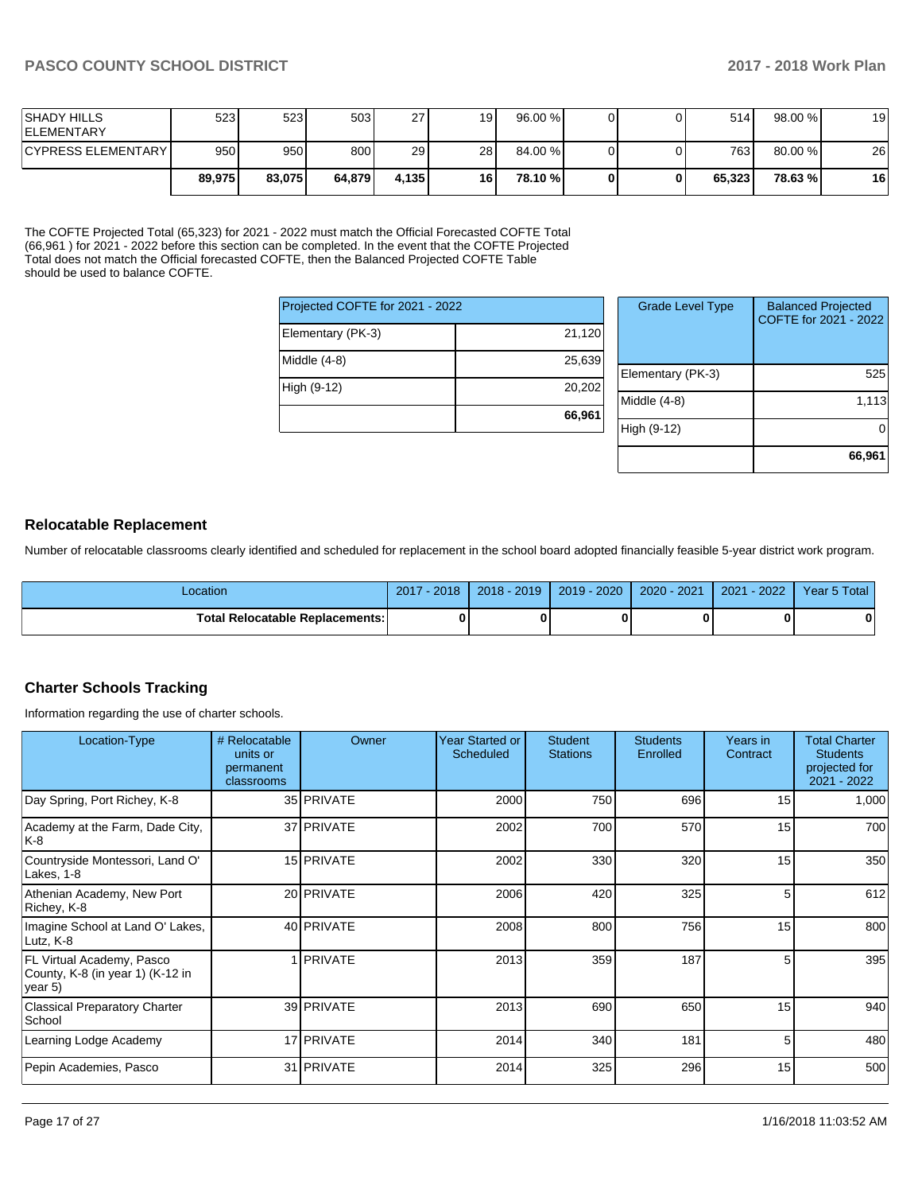| <b>SHADY HILLS</b><br><b>IELEMENTARY</b> | 5231   | 5231   | 503    | 27    | 19 | 96.00 % |  | 514    | 98.00 % | 19 |
|------------------------------------------|--------|--------|--------|-------|----|---------|--|--------|---------|----|
| <b>CYPRESS ELEMENTARY</b>                | 950 l  | 950    | 800    | 29    | 28 | 84.00 % |  | 763I   | 80.00 % | 26 |
|                                          | 89.975 | 83.075 | 64.879 | 4.135 | 16 | 78.10 % |  | 65.323 | 78.63%  | 16 |

The COFTE Projected Total (65,323) for 2021 - 2022 must match the Official Forecasted COFTE Total (66,961 ) for 2021 - 2022 before this section can be completed. In the event that the COFTE Projected Total does not match the Official forecasted COFTE, then the Balanced Projected COFTE Table should be used to balance COFTE.

| Projected COFTE for 2021 - 2022 |        |
|---------------------------------|--------|
| Elementary (PK-3)               | 21,120 |
| Middle (4-8)                    | 25,639 |
| High (9-12)                     | 20,202 |
|                                 | 66,961 |

| <b>Grade Level Type</b> | <b>Balanced Projected</b><br>COFTE for 2021 - 2022 |
|-------------------------|----------------------------------------------------|
| Elementary (PK-3)       | 525                                                |
| Middle $(4-8)$          | 1,113                                              |
| High (9-12)             |                                                    |
|                         | 66,961                                             |

#### **Relocatable Replacement**

Number of relocatable classrooms clearly identified and scheduled for replacement in the school board adopted financially feasible 5-year district work program.

| _ocation                               | 2017 - 2018 | $2018 - 2019$ | 2019 - 2020 | 2020 - 2021 | $-2022/$<br>2021 | Year 5 Total |
|----------------------------------------|-------------|---------------|-------------|-------------|------------------|--------------|
| <b>Total Relocatable Replacements:</b> |             |               |             |             |                  |              |

## **Charter Schools Tracking**

Information regarding the use of charter schools.

| Location-Type                                                            | # Relocatable<br>units or<br>permanent<br>classrooms | Owner           | Year Started or<br>Scheduled | <b>Student</b><br><b>Stations</b> | <b>Students</b><br>Enrolled | Years in<br>Contract | <b>Total Charter</b><br><b>Students</b><br>projected for<br>2021 - 2022 |
|--------------------------------------------------------------------------|------------------------------------------------------|-----------------|------------------------------|-----------------------------------|-----------------------------|----------------------|-------------------------------------------------------------------------|
| Day Spring, Port Richey, K-8                                             |                                                      | 35 PRIVATE      | 2000                         | 750                               | 696                         | 15                   | 1,000                                                                   |
| Academy at the Farm, Dade City,<br>K-8                                   |                                                      | 37 PRIVATE      | 2002                         | 700                               | 570                         | 15                   | 700                                                                     |
| Countryside Montessori, Land O'<br>Lakes, 1-8                            |                                                      | 15 PRIVATE      | 2002                         | 330                               | 320                         | 15                   | 350                                                                     |
| Athenian Academy, New Port<br>Richey, K-8                                |                                                      | 20 PRIVATE      | 2006                         | 420                               | 325                         | 5                    | 612                                                                     |
| Imagine School at Land O' Lakes,<br>Lutz, K-8                            |                                                      | 40 PRIVATE      | 2008                         | 800                               | 756                         | 15                   | 800                                                                     |
| FL Virtual Academy, Pasco<br>County, K-8 (in year 1) (K-12 in<br>year 5) |                                                      | <b>IPRIVATE</b> | 2013                         | 359                               | 187                         | 5.                   | 395                                                                     |
| <b>Classical Preparatory Charter</b><br>School                           |                                                      | 39 PRIVATE      | 2013                         | 690                               | 650                         | 15                   | 940                                                                     |
| Learning Lodge Academy                                                   |                                                      | 17 PRIVATE      | 2014                         | 340                               | 181                         | 5                    | 480                                                                     |
| Pepin Academies, Pasco                                                   |                                                      | 31 PRIVATE      | 2014                         | 325                               | 296                         | 15                   | 500                                                                     |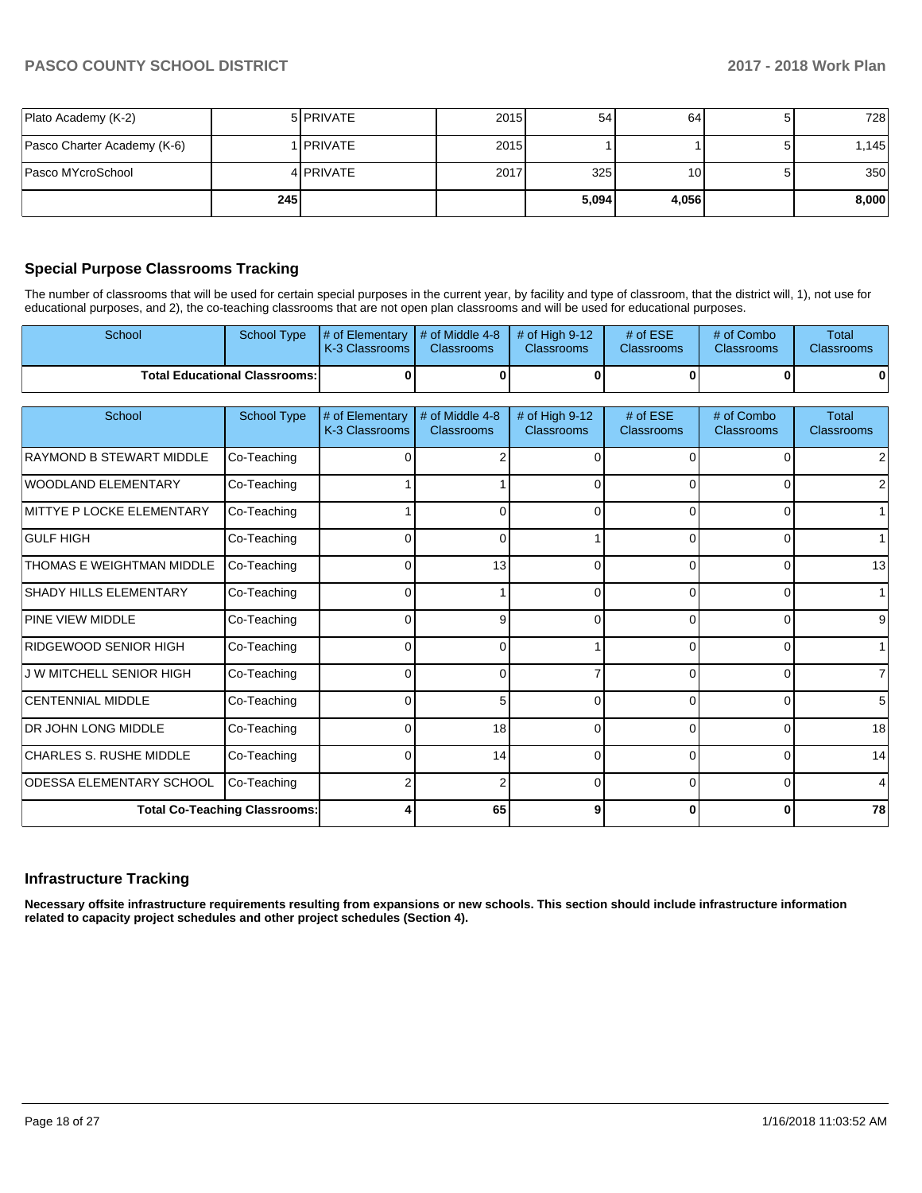|                             | <b>245</b> |                  |      | 5,094 | 4,056 | 8,000 |
|-----------------------------|------------|------------------|------|-------|-------|-------|
| Pasco MYcroSchool           |            | 4 PRIVATE        | 2017 | 325   | 101   | 350   |
| Pasco Charter Academy (K-6) |            | <b>IPRIVATE</b>  | 2015 |       |       | .145  |
| Plato Academy (K-2)         |            | 5 <b>PRIVATE</b> | 2015 | 54    | 64    | 7281  |

## **Special Purpose Classrooms Tracking**

The number of classrooms that will be used for certain special purposes in the current year, by facility and type of classroom, that the district will, 1), not use for educational purposes, and 2), the co-teaching classrooms that are not open plan classrooms and will be used for educational purposes.

| School                          | <b>School Type</b>                   | # of Elementary<br>K-3 Classrooms | # of Middle 4-8<br><b>Classrooms</b> | # of High 9-12<br>Classrooms        | # of ESE<br><b>Classrooms</b> | # of Combo<br><b>Classrooms</b> | <b>Total</b><br><b>Classrooms</b> |
|---------------------------------|--------------------------------------|-----------------------------------|--------------------------------------|-------------------------------------|-------------------------------|---------------------------------|-----------------------------------|
|                                 | <b>Total Educational Classrooms:</b> | ŋ                                 | 0                                    | ŋ                                   | 0                             |                                 |                                   |
| School                          | <b>School Type</b>                   | # of Elementary<br>K-3 Classrooms | # of Middle 4-8<br><b>Classrooms</b> | # of High 9-12<br><b>Classrooms</b> | # of ESE<br><b>Classrooms</b> | # of Combo<br>Classrooms        | <b>Total</b><br><b>Classrooms</b> |
| <b>RAYMOND B STEWART MIDDLE</b> | Co-Teaching                          |                                   |                                      | n                                   | U.                            |                                 |                                   |
| <b>WOODLAND ELEMENTARY</b>      | Co-Teaching                          |                                   |                                      |                                     | 0                             |                                 | 2                                 |
| MITTYE P LOCKE ELEMENTARY       | Co-Teaching                          |                                   | 0                                    | 0                                   | $\Omega$                      | $\Omega$                        |                                   |
| <b>GULF HIGH</b>                | Co-Teaching                          |                                   | $\Omega$                             |                                     | $\Omega$                      | $\Omega$                        |                                   |
| THOMAS E WEIGHTMAN MIDDLE       | Co-Teaching                          |                                   | 13                                   | $\Omega$                            | $\Omega$                      | $\Omega$                        | 13                                |
| <b>SHADY HILLS ELEMENTARY</b>   | Co-Teaching                          | U                                 |                                      |                                     | 0                             |                                 |                                   |
| PINE VIEW MIDDLE                | Co-Teaching                          |                                   | 9                                    |                                     | 0                             |                                 | 9                                 |
| RIDGEWOOD SENIOR HIGH           | Co-Teaching                          |                                   | $\Omega$                             |                                     |                               |                                 |                                   |
| <b>J W MITCHELL SENIOR HIGH</b> | Co-Teaching                          | ŋ                                 | $\Omega$                             |                                     | 0                             |                                 | 7                                 |
| <b>CENTENNIAL MIDDLE</b>        | Co-Teaching                          | $\Omega$                          | 5                                    | U                                   | 0                             |                                 | 5                                 |
| DR JOHN LONG MIDDLE             | Co-Teaching                          | $\Omega$                          | 18                                   | 0                                   | $\Omega$                      | $\Omega$                        | 18                                |
| <b>CHARLES S. RUSHE MIDDLE</b>  | Co-Teaching                          | 0                                 | 14                                   | 0                                   | $\Omega$                      | 0                               | 14                                |
| <b>ODESSA ELEMENTARY SCHOOL</b> | Co-Teaching                          |                                   | $\overline{2}$                       | 0                                   | $\Omega$                      | $\Omega$                        | 4                                 |
|                                 | <b>Total Co-Teaching Classrooms:</b> |                                   | 65                                   | 9                                   | ΟI                            | $\mathbf{0}$                    | 78                                |

### **Infrastructure Tracking**

**Necessary offsite infrastructure requirements resulting from expansions or new schools. This section should include infrastructure information related to capacity project schedules and other project schedules (Section 4).**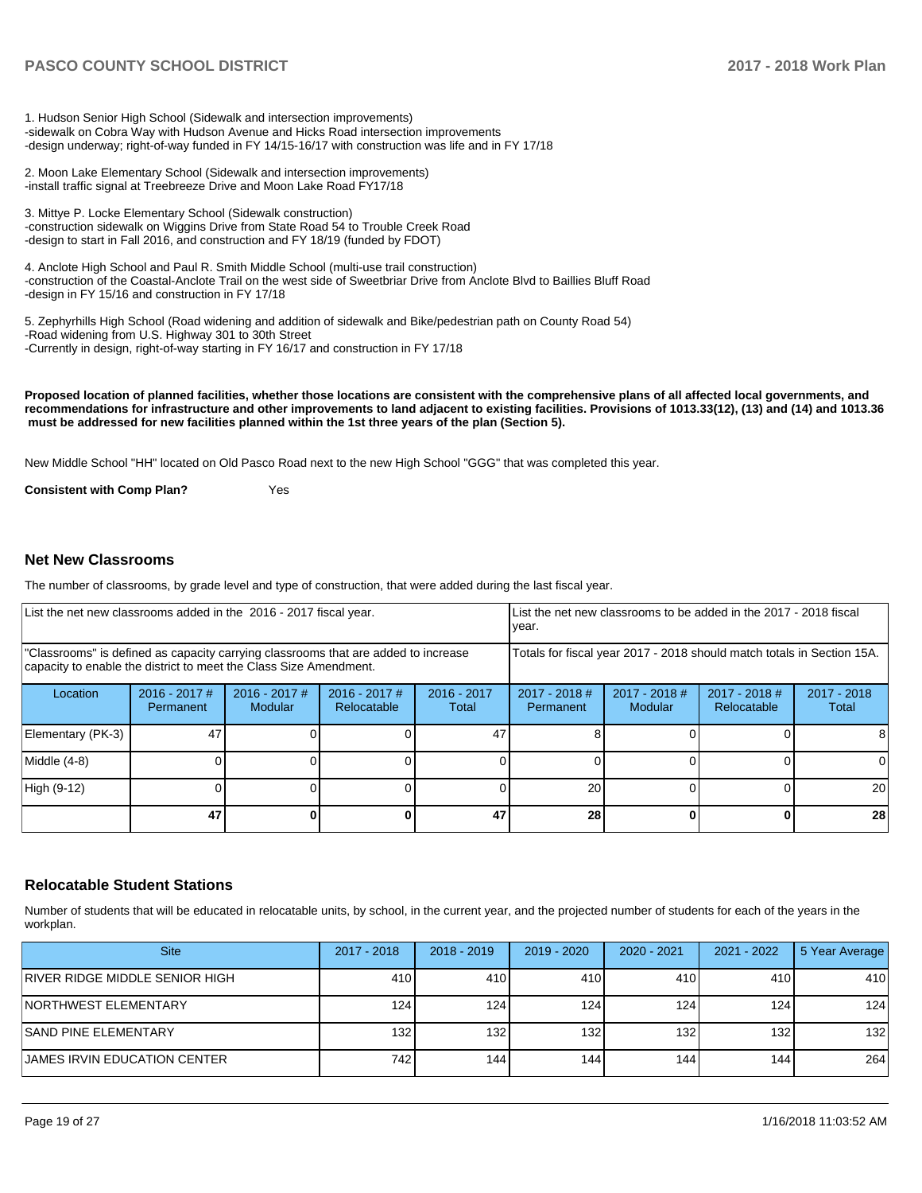1. Hudson Senior High School (Sidewalk and intersection improvements) -sidewalk on Cobra Way with Hudson Avenue and Hicks Road intersection improvements -design underway; right-of-way funded in FY 14/15-16/17 with construction was life and in FY 17/18

2. Moon Lake Elementary School (Sidewalk and intersection improvements) -install traffic signal at Treebreeze Drive and Moon Lake Road FY17/18

3. Mittye P. Locke Elementary School (Sidewalk construction) -construction sidewalk on Wiggins Drive from State Road 54 to Trouble Creek Road -design to start in Fall 2016, and construction and FY 18/19 (funded by FDOT)

4. Anclote High School and Paul R. Smith Middle School (multi-use trail construction) -construction of the Coastal-Anclote Trail on the west side of Sweetbriar Drive from Anclote Blvd to Baillies Bluff Road -design in FY 15/16 and construction in FY 17/18

5. Zephyrhills High School (Road widening and addition of sidewalk and Bike/pedestrian path on County Road 54) -Road widening from U.S. Highway 301 to 30th Street -Currently in design, right-of-way starting in FY 16/17 and construction in FY 17/18

**Proposed location of planned facilities, whether those locations are consistent with the comprehensive plans of all affected local governments, and recommendations for infrastructure and other improvements to land adjacent to existing facilities. Provisions of 1013.33(12), (13) and (14) and 1013.36 must be addressed for new facilities planned within the 1st three years of the plan (Section 5).** 

New Middle School "HH" located on Old Pasco Road next to the new High School "GGG" that was completed this year.

**Consistent with Comp Plan?** Yes

#### **Net New Classrooms**

The number of classrooms, by grade level and type of construction, that were added during the last fiscal year.

| List the net new classrooms added in the 2016 - 2017 fiscal year.                                                                                       |                              |                                   |                                |                        | List the net new classrooms to be added in the 2017 - 2018 fiscal<br>year. |                            |                                |                      |  |
|---------------------------------------------------------------------------------------------------------------------------------------------------------|------------------------------|-----------------------------------|--------------------------------|------------------------|----------------------------------------------------------------------------|----------------------------|--------------------------------|----------------------|--|
| "Classrooms" is defined as capacity carrying classrooms that are added to increase<br>capacity to enable the district to meet the Class Size Amendment. |                              |                                   |                                |                        | Totals for fiscal year 2017 - 2018 should match totals in Section 15A.     |                            |                                |                      |  |
| Location                                                                                                                                                | $2016 - 2017$ #<br>Permanent | $2016 - 2017$ #<br><b>Modular</b> | $2016 - 2017$ #<br>Relocatable | $2016 - 2017$<br>Total | $2017 - 2018$ #<br>Permanent                                               | $2017 - 2018$ #<br>Modular | $2017 - 2018$ #<br>Relocatable | 2017 - 2018<br>Total |  |
| Elementary (PK-3)                                                                                                                                       | 47                           |                                   |                                | 47                     |                                                                            |                            |                                | 8                    |  |
| Middle (4-8)                                                                                                                                            |                              |                                   |                                |                        |                                                                            |                            |                                | $\Omega$             |  |
| High (9-12)                                                                                                                                             |                              |                                   |                                |                        | 20                                                                         |                            |                                | 20                   |  |
|                                                                                                                                                         | 47                           |                                   |                                | 47                     | 28                                                                         |                            |                                | 28                   |  |

#### **Relocatable Student Stations**

Number of students that will be educated in relocatable units, by school, in the current year, and the projected number of students for each of the years in the workplan.

| <b>Site</b>                    | 2017 - 2018      | $2018 - 2019$ | 2019 - 2020 | $2020 - 2021$ | 2021 - 2022 | 5 Year Average |
|--------------------------------|------------------|---------------|-------------|---------------|-------------|----------------|
| RIVER RIDGE MIDDLE SENIOR HIGH | 410              | 410           | 410         | 410           | 410         | 410            |
| INORTHWEST ELEMENTARY          | 124.             | 124           | 124         | 124           | 124         | 124            |
| <b>ISAND PINE ELEMENTARY</b>   | 132 <sub>1</sub> | 132           | 132         | 132           | 132         | 132            |
| IJAMES IRVIN EDUCATION CENTER  | 742              | 144           | 1441        | 144           | 144         | 264            |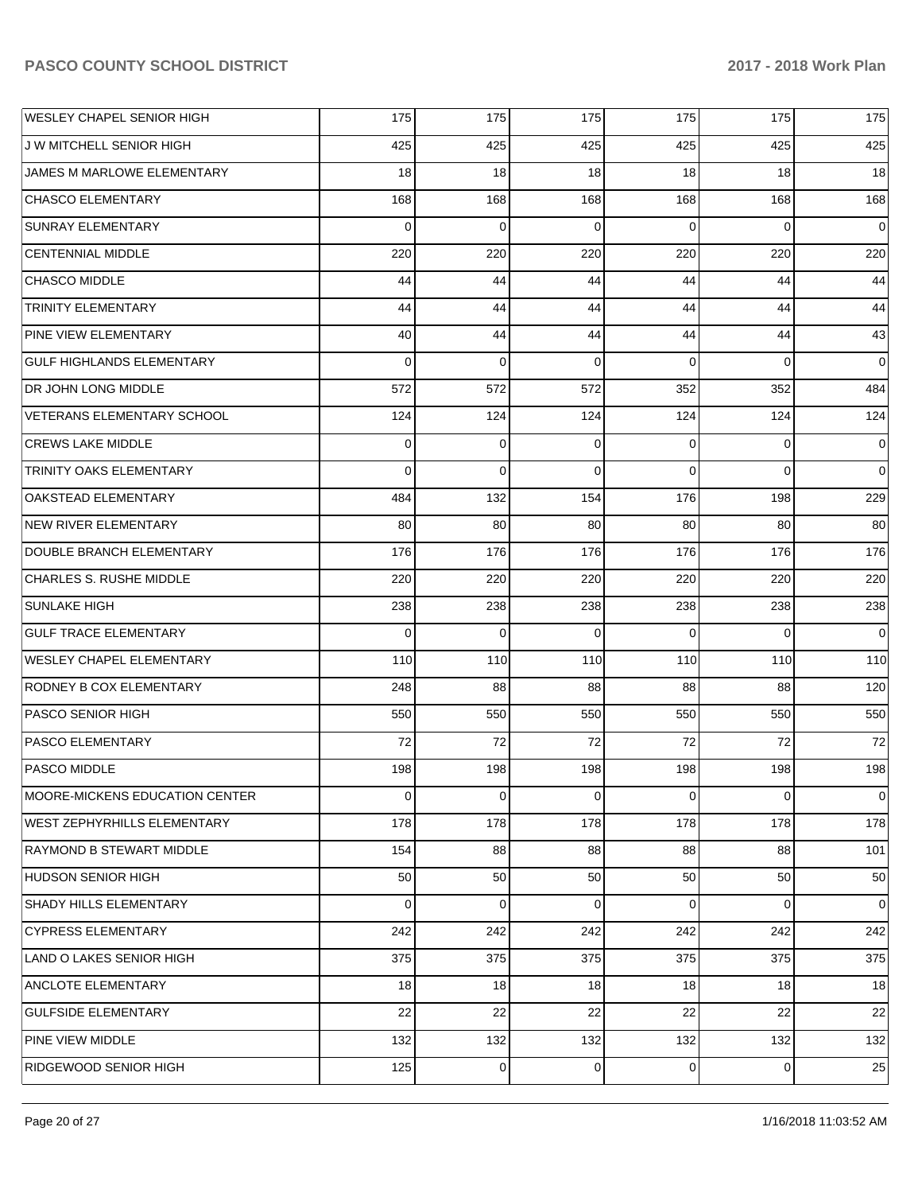| WESLEY CHAPEL SENIOR HIGH         | 175 | 175 | 175            | 175            | 175            | 175            |
|-----------------------------------|-----|-----|----------------|----------------|----------------|----------------|
| J W MITCHELL SENIOR HIGH          | 425 | 425 | 425            | 425            | 425            | 425            |
| JAMES M MARLOWE ELEMENTARY        | 18  | 18  | 18             | 18             | 18             | 18             |
| <b>CHASCO ELEMENTARY</b>          | 168 | 168 | 168            | 168            | 168            | 168            |
| <b>SUNRAY ELEMENTARY</b>          | 0   | 0   | $\Omega$       | 0              | 0              | $\overline{0}$ |
| <b>CENTENNIAL MIDDLE</b>          | 220 | 220 | 220            | 220            | 220            | 220            |
| <b>CHASCO MIDDLE</b>              | 44  | 44  | 44             | 44             | 44             | 44             |
| TRINITY ELEMENTARY                | 44  | 44  | 44             | 44             | 44             | 44             |
| <b>PINE VIEW ELEMENTARY</b>       | 40  | 44  | 44             | 44             | 44             | 43             |
| <b>GULF HIGHLANDS ELEMENTARY</b>  | 0   | 0   | $\Omega$       | $\Omega$       | $\overline{0}$ | $\overline{0}$ |
| <b>DR JOHN LONG MIDDLE</b>        | 572 | 572 | 572            | 352            | 352            | 484            |
| <b>VETERANS ELEMENTARY SCHOOL</b> | 124 | 124 | 124            | 124            | 124            | 124            |
| <b>CREWS LAKE MIDDLE</b>          | 0   | 0   | $\Omega$       | 0              | $\overline{0}$ | $\overline{0}$ |
| <b>TRINITY OAKS ELEMENTARY</b>    | 0   | 0   | $\Omega$       | $\Omega$       | $\Omega$       | $\overline{0}$ |
| OAKSTEAD ELEMENTARY               | 484 | 132 | 154            | 176            | 198            | 229            |
| <b>NEW RIVER ELEMENTARY</b>       | 80  | 80  | 80             | 80             | 80             | 80             |
| DOUBLE BRANCH ELEMENTARY          | 176 | 176 | 176            | 176            | 176            | 176            |
| CHARLES S. RUSHE MIDDLE           | 220 | 220 | 220            | 220            | 220            | 220            |
| <b>SUNLAKE HIGH</b>               | 238 | 238 | 238            | 238            | 238            | 238            |
| <b>GULF TRACE ELEMENTARY</b>      | 0   | 0   | $\Omega$       | $\mathbf 0$    | $\overline{0}$ | $\overline{0}$ |
| <b>WESLEY CHAPEL ELEMENTARY</b>   | 110 | 110 | 110            | 110            | 110            | 110            |
| RODNEY B COX ELEMENTARY           | 248 | 88  | 88             | 88             | 88             | 120            |
| <b>PASCO SENIOR HIGH</b>          | 550 | 550 | 550            | 550            | 550            | 550            |
| PASCO ELEMENTARY                  | 72  | 72  | 72             | 72             | 72             | 72             |
| <b>PASCO MIDDLE</b>               | 198 | 198 | 198            | 198            | 198            | 198            |
| MOORE-MICKENS EDUCATION CENTER    | 0   | 0   | $\overline{0}$ | $\overline{0}$ | $\overline{0}$ | $\mathbf 0$    |
| WEST ZEPHYRHILLS ELEMENTARY       | 178 | 178 | 178            | 178            | 178            | 178            |
| <b>RAYMOND B STEWART MIDDLE</b>   | 154 | 88  | 88             | 88             | 88             | 101            |
| HUDSON SENIOR HIGH                | 50  | 50  | 50             | 50             | 50             | 50             |
| SHADY HILLS ELEMENTARY            | 0   | 0   | $\mathbf 0$    | 0              | $\overline{0}$ | $\mathbf 0$    |
| <b>CYPRESS ELEMENTARY</b>         | 242 | 242 | 242            | 242            | 242            | 242            |
| LAND O LAKES SENIOR HIGH          | 375 | 375 | 375            | 375            | 375            | 375            |
| <b>ANCLOTE ELEMENTARY</b>         | 18  | 18  | 18             | 18             | 18             | 18             |
| <b>GULFSIDE ELEMENTARY</b>        | 22  | 22  | 22             | 22             | 22             | 22             |
| <b>PINE VIEW MIDDLE</b>           | 132 | 132 | 132            | 132            | 132            | 132            |
| RIDGEWOOD SENIOR HIGH             | 125 | 0   | 0              | $\overline{0}$ | $\overline{0}$ | 25             |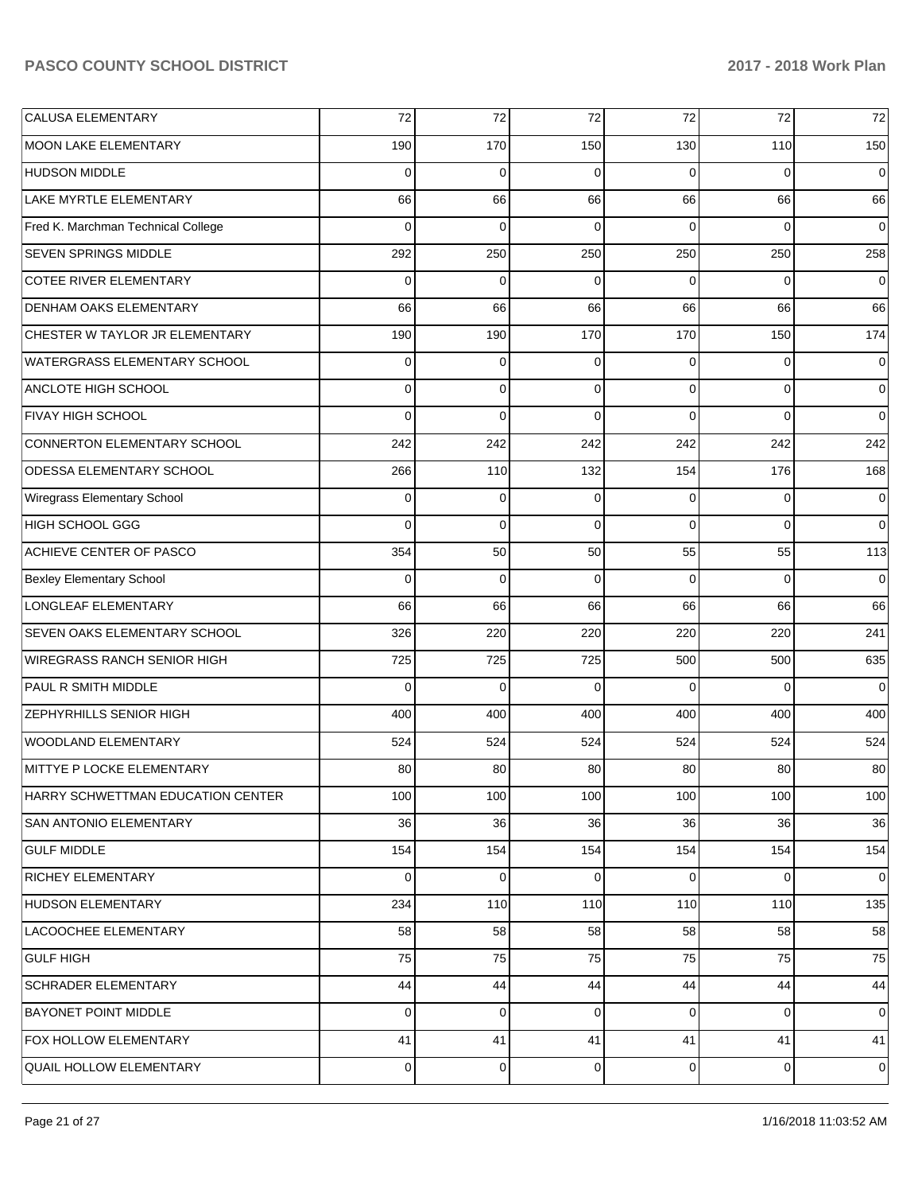| <b>CALUSA ELEMENTARY</b>           | 72       | 72          | 72       | 72             | 72             | 72             |
|------------------------------------|----------|-------------|----------|----------------|----------------|----------------|
| MOON LAKE ELEMENTARY               | 190      | 170         | 150      | 130            | 110            | 150            |
| <b>HUDSON MIDDLE</b>               | $\Omega$ | 0           | $\Omega$ | 0              | 0              | $\mathbf 0$    |
| LAKE MYRTLE ELEMENTARY             | 66       | 66          | 66       | 66             | 66             | 66             |
| Fred K. Marchman Technical College | $\Omega$ | 0           | $\Omega$ | 0              | 0              | $\mathbf 0$    |
| SEVEN SPRINGS MIDDLE               | 292      | 250         | 250      | 250            | 250            | 258            |
| <b>COTEE RIVER ELEMENTARY</b>      | $\Omega$ | 0           | $\Omega$ | 0              | 0              | $\overline{0}$ |
| <b>DENHAM OAKS ELEMENTARY</b>      | 66       | 66          | 66       | 66             | 66             | 66             |
| CHESTER W TAYLOR JR ELEMENTARY     | 190      | 190         | 170      | 170            | 150            | 174            |
| WATERGRASS ELEMENTARY SCHOOL       | 0        | 0           | $\Omega$ | $\Omega$       | $\overline{0}$ | $\overline{0}$ |
| ANCLOTE HIGH SCHOOL                | 0        | 0           | $\Omega$ | $\Omega$       | $\overline{0}$ | $\overline{0}$ |
| FIVAY HIGH SCHOOL                  | $\Omega$ | 0           | $\Omega$ | $\Omega$       | $\overline{0}$ | $\overline{0}$ |
| CONNERTON ELEMENTARY SCHOOL        | 242      | 242         | 242      | 242            | 242            | 242            |
| <b>ODESSA ELEMENTARY SCHOOL</b>    | 266      | 110         | 132      | 154            | 176            | 168            |
| Wiregrass Elementary School        | 0        | 0           | $\Omega$ | 0              | 0              | $\overline{0}$ |
| HIGH SCHOOL GGG                    | $\Omega$ | 0           | $\Omega$ | $\Omega$       | $\overline{0}$ | $\overline{0}$ |
| ACHIEVE CENTER OF PASCO            | 354      | 50          | 50       | 55             | 55             | 113            |
| <b>Bexley Elementary School</b>    | $\Omega$ | $\mathbf 0$ | $\Omega$ | $\Omega$       | $\overline{0}$ | $\overline{0}$ |
| LONGLEAF ELEMENTARY                | 66       | 66          | 66       | 66             | 66             | 66             |
| SEVEN OAKS ELEMENTARY SCHOOL       | 326      | 220         | 220      | 220            | 220            | 241            |
| <b>WIREGRASS RANCH SENIOR HIGH</b> | 725      | 725         | 725      | 500            | 500            | 635            |
| PAUL R SMITH MIDDLE                | $\Omega$ | 0           | $\Omega$ | $\Omega$       | 0              | $\overline{0}$ |
| <b>ZEPHYRHILLS SENIOR HIGH</b>     | 400      | 400         | 400      | 400            | 400            | 400            |
| WOODLAND ELEMENTARY                | 524      | 524         | 524      | 524            | 524            | 524            |
| MITTYE P LOCKE ELEMENTARY          | 80       | 80          | 80       | 80             | 80             | 80             |
| HARRY SCHWETTMAN EDUCATION CENTER  | 100      | 100         | 100      | 100            | 100            | 100            |
| <b>SAN ANTONIO ELEMENTARY</b>      | 36       | 36          | 36       | 36             | 36             | 36             |
| <b>GULF MIDDLE</b>                 | 154      | 154         | 154      | 154            | 154            | 154            |
| <b>RICHEY ELEMENTARY</b>           | 0        | 0           | 0        | 0              | $\overline{0}$ | $\overline{0}$ |
| <b>HUDSON ELEMENTARY</b>           | 234      | 110         | 110      | 110            | 110            | 135            |
| LACOOCHEE ELEMENTARY               | 58       | 58          | 58       | 58             | 58             | 58             |
| <b>GULF HIGH</b>                   | 75       | 75          | 75       | 75             | 75             | 75             |
| <b>SCHRADER ELEMENTARY</b>         | 44       | 44          | 44       | 44             | 44             | 44             |
| <b>BAYONET POINT MIDDLE</b>        | 0        | 0           | 0        | 0              | $\overline{0}$ | $\mathbf 0$    |
| <b>FOX HOLLOW ELEMENTARY</b>       | 41       | 41          | 41       | 41             | 41             | 41             |
| <b>QUAIL HOLLOW ELEMENTARY</b>     | 0        | 0           | 0        | $\overline{0}$ | $\overline{0}$ | $\mathbf 0$    |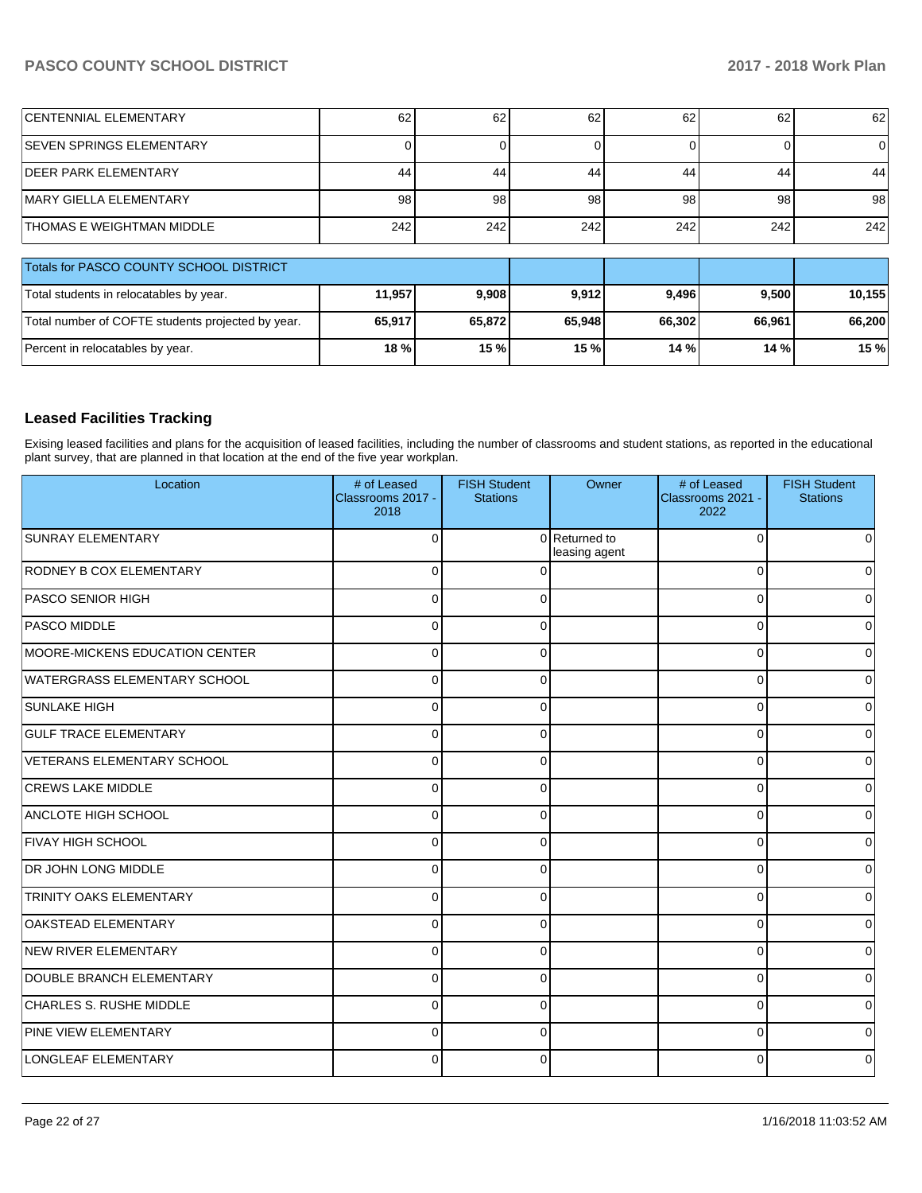| <b>CENTENNIAL ELEMENTARY</b>                      | 62     | 62     | 62     | 62     | 62     | 62     |
|---------------------------------------------------|--------|--------|--------|--------|--------|--------|
| <b>SEVEN SPRINGS ELEMENTARY</b>                   |        |        |        |        |        | 0      |
| <b>DEER PARK ELEMENTARY</b>                       | 44     | 44     | 44     | 44     | 44     | 44     |
| MARY GIELLA ELEMENTARY                            | 98     | 98     | 98     | 98     | 98     | 98     |
| <b>THOMAS E WEIGHTMAN MIDDLE</b>                  | 242    | 242    | 242    | 242    | 242    | 242    |
| Totals for PASCO COUNTY SCHOOL DISTRICT           |        |        |        |        |        |        |
| Total students in relocatables by year.           | 11,957 | 9,908  | 9,912  | 9,496  | 9,500  | 10,155 |
| Total number of COFTE students projected by year. | 65,917 | 65,872 | 65,948 | 66,302 | 66,961 | 66,200 |
| Percent in relocatables by year.                  | 18 %   | 15 %   | 15 %   | 14 %   | 14 %   | 15 %   |

### **Leased Facilities Tracking**

Exising leased facilities and plans for the acquisition of leased facilities, including the number of classrooms and student stations, as reported in the educational plant survey, that are planned in that location at the end of the five year workplan.

| Location                            | # of Leased<br>Classrooms 2017 -<br>2018 | <b>FISH Student</b><br><b>Stations</b> | Owner                          | # of Leased<br>Classrooms 2021 -<br>2022 | <b>FISH Student</b><br><b>Stations</b> |
|-------------------------------------|------------------------------------------|----------------------------------------|--------------------------------|------------------------------------------|----------------------------------------|
| SUNRAY ELEMENTARY                   | C                                        |                                        | 0 Returned to<br>leasing agent | 0                                        | 0                                      |
| RODNEY B COX ELEMENTARY             | $\Omega$                                 | $\Omega$                               |                                | $\Omega$                                 | 0                                      |
| <b>PASCO SENIOR HIGH</b>            | $\Omega$                                 | $\Omega$                               |                                | $\Omega$                                 | 0                                      |
| <b>PASCO MIDDLE</b>                 | $\Omega$                                 | $\Omega$                               |                                | 0                                        | 0                                      |
| MOORE-MICKENS EDUCATION CENTER      | $\Omega$                                 | $\Omega$                               |                                | $\Omega$                                 | 0                                      |
| <b>WATERGRASS ELEMENTARY SCHOOL</b> | $\Omega$                                 | $\Omega$                               |                                | 0                                        | 0                                      |
| <b>SUNLAKE HIGH</b>                 | $\Omega$                                 | $\Omega$                               |                                | 0                                        | 0                                      |
| <b>GULF TRACE ELEMENTARY</b>        | $\Omega$                                 | 0                                      |                                | 0                                        | 0                                      |
| VETERANS ELEMENTARY SCHOOL          | C                                        | 0                                      |                                | 0                                        | 0                                      |
| <b>CREWS LAKE MIDDLE</b>            | $\Omega$                                 | $\Omega$                               |                                | $\Omega$                                 | $\Omega$                               |
| <b>ANCLOTE HIGH SCHOOL</b>          | $\Omega$                                 | 0                                      |                                | 0                                        | 0                                      |
| <b>FIVAY HIGH SCHOOL</b>            | 0                                        | $\Omega$                               |                                | 0                                        | 0                                      |
| <b>DR JOHN LONG MIDDLE</b>          | $\Omega$                                 | 0                                      |                                | $\Omega$                                 | 0                                      |
| <b>TRINITY OAKS ELEMENTARY</b>      | $\Omega$                                 | 0                                      |                                | $\Omega$                                 | 0                                      |
| <b>OAKSTEAD ELEMENTARY</b>          | $\Omega$                                 | $\Omega$                               |                                | $\Omega$                                 | 0                                      |
| NEW RIVER ELEMENTARY                | $\Omega$                                 | $\Omega$                               |                                | $\Omega$                                 | 0                                      |
| DOUBLE BRANCH ELEMENTARY            | $\Omega$                                 | $\Omega$                               |                                | 0                                        | 0                                      |
| CHARLES S. RUSHE MIDDLE             | $\Omega$                                 | 0                                      |                                | $\Omega$                                 | 0                                      |
| PINE VIEW ELEMENTARY                | $\Omega$                                 | <sup>0</sup>                           |                                | $\Omega$                                 | U                                      |
| LONGLEAF ELEMENTARY                 | ∩                                        | 0                                      |                                | 0                                        | 0                                      |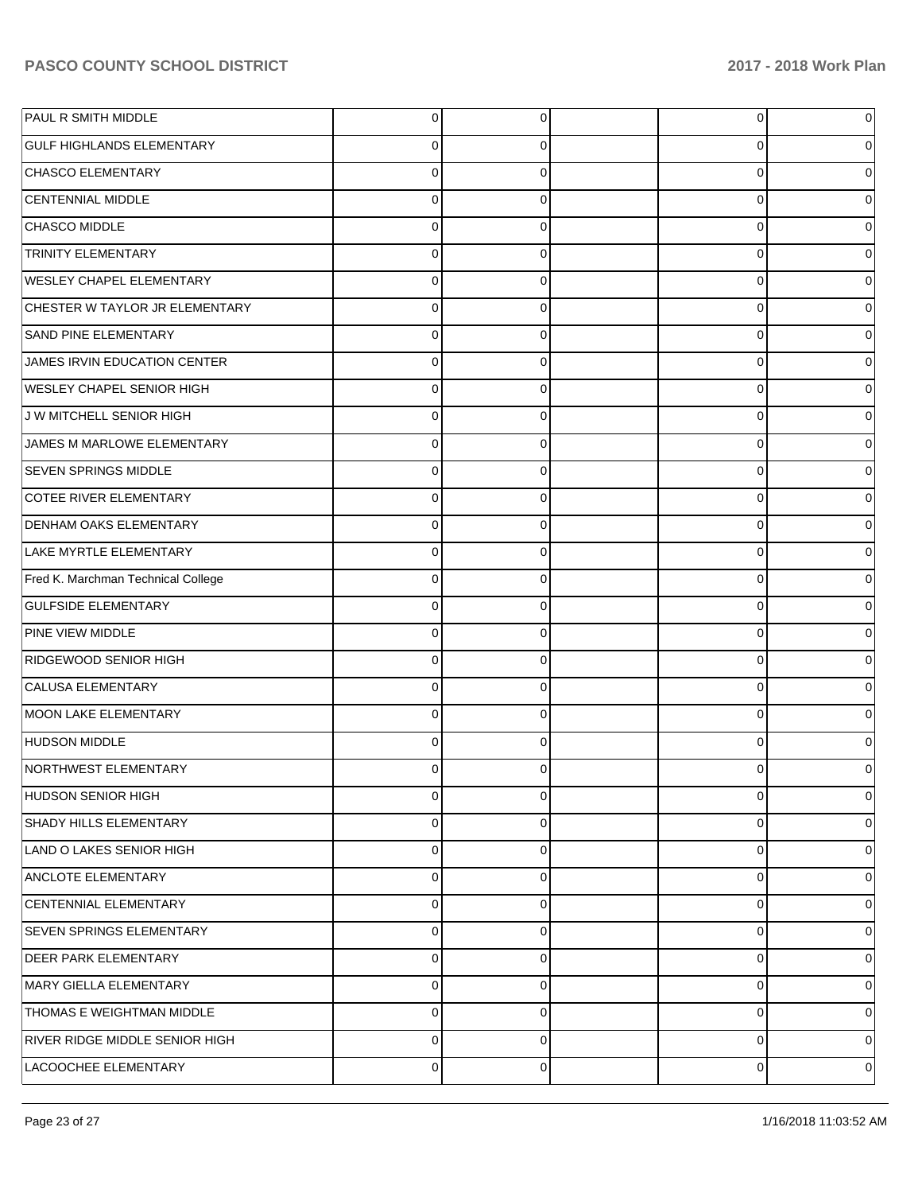| PAUL R SMITH MIDDLE                | 0              | 0              | 0 | 0 |
|------------------------------------|----------------|----------------|---|---|
| <b>GULF HIGHLANDS ELEMENTARY</b>   | 0              | 0              | 0 | 0 |
| <b>CHASCO ELEMENTARY</b>           | $\Omega$       | $\mathbf 0$    | 0 | 0 |
| <b>CENTENNIAL MIDDLE</b>           | $\Omega$       | 0              | 0 | 0 |
| CHASCO MIDDLE                      | 0              | 0              | 0 | 0 |
| <b>TRINITY ELEMENTARY</b>          | $\Omega$       | 0              | 0 | 0 |
| <b>WESLEY CHAPEL ELEMENTARY</b>    | $\Omega$       | 0              | 0 | 0 |
| CHESTER W TAYLOR JR ELEMENTARY     | $\Omega$       | 0              | 0 | 0 |
| <b>SAND PINE ELEMENTARY</b>        | $\Omega$       | 0              | 0 | 0 |
| JAMES IRVIN EDUCATION CENTER       | $\Omega$       | 0              | 0 | 0 |
| <b>WESLEY CHAPEL SENIOR HIGH</b>   | 0              | 0              | 0 | 0 |
| J W MITCHELL SENIOR HIGH           | $\Omega$       | 0              | 0 | 0 |
| JAMES M MARLOWE ELEMENTARY         | $\Omega$       | 0              | 0 | 0 |
| <b>SEVEN SPRINGS MIDDLE</b>        | $\Omega$       | 0              | 0 | 0 |
| COTEE RIVER ELEMENTARY             | $\Omega$       | 0              | 0 | 0 |
| <b>DENHAM OAKS ELEMENTARY</b>      | 0              | 0              | 0 | 0 |
| LAKE MYRTLE ELEMENTARY             | $\Omega$       | 0              | 0 | 0 |
| Fred K. Marchman Technical College | $\Omega$       | 0              | 0 | 0 |
| <b>GULFSIDE ELEMENTARY</b>         | $\Omega$       | 0              | 0 | 0 |
| PINE VIEW MIDDLE                   | $\Omega$       | 0              | 0 | 0 |
| RIDGEWOOD SENIOR HIGH              | 0              | 0              | 0 | 0 |
| CALUSA ELEMENTARY                  | 0              | 0              | 0 | 0 |
| <b>MOON LAKE ELEMENTARY</b>        | $\Omega$       | 0              | 0 | 0 |
| <b>HUDSON MIDDLE</b>               | 0              | 0              | 0 | 0 |
| <b>NORTHWEST ELEMENTARY</b>        |                | 0              | 0 |   |
| HUDSON SENIOR HIGH                 | $\overline{0}$ | $\overline{0}$ | 0 | 0 |
| <b>SHADY HILLS ELEMENTARY</b>      | 0              | 0              | 0 | 0 |
| LAND O LAKES SENIOR HIGH           | 0              | 0              | 0 | 0 |
| <b>ANCLOTE ELEMENTARY</b>          | 0              | 0              | 0 | 0 |
| CENTENNIAL ELEMENTARY              | 0              | 0              | 0 | 0 |
| <b>SEVEN SPRINGS ELEMENTARY</b>    | $\mathbf 0$    | 0              | 0 | 0 |
| <b>DEER PARK ELEMENTARY</b>        | 0              | 0              | 0 | 0 |
| MARY GIELLA ELEMENTARY             | 0              | 0              | 0 | 0 |
| THOMAS E WEIGHTMAN MIDDLE          | 0              | 0              | 0 | 0 |
| RIVER RIDGE MIDDLE SENIOR HIGH     | 0              | 0              | 0 | 0 |
| LACOOCHEE ELEMENTARY               | 0              | 0              | 0 | 0 |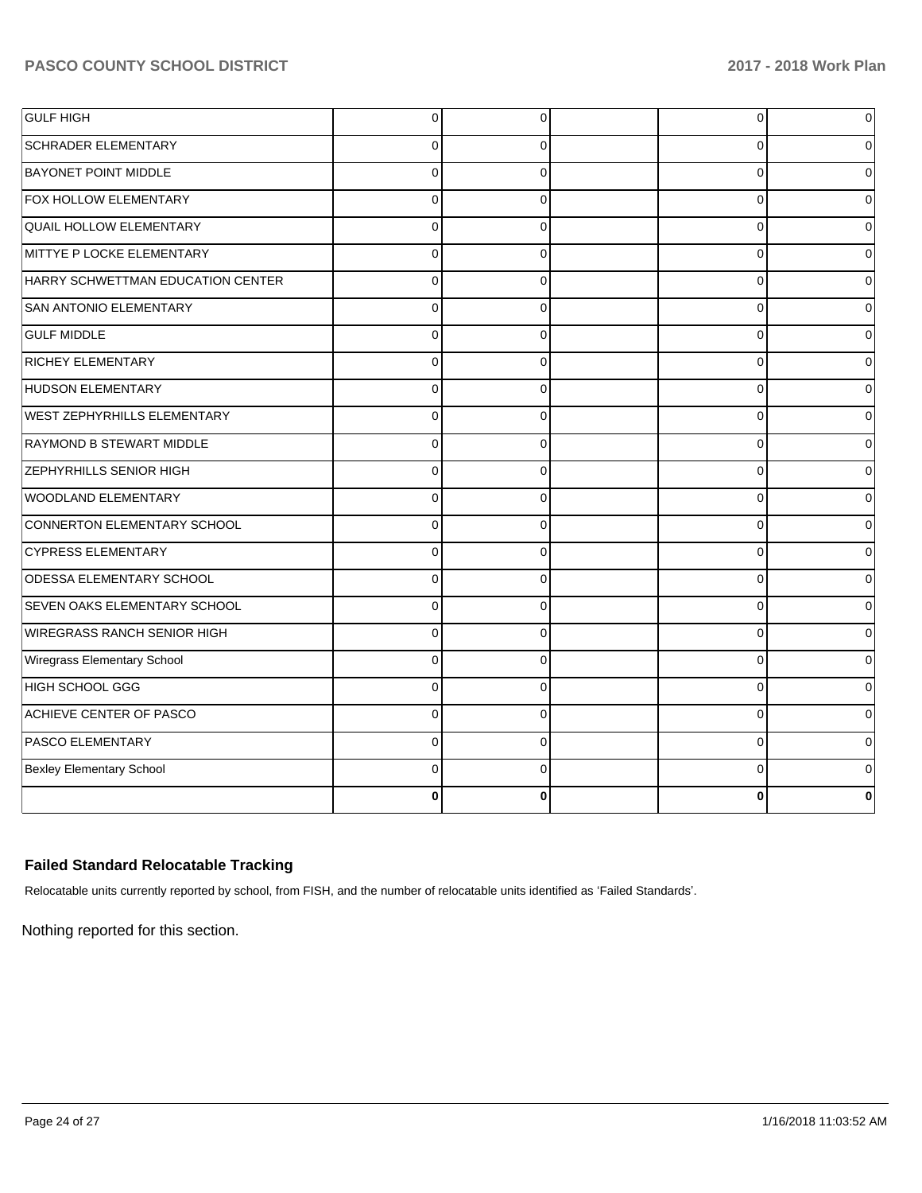| <b>GULF HIGH</b>                    | $\overline{0}$ | 0           | 0        | $\overline{0}$ |
|-------------------------------------|----------------|-------------|----------|----------------|
| <b>SCHRADER ELEMENTARY</b>          | $\Omega$       | $\Omega$    | 0        | 0              |
| <b>BAYONET POINT MIDDLE</b>         | $\Omega$       | $\Omega$    | $\Omega$ | $\Omega$       |
| FOX HOLLOW ELEMENTARY               | $\overline{0}$ | $\Omega$    | $\Omega$ | 0              |
| <b>QUAIL HOLLOW ELEMENTARY</b>      | $\Omega$       | $\Omega$    | $\Omega$ | 0              |
| MITTYE P LOCKE ELEMENTARY           | 0              | $\Omega$    | C        | 0              |
| HARRY SCHWETTMAN EDUCATION CENTER   | $\overline{0}$ | $\Omega$    | $\Omega$ | 0              |
| SAN ANTONIO ELEMENTARY              | $\Omega$       | $\Omega$    | $\Omega$ | $\Omega$       |
| <b>GULF MIDDLE</b>                  | $\overline{0}$ | $\mathbf 0$ | 0        | $\overline{0}$ |
| <b>RICHEY ELEMENTARY</b>            | $\Omega$       | $\Omega$    | $\Omega$ | $\Omega$       |
| HUDSON ELEMENTARY                   | $\Omega$       | $\Omega$    | $\Omega$ | 0              |
| <b>WEST ZEPHYRHILLS ELEMENTARY</b>  | $\Omega$       | $\Omega$    | $\Omega$ | $\Omega$       |
| <b>RAYMOND B STEWART MIDDLE</b>     | $\overline{0}$ | $\Omega$    | $\Omega$ | 0              |
| <b>ZEPHYRHILLS SENIOR HIGH</b>      | $\Omega$       | $\Omega$    | $\Omega$ | 0              |
| WOODLAND ELEMENTARY                 | $\Omega$       | $\Omega$    | 0        | 0              |
| CONNERTON ELEMENTARY SCHOOL         | $\overline{0}$ | $\Omega$    | $\Omega$ | 0              |
| <b>CYPRESS ELEMENTARY</b>           | $\Omega$       | $\Omega$    | $\Omega$ | 0              |
| <b>ODESSA ELEMENTARY SCHOOL</b>     | $\overline{0}$ | $\mathbf 0$ | 0        | $\overline{0}$ |
| <b>SEVEN OAKS ELEMENTARY SCHOOL</b> | $\Omega$       | $\Omega$    | $\Omega$ | 0              |
| WIREGRASS RANCH SENIOR HIGH         | $\overline{0}$ | $\Omega$    | $\Omega$ | $\Omega$       |
| Wiregrass Elementary School         | $\Omega$       | $\Omega$    | $\Omega$ | $\Omega$       |
| HIGH SCHOOL GGG                     | $\overline{0}$ | $\Omega$    | $\Omega$ | 0              |
| ACHIEVE CENTER OF PASCO             | $\Omega$       | $\Omega$    | $\Omega$ | 0              |
| <b>PASCO ELEMENTARY</b>             | 0              | $\Omega$    | C        | 0              |
| <b>Bexley Elementary School</b>     | $\Omega$       | $\Omega$    | 0        | 0              |
|                                     | 0              | $\bf{0}$    | 0        | 0              |

## **Failed Standard Relocatable Tracking**

Relocatable units currently reported by school, from FISH, and the number of relocatable units identified as 'Failed Standards'.

Nothing reported for this section.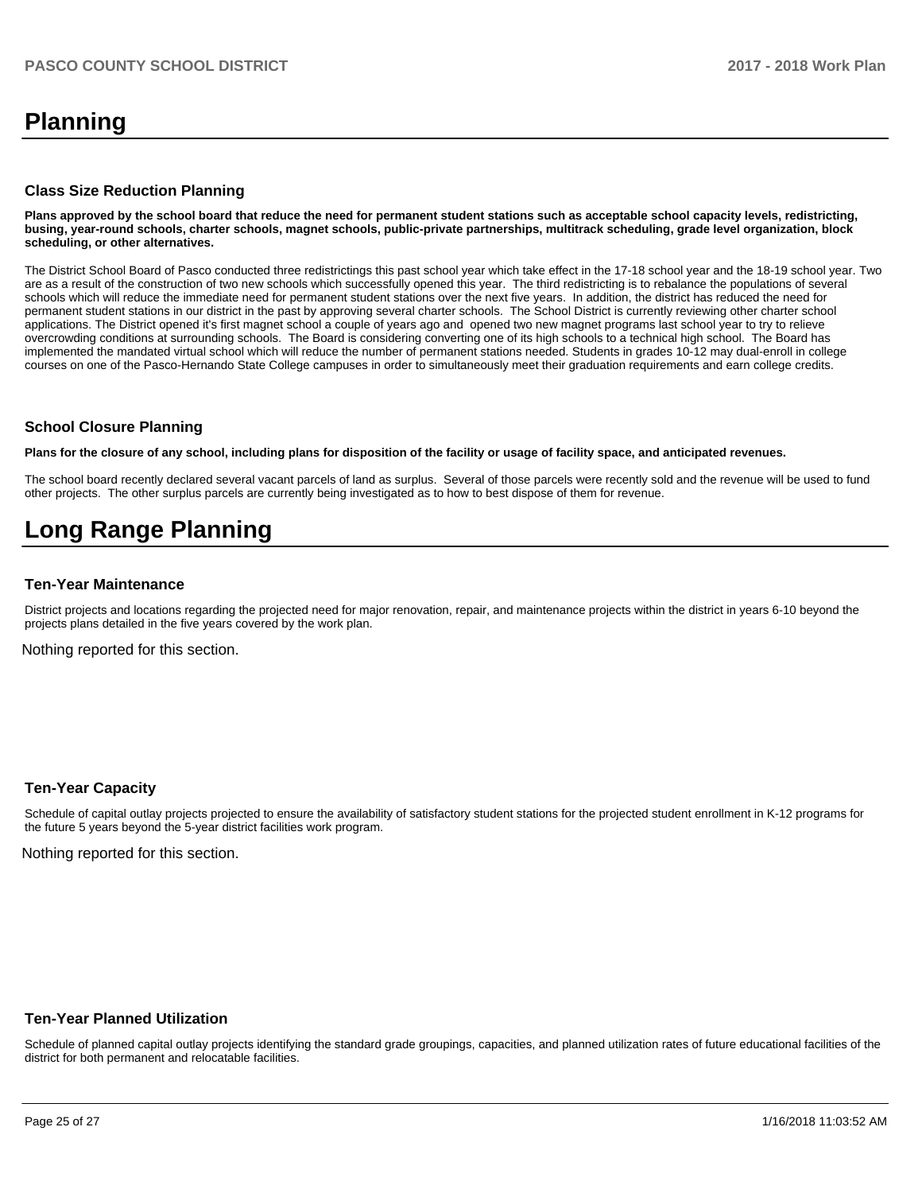## **Planning**

#### **Class Size Reduction Planning**

**Plans approved by the school board that reduce the need for permanent student stations such as acceptable school capacity levels, redistricting, busing, year-round schools, charter schools, magnet schools, public-private partnerships, multitrack scheduling, grade level organization, block scheduling, or other alternatives.**

The District School Board of Pasco conducted three redistrictings this past school year which take effect in the 17-18 school year and the 18-19 school year. Two are as a result of the construction of two new schools which successfully opened this year. The third redistricting is to rebalance the populations of several schools which will reduce the immediate need for permanent student stations over the next five years. In addition, the district has reduced the need for permanent student stations in our district in the past by approving several charter schools. The School District is currently reviewing other charter school applications. The District opened it's first magnet school a couple of years ago and opened two new magnet programs last school year to try to relieve overcrowding conditions at surrounding schools. The Board is considering converting one of its high schools to a technical high school. The Board has implemented the mandated virtual school which will reduce the number of permanent stations needed. Students in grades 10-12 may dual-enroll in college courses on one of the Pasco-Hernando State College campuses in order to simultaneously meet their graduation requirements and earn college credits.

#### **School Closure Planning**

**Plans for the closure of any school, including plans for disposition of the facility or usage of facility space, and anticipated revenues.** 

The school board recently declared several vacant parcels of land as surplus. Several of those parcels were recently sold and the revenue will be used to fund other projects. The other surplus parcels are currently being investigated as to how to best dispose of them for revenue.

## **Long Range Planning**

#### **Ten-Year Maintenance**

District projects and locations regarding the projected need for major renovation, repair, and maintenance projects within the district in years 6-10 beyond the projects plans detailed in the five years covered by the work plan.

Nothing reported for this section.

#### **Ten-Year Capacity**

Schedule of capital outlay projects projected to ensure the availability of satisfactory student stations for the projected student enrollment in K-12 programs for the future 5 years beyond the 5-year district facilities work program.

Nothing reported for this section.

#### **Ten-Year Planned Utilization**

Schedule of planned capital outlay projects identifying the standard grade groupings, capacities, and planned utilization rates of future educational facilities of the district for both permanent and relocatable facilities.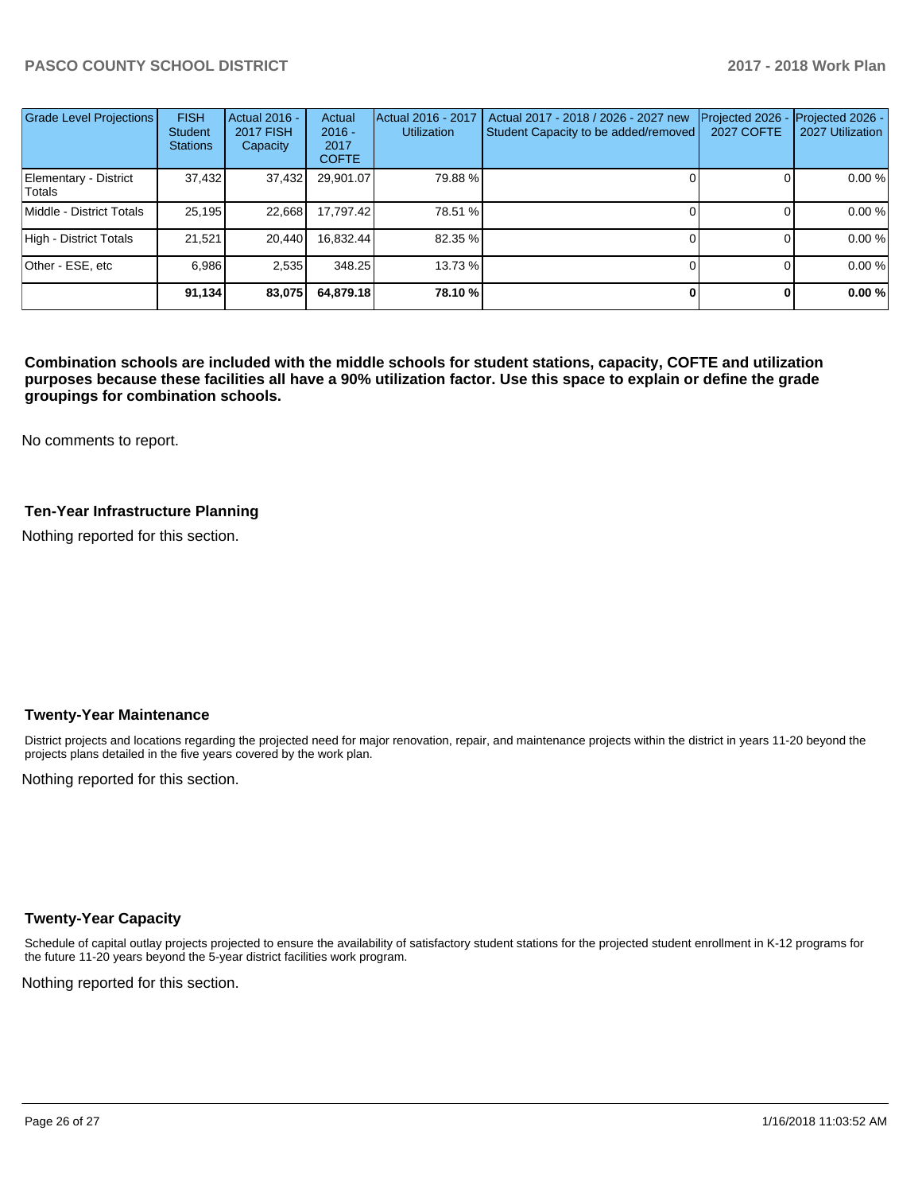| <b>Grade Level Projections</b>  | <b>FISH</b><br><b>Student</b><br><b>Stations</b> | Actual 2016 -<br><b>2017 FISH</b><br>Capacity | Actual<br>$2016 -$<br>2017<br><b>COFTE</b> | Actual 2016 - 2017<br><b>Utilization</b> | Actual 2017 - 2018 / 2026 - 2027 new<br>Student Capacity to be added/removed | Projected 2026<br><b>2027 COFTE</b> | Projected 2026 -<br>2027 Utilization |
|---------------------------------|--------------------------------------------------|-----------------------------------------------|--------------------------------------------|------------------------------------------|------------------------------------------------------------------------------|-------------------------------------|--------------------------------------|
| Elementary - District<br>Totals | 37,432                                           | 37,432                                        | 29,901.07                                  | 79.88%                                   |                                                                              |                                     | 0.00 %                               |
| Middle - District Totals        | 25,195                                           | 22,668                                        | 17.797.42                                  | 78.51 %                                  |                                                                              |                                     | 0.00%                                |
| High - District Totals          | 21.521                                           | 20.440                                        | 16,832.44                                  | 82.35 %                                  |                                                                              |                                     | 0.00 %                               |
| Other - ESE, etc                | 6.986                                            | 2.535                                         | 348.25                                     | 13.73 %                                  |                                                                              |                                     | 0.00%                                |
|                                 | 91,134                                           | 83,075                                        | 64,879.18                                  | 78.10 %                                  |                                                                              |                                     | 0.00%                                |

**Combination schools are included with the middle schools for student stations, capacity, COFTE and utilization purposes because these facilities all have a 90% utilization factor. Use this space to explain or define the grade groupings for combination schools.** 

No comments to report.

### **Ten-Year Infrastructure Planning**

Nothing reported for this section.

#### **Twenty-Year Maintenance**

District projects and locations regarding the projected need for major renovation, repair, and maintenance projects within the district in years 11-20 beyond the projects plans detailed in the five years covered by the work plan.

Nothing reported for this section.

#### **Twenty-Year Capacity**

Schedule of capital outlay projects projected to ensure the availability of satisfactory student stations for the projected student enrollment in K-12 programs for the future 11-20 years beyond the 5-year district facilities work program.

Nothing reported for this section.